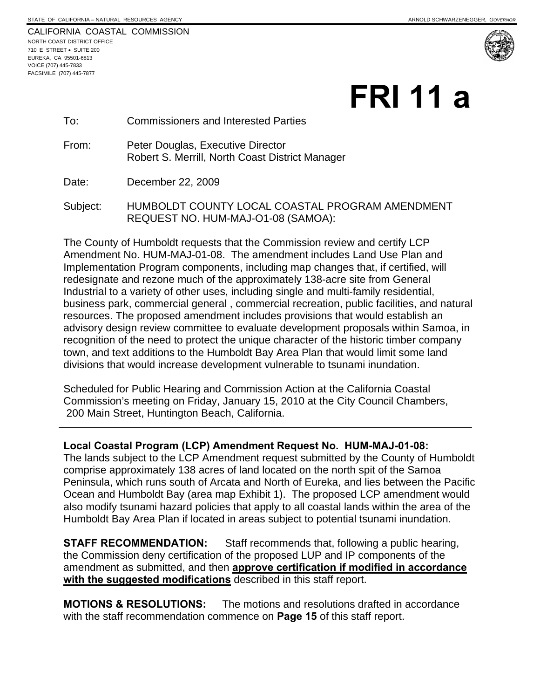|                             |  | CALIFORNIA COASTAL COMMISSION |
|-----------------------------|--|-------------------------------|
| NORTH COAST DISTRICT OFFICE |  |                               |
| 710 E STREET • SUITE 200    |  |                               |
| EUREKA, CA 95501-6813       |  |                               |
| VOICE (707) 445-7833        |  |                               |
| FACSIMILE (707) 445-7877    |  |                               |

 $\overline{a}$ 



# **FRI 11 a**

#### To: Commissioners and Interested Parties

From: Peter Douglas, Executive Director Robert S. Merrill, North Coast District Manager

Date: December 22, 2009

Subject: HUMBOLDT COUNTY LOCAL COASTAL PROGRAM AMENDMENT REQUEST NO. HUM-MAJ-O1-08 (SAMOA):

The County of Humboldt requests that the Commission review and certify LCP Amendment No. HUM-MAJ-01-08. The amendment includes Land Use Plan and Implementation Program components, including map changes that, if certified, will redesignate and rezone much of the approximately 138-acre site from General Industrial to a variety of other uses, including single and multi-family residential, business park, commercial general , commercial recreation, public facilities, and natural resources. The proposed amendment includes provisions that would establish an advisory design review committee to evaluate development proposals within Samoa, in recognition of the need to protect the unique character of the historic timber company town, and text additions to the Humboldt Bay Area Plan that would limit some land divisions that would increase development vulnerable to tsunami inundation.

Scheduled for Public Hearing and Commission Action at the California Coastal Commission's meeting on Friday, January 15, 2010 at the City Council Chambers, 200 Main Street, Huntington Beach, California.

#### **Local Coastal Program (LCP) Amendment Request No. HUM-MAJ-01-08:**

The lands subject to the LCP Amendment request submitted by the County of Humboldt comprise approximately 138 acres of land located on the north spit of the Samoa Peninsula, which runs south of Arcata and North of Eureka, and lies between the Pacific Ocean and Humboldt Bay (area map Exhibit 1). The proposed LCP amendment would also modify tsunami hazard policies that apply to all coastal lands within the area of the Humboldt Bay Area Plan if located in areas subject to potential tsunami inundation.

**STAFF RECOMMENDATION:** Staff recommends that, following a public hearing, the Commission deny certification of the proposed LUP and IP components of the amendment as submitted, and then **approve certification if modified in accordance with the suggested modifications** described in this staff report.

**MOTIONS & RESOLUTIONS:** The motions and resolutions drafted in accordance with the staff recommendation commence on **Page 15** of this staff report.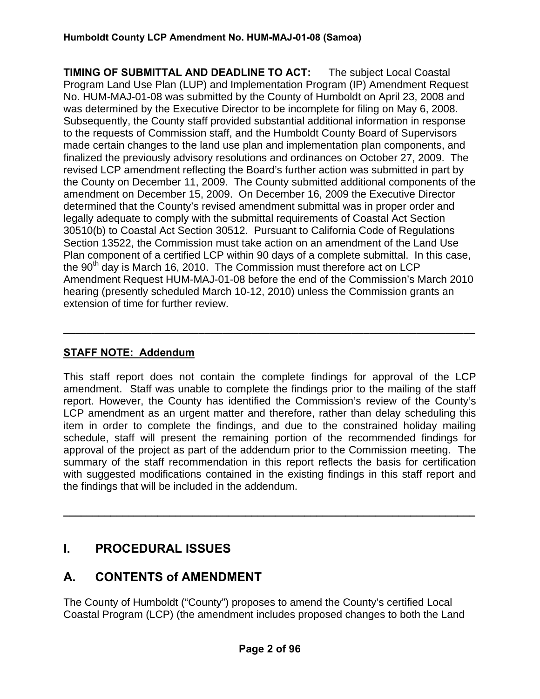**TIMING OF SUBMITTAL AND DEADLINE TO ACT:** The subject Local Coastal Program Land Use Plan (LUP) and Implementation Program (IP) Amendment Request No. HUM-MAJ-01-08 was submitted by the County of Humboldt on April 23, 2008 and was determined by the Executive Director to be incomplete for filing on May 6, 2008. Subsequently, the County staff provided substantial additional information in response to the requests of Commission staff, and the Humboldt County Board of Supervisors made certain changes to the land use plan and implementation plan components, and finalized the previously advisory resolutions and ordinances on October 27, 2009. The revised LCP amendment reflecting the Board's further action was submitted in part by the County on December 11, 2009. The County submitted additional components of the amendment on December 15, 2009. On December 16, 2009 the Executive Director determined that the County's revised amendment submittal was in proper order and legally adequate to comply with the submittal requirements of Coastal Act Section 30510(b) to Coastal Act Section 30512. Pursuant to California Code of Regulations Section 13522, the Commission must take action on an amendment of the Land Use Plan component of a certified LCP within 90 days of a complete submittal. In this case, the 90<sup>th</sup> day is March 16, 2010. The Commission must therefore act on LCP Amendment Request HUM-MAJ-01-08 before the end of the Commission's March 2010 hearing (presently scheduled March 10-12, 2010) unless the Commission grants an extension of time for further review.

# **STAFF NOTE: Addendum**

This staff report does not contain the complete findings for approval of the LCP amendment. Staff was unable to complete the findings prior to the mailing of the staff report. However, the County has identified the Commission's review of the County's LCP amendment as an urgent matter and therefore, rather than delay scheduling this item in order to complete the findings, and due to the constrained holiday mailing schedule, staff will present the remaining portion of the recommended findings for approval of the project as part of the addendum prior to the Commission meeting. The summary of the staff recommendation in this report reflects the basis for certification with suggested modifications contained in the existing findings in this staff report and the findings that will be included in the addendum.

**\_\_\_\_\_\_\_\_\_\_\_\_\_\_\_\_\_\_\_\_\_\_\_\_\_\_\_\_\_\_\_\_\_\_\_\_\_\_\_\_\_\_\_\_\_\_\_\_\_\_\_\_\_\_\_\_\_\_\_\_\_\_\_\_\_\_\_\_\_\_** 

**\_\_\_\_\_\_\_\_\_\_\_\_\_\_\_\_\_\_\_\_\_\_\_\_\_\_\_\_\_\_\_\_\_\_\_\_\_\_\_\_\_\_\_\_\_\_\_\_\_\_\_\_\_\_\_\_\_\_\_\_\_\_\_\_\_\_\_\_\_\_** 

# **I. PROCEDURAL ISSUES**

# **A. CONTENTS of AMENDMENT**

The County of Humboldt ("County") proposes to amend the County's certified Local Coastal Program (LCP) (the amendment includes proposed changes to both the Land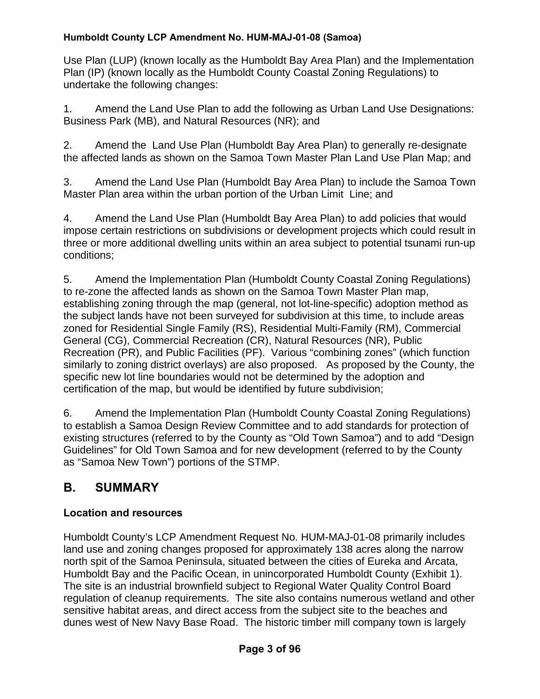Use Plan (LUP) (known locally as the Humboldt Bay Area Plan) and the Implementation Plan (IP) (known locally as the Humboldt County Coastal Zoning Regulations) to undertake the following changes:

1. Amend the Land Use Plan to add the following as Urban Land Use Designations: Business Park (MB), and Natural Resources (NR); and

2. Amend the Land Use Plan (Humboldt Bay Area Plan) to generally re-designate the affected lands as shown on the Samoa Town Master Plan Land Use Plan Map; and

3. Amend the Land Use Plan (Humboldt Bay Area Plan) to include the Samoa Town Master Plan area within the urban portion of the Urban Limit Line; and

4. Amend the Land Use Plan (Humboldt Bay Area Plan) to add policies that would impose certain restrictions on subdivisions or development projects which could result in three or more additional dwelling units within an area subject to potential tsunami run-up conditions;

5. Amend the Implementation Plan (Humboldt County Coastal Zoning Regulations) to re-zone the affected lands as shown on the Samoa Town Master Plan map, establishing zoning through the map (general, not lot-line-specific) adoption method as the subject lands have not been surveyed for subdivision at this time, to include areas zoned for Residential Single Family (RS), Residential Multi-Family (RM), Commercial General (CG), Commercial Recreation (CR), Natural Resources (NR), Public Recreation (PR), and Public Facilities (PF). Various "combining zones" (which function similarly to zoning district overlays) are also proposed. As proposed by the County, the specific new lot line boundaries would not be determined by the adoption and certification of the map, but would be identified by future subdivision;

6. Amend the Implementation Plan (Humboldt County Coastal Zoning Regulations) to establish a Samoa Design Review Committee and to add standards for protection of existing structures (referred to by the County as "Old Town Samoa") and to add "Design Guidelines" for Old Town Samoa and for new development (referred to by the County as "Samoa New Town") portions of the STMP.

# **B. SUMMARY**

# **Location and resources**

Humboldt County's LCP Amendment Request No. HUM-MAJ-01-08 primarily includes land use and zoning changes proposed for approximately 138 acres along the narrow north spit of the Samoa Peninsula, situated between the cities of Eureka and Arcata, Humboldt Bay and the Pacific Ocean, in unincorporated Humboldt County (Exhibit 1). The site is an industrial brownfield subject to Regional Water Quality Control Board regulation of cleanup requirements. The site also contains numerous wetland and other sensitive habitat areas, and direct access from the subject site to the beaches and dunes west of New Navy Base Road. The historic timber mill company town is largely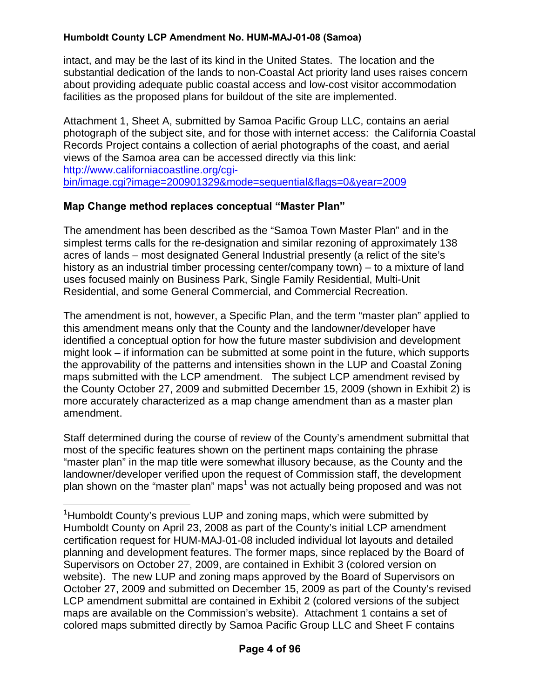intact, and may be the last of its kind in the United States. The location and the substantial dedication of the lands to non-Coastal Act priority land uses raises concern about providing adequate public coastal access and low-cost visitor accommodation facilities as the proposed plans for buildout of the site are implemented.

Attachment 1, Sheet A, submitted by Samoa Pacific Group LLC, contains an aerial photograph of the subject site, and for those with internet access: the California Coastal Records Project contains a collection of aerial photographs of the coast, and aerial views of the Samoa area can be accessed directly via this link: [http://www.californiacoastline.org/cgi](http://www.californiacoastline.org/cgi-bin/image.cgi?image=200901329&mode=sequential&flags=0&year=2009)[bin/image.cgi?image=200901329&mode=sequential&flags=0&year=2009](http://www.californiacoastline.org/cgi-bin/image.cgi?image=200901329&mode=sequential&flags=0&year=2009) 

## **Map Change method replaces conceptual "Master Plan"**

1

The amendment has been described as the "Samoa Town Master Plan" and in the simplest terms calls for the re-designation and similar rezoning of approximately 138 acres of lands – most designated General Industrial presently (a relict of the site's history as an industrial timber processing center/company town) – to a mixture of land uses focused mainly on Business Park, Single Family Residential, Multi-Unit Residential, and some General Commercial, and Commercial Recreation.

The amendment is not, however, a Specific Plan, and the term "master plan" applied to this amendment means only that the County and the landowner/developer have identified a conceptual option for how the future master subdivision and development might look – if information can be submitted at some point in the future, which supports the approvability of the patterns and intensities shown in the LUP and Coastal Zoning maps submitted with the LCP amendment. The subject LCP amendment revised by the County October 27, 2009 and submitted December 15, 2009 (shown in Exhibit 2) is more accurately characterized as a map change amendment than as a master plan amendment.

Staff determined during the course of review of the County's amendment submittal that most of the specific features shown on the pertinent maps containing the phrase "master plan" in the map title were somewhat illusory because, as the County and the landowner/developer verified upon the request of Commission staff, the development plan shown on the "master plan" maps<sup>[1](#page-3-0)</sup> was not actually being proposed and was not

<span id="page-3-0"></span><sup>&</sup>lt;sup>1</sup>Humboldt County's previous LUP and zoning maps, which were submitted by Humboldt County on April 23, 2008 as part of the County's initial LCP amendment certification request for HUM-MAJ-01-08 included individual lot layouts and detailed planning and development features. The former maps, since replaced by the Board of Supervisors on October 27, 2009, are contained in Exhibit 3 (colored version on website). The new LUP and zoning maps approved by the Board of Supervisors on October 27, 2009 and submitted on December 15, 2009 as part of the County's revised LCP amendment submittal are contained in Exhibit 2 (colored versions of the subject maps are available on the Commission's website). Attachment 1 contains a set of colored maps submitted directly by Samoa Pacific Group LLC and Sheet F contains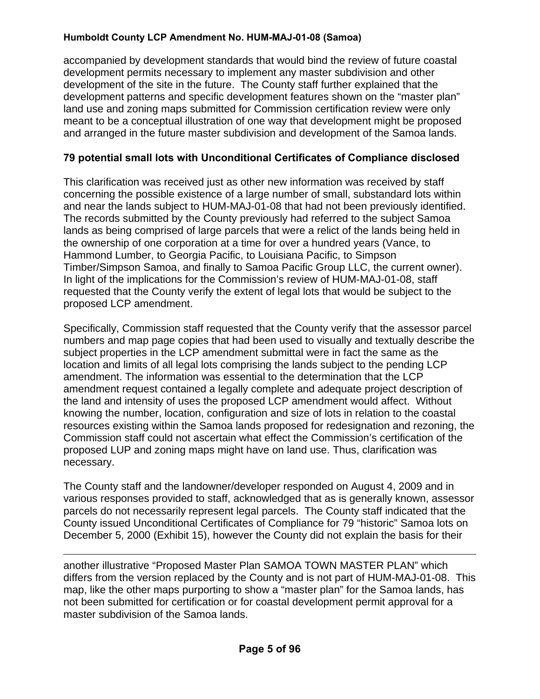accompanied by development standards that would bind the review of future coastal development permits necessary to implement any master subdivision and other development of the site in the future. The County staff further explained that the development patterns and specific development features shown on the "master plan" land use and zoning maps submitted for Commission certification review were only meant to be a conceptual illustration of one way that development might be proposed and arranged in the future master subdivision and development of the Samoa lands.

## **79 potential small lots with Unconditional Certificates of Compliance disclosed**

This clarification was received just as other new information was received by staff concerning the possible existence of a large number of small, substandard lots within and near the lands subject to HUM-MAJ-01-08 that had not been previously identified. The records submitted by the County previously had referred to the subject Samoa lands as being comprised of large parcels that were a relict of the lands being held in the ownership of one corporation at a time for over a hundred years (Vance, to Hammond Lumber, to Georgia Pacific, to Louisiana Pacific, to Simpson Timber/Simpson Samoa, and finally to Samoa Pacific Group LLC, the current owner). In light of the implications for the Commission's review of HUM-MAJ-01-08, staff requested that the County verify the extent of legal lots that would be subject to the proposed LCP amendment.

Specifically, Commission staff requested that the County verify that the assessor parcel numbers and map page copies that had been used to visually and textually describe the subject properties in the LCP amendment submittal were in fact the same as the location and limits of all legal lots comprising the lands subject to the pending LCP amendment. The information was essential to the determination that the LCP amendment request contained a legally complete and adequate project description of the land and intensity of uses the proposed LCP amendment would affect. Without knowing the number, location, configuration and size of lots in relation to the coastal resources existing within the Samoa lands proposed for redesignation and rezoning, the Commission staff could not ascertain what effect the Commission's certification of the proposed LUP and zoning maps might have on land use. Thus, clarification was necessary.

The County staff and the landowner/developer responded on August 4, 2009 and in various responses provided to staff, acknowledged that as is generally known, assessor parcels do not necessarily represent legal parcels. The County staff indicated that the County issued Unconditional Certificates of Compliance for 79 "historic" Samoa lots on December 5, 2000 (Exhibit 15), however the County did not explain the basis for their

<u>.</u> another illustrative "Proposed Master Plan SAMOA TOWN MASTER PLAN" which differs from the version replaced by the County and is not part of HUM-MAJ-01-08. This map, like the other maps purporting to show a "master plan" for the Samoa lands, has not been submitted for certification or for coastal development permit approval for a master subdivision of the Samoa lands.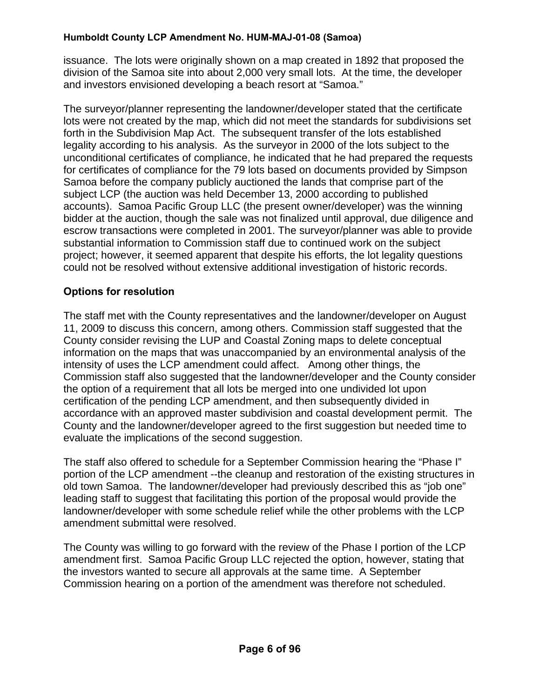issuance. The lots were originally shown on a map created in 1892 that proposed the division of the Samoa site into about 2,000 very small lots. At the time, the developer and investors envisioned developing a beach resort at "Samoa."

The surveyor/planner representing the landowner/developer stated that the certificate lots were not created by the map, which did not meet the standards for subdivisions set forth in the Subdivision Map Act. The subsequent transfer of the lots established legality according to his analysis. As the surveyor in 2000 of the lots subject to the unconditional certificates of compliance, he indicated that he had prepared the requests for certificates of compliance for the 79 lots based on documents provided by Simpson Samoa before the company publicly auctioned the lands that comprise part of the subject LCP (the auction was held December 13, 2000 according to published accounts). Samoa Pacific Group LLC (the present owner/developer) was the winning bidder at the auction, though the sale was not finalized until approval, due diligence and escrow transactions were completed in 2001. The surveyor/planner was able to provide substantial information to Commission staff due to continued work on the subject project; however, it seemed apparent that despite his efforts, the lot legality questions could not be resolved without extensive additional investigation of historic records.

## **Options for resolution**

The staff met with the County representatives and the landowner/developer on August 11, 2009 to discuss this concern, among others. Commission staff suggested that the County consider revising the LUP and Coastal Zoning maps to delete conceptual information on the maps that was unaccompanied by an environmental analysis of the intensity of uses the LCP amendment could affect. Among other things, the Commission staff also suggested that the landowner/developer and the County consider the option of a requirement that all lots be merged into one undivided lot upon certification of the pending LCP amendment, and then subsequently divided in accordance with an approved master subdivision and coastal development permit. The County and the landowner/developer agreed to the first suggestion but needed time to evaluate the implications of the second suggestion.

The staff also offered to schedule for a September Commission hearing the "Phase I" portion of the LCP amendment --the cleanup and restoration of the existing structures in old town Samoa. The landowner/developer had previously described this as "job one" leading staff to suggest that facilitating this portion of the proposal would provide the landowner/developer with some schedule relief while the other problems with the LCP amendment submittal were resolved.

The County was willing to go forward with the review of the Phase I portion of the LCP amendment first. Samoa Pacific Group LLC rejected the option, however, stating that the investors wanted to secure all approvals at the same time. A September Commission hearing on a portion of the amendment was therefore not scheduled.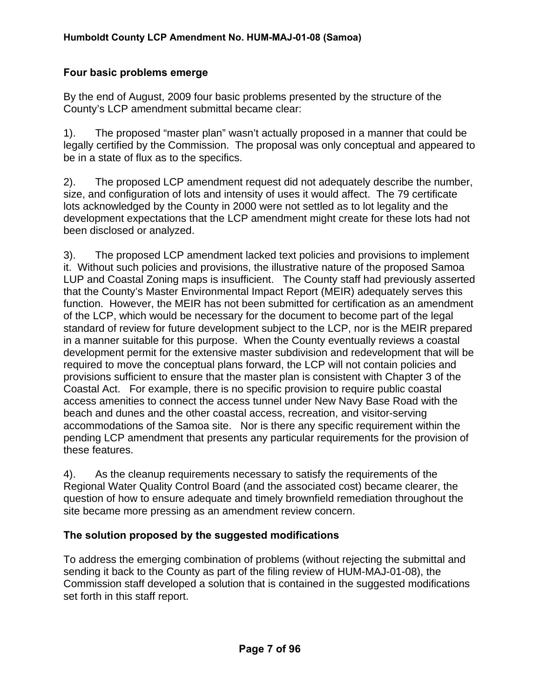#### **Four basic problems emerge**

By the end of August, 2009 four basic problems presented by the structure of the County's LCP amendment submittal became clear:

1). The proposed "master plan" wasn't actually proposed in a manner that could be legally certified by the Commission. The proposal was only conceptual and appeared to be in a state of flux as to the specifics.

2). The proposed LCP amendment request did not adequately describe the number, size, and configuration of lots and intensity of uses it would affect. The 79 certificate lots acknowledged by the County in 2000 were not settled as to lot legality and the development expectations that the LCP amendment might create for these lots had not been disclosed or analyzed.

3). The proposed LCP amendment lacked text policies and provisions to implement it. Without such policies and provisions, the illustrative nature of the proposed Samoa LUP and Coastal Zoning maps is insufficient. The County staff had previously asserted that the County's Master Environmental Impact Report (MEIR) adequately serves this function. However, the MEIR has not been submitted for certification as an amendment of the LCP, which would be necessary for the document to become part of the legal standard of review for future development subject to the LCP, nor is the MEIR prepared in a manner suitable for this purpose. When the County eventually reviews a coastal development permit for the extensive master subdivision and redevelopment that will be required to move the conceptual plans forward, the LCP will not contain policies and provisions sufficient to ensure that the master plan is consistent with Chapter 3 of the Coastal Act. For example, there is no specific provision to require public coastal access amenities to connect the access tunnel under New Navy Base Road with the beach and dunes and the other coastal access, recreation, and visitor-serving accommodations of the Samoa site. Nor is there any specific requirement within the pending LCP amendment that presents any particular requirements for the provision of these features.

4). As the cleanup requirements necessary to satisfy the requirements of the Regional Water Quality Control Board (and the associated cost) became clearer, the question of how to ensure adequate and timely brownfield remediation throughout the site became more pressing as an amendment review concern.

#### **The solution proposed by the suggested modifications**

To address the emerging combination of problems (without rejecting the submittal and sending it back to the County as part of the filing review of HUM-MAJ-01-08), the Commission staff developed a solution that is contained in the suggested modifications set forth in this staff report.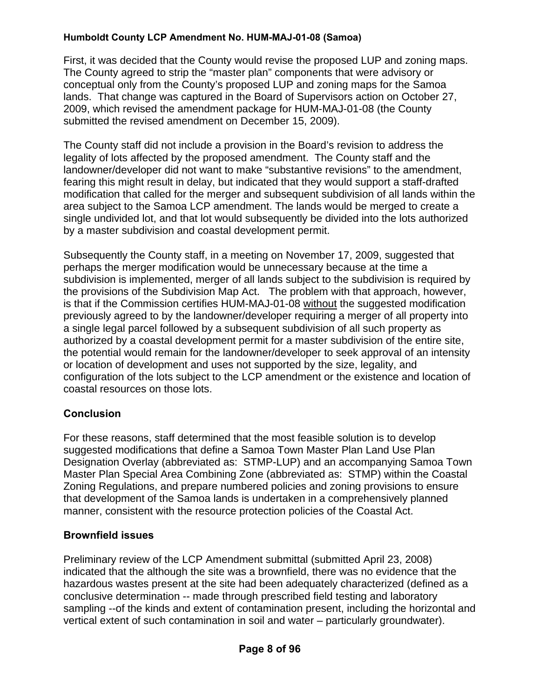First, it was decided that the County would revise the proposed LUP and zoning maps. The County agreed to strip the "master plan" components that were advisory or conceptual only from the County's proposed LUP and zoning maps for the Samoa lands. That change was captured in the Board of Supervisors action on October 27, 2009, which revised the amendment package for HUM-MAJ-01-08 (the County submitted the revised amendment on December 15, 2009).

The County staff did not include a provision in the Board's revision to address the legality of lots affected by the proposed amendment. The County staff and the landowner/developer did not want to make "substantive revisions" to the amendment, fearing this might result in delay, but indicated that they would support a staff-drafted modification that called for the merger and subsequent subdivision of all lands within the area subject to the Samoa LCP amendment. The lands would be merged to create a single undivided lot, and that lot would subsequently be divided into the lots authorized by a master subdivision and coastal development permit.

Subsequently the County staff, in a meeting on November 17, 2009, suggested that perhaps the merger modification would be unnecessary because at the time a subdivision is implemented, merger of all lands subject to the subdivision is required by the provisions of the Subdivision Map Act. The problem with that approach, however, is that if the Commission certifies HUM-MAJ-01-08 without the suggested modification previously agreed to by the landowner/developer requiring a merger of all property into a single legal parcel followed by a subsequent subdivision of all such property as authorized by a coastal development permit for a master subdivision of the entire site, the potential would remain for the landowner/developer to seek approval of an intensity or location of development and uses not supported by the size, legality, and configuration of the lots subject to the LCP amendment or the existence and location of coastal resources on those lots.

## **Conclusion**

For these reasons, staff determined that the most feasible solution is to develop suggested modifications that define a Samoa Town Master Plan Land Use Plan Designation Overlay (abbreviated as: STMP-LUP) and an accompanying Samoa Town Master Plan Special Area Combining Zone (abbreviated as: STMP) within the Coastal Zoning Regulations, and prepare numbered policies and zoning provisions to ensure that development of the Samoa lands is undertaken in a comprehensively planned manner, consistent with the resource protection policies of the Coastal Act.

## **Brownfield issues**

Preliminary review of the LCP Amendment submittal (submitted April 23, 2008) indicated that the although the site was a brownfield, there was no evidence that the hazardous wastes present at the site had been adequately characterized (defined as a conclusive determination -- made through prescribed field testing and laboratory sampling --of the kinds and extent of contamination present, including the horizontal and vertical extent of such contamination in soil and water – particularly groundwater).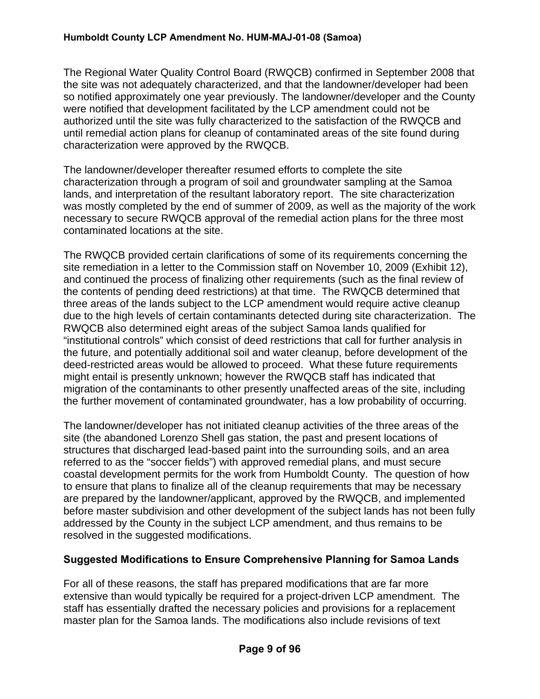The Regional Water Quality Control Board (RWQCB) confirmed in September 2008 that the site was not adequately characterized, and that the landowner/developer had been so notified approximately one year previously. The landowner/developer and the County were notified that development facilitated by the LCP amendment could not be authorized until the site was fully characterized to the satisfaction of the RWQCB and until remedial action plans for cleanup of contaminated areas of the site found during characterization were approved by the RWQCB.

The landowner/developer thereafter resumed efforts to complete the site characterization through a program of soil and groundwater sampling at the Samoa lands, and interpretation of the resultant laboratory report. The site characterization was mostly completed by the end of summer of 2009, as well as the majority of the work necessary to secure RWQCB approval of the remedial action plans for the three most contaminated locations at the site.

The RWQCB provided certain clarifications of some of its requirements concerning the site remediation in a letter to the Commission staff on November 10, 2009 (Exhibit 12), and continued the process of finalizing other requirements (such as the final review of the contents of pending deed restrictions) at that time. The RWQCB determined that three areas of the lands subject to the LCP amendment would require active cleanup due to the high levels of certain contaminants detected during site characterization. The RWQCB also determined eight areas of the subject Samoa lands qualified for "institutional controls" which consist of deed restrictions that call for further analysis in the future, and potentially additional soil and water cleanup, before development of the deed-restricted areas would be allowed to proceed. What these future requirements might entail is presently unknown; however the RWQCB staff has indicated that migration of the contaminants to other presently unaffected areas of the site, including the further movement of contaminated groundwater, has a low probability of occurring.

The landowner/developer has not initiated cleanup activities of the three areas of the site (the abandoned Lorenzo Shell gas station, the past and present locations of structures that discharged lead-based paint into the surrounding soils, and an area referred to as the "soccer fields") with approved remedial plans, and must secure coastal development permits for the work from Humboldt County. The question of how to ensure that plans to finalize all of the cleanup requirements that may be necessary are prepared by the landowner/applicant, approved by the RWQCB, and implemented before master subdivision and other development of the subject lands has not been fully addressed by the County in the subject LCP amendment, and thus remains to be resolved in the suggested modifications.

#### **Suggested Modifications to Ensure Comprehensive Planning for Samoa Lands**

For all of these reasons, the staff has prepared modifications that are far more extensive than would typically be required for a project-driven LCP amendment. The staff has essentially drafted the necessary policies and provisions for a replacement master plan for the Samoa lands. The modifications also include revisions of text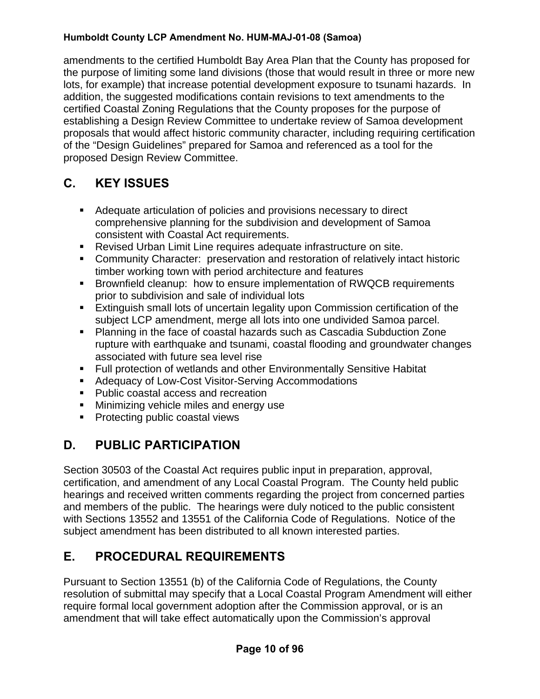amendments to the certified Humboldt Bay Area Plan that the County has proposed for the purpose of limiting some land divisions (those that would result in three or more new lots, for example) that increase potential development exposure to tsunami hazards. In addition, the suggested modifications contain revisions to text amendments to the certified Coastal Zoning Regulations that the County proposes for the purpose of establishing a Design Review Committee to undertake review of Samoa development proposals that would affect historic community character, including requiring certification of the "Design Guidelines" prepared for Samoa and referenced as a tool for the proposed Design Review Committee.

# **C. KEY ISSUES**

- Adequate articulation of policies and provisions necessary to direct comprehensive planning for the subdivision and development of Samoa consistent with Coastal Act requirements.
- Revised Urban Limit Line requires adequate infrastructure on site.
- Community Character: preservation and restoration of relatively intact historic timber working town with period architecture and features
- Brownfield cleanup: how to ensure implementation of RWQCB requirements prior to subdivision and sale of individual lots
- Extinguish small lots of uncertain legality upon Commission certification of the subject LCP amendment, merge all lots into one undivided Samoa parcel.
- Planning in the face of coastal hazards such as Cascadia Subduction Zone rupture with earthquake and tsunami, coastal flooding and groundwater changes associated with future sea level rise
- Full protection of wetlands and other Environmentally Sensitive Habitat
- **Adequacy of Low-Cost Visitor-Serving Accommodations**
- Public coastal access and recreation
- **Minimizing vehicle miles and energy use**
- **Protecting public coastal views**

# **D. PUBLIC PARTICIPATION**

Section 30503 of the Coastal Act requires public input in preparation, approval, certification, and amendment of any Local Coastal Program. The County held public hearings and received written comments regarding the project from concerned parties and members of the public. The hearings were duly noticed to the public consistent with Sections 13552 and 13551 of the California Code of Regulations. Notice of the subject amendment has been distributed to all known interested parties.

# **E. PROCEDURAL REQUIREMENTS**

Pursuant to Section 13551 (b) of the California Code of Regulations, the County resolution of submittal may specify that a Local Coastal Program Amendment will either require formal local government adoption after the Commission approval, or is an amendment that will take effect automatically upon the Commission's approval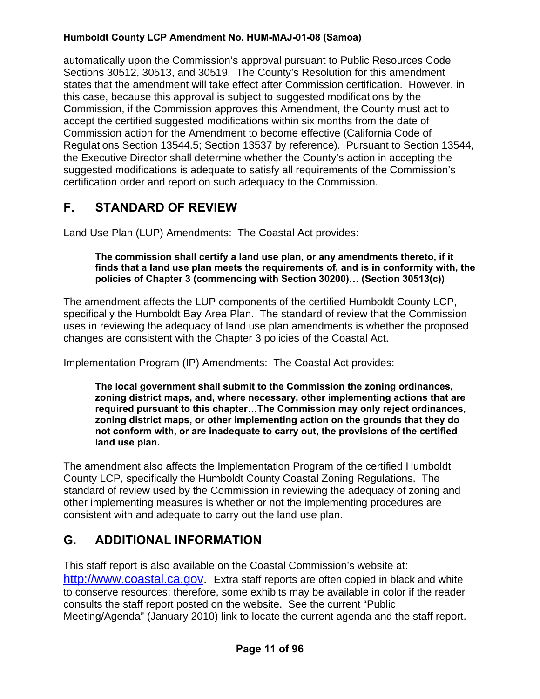automatically upon the Commission's approval pursuant to Public Resources Code Sections 30512, 30513, and 30519. The County's Resolution for this amendment states that the amendment will take effect after Commission certification. However, in this case, because this approval is subject to suggested modifications by the Commission, if the Commission approves this Amendment, the County must act to accept the certified suggested modifications within six months from the date of Commission action for the Amendment to become effective (California Code of Regulations Section 13544.5; Section 13537 by reference). Pursuant to Section 13544, the Executive Director shall determine whether the County's action in accepting the suggested modifications is adequate to satisfy all requirements of the Commission's certification order and report on such adequacy to the Commission.

# **F. STANDARD OF REVIEW**

Land Use Plan (LUP) Amendments: The Coastal Act provides:

#### **The commission shall certify a land use plan, or any amendments thereto, if it finds that a land use plan meets the requirements of, and is in conformity with, the policies of Chapter 3 (commencing with Section 30200)… (Section 30513(c))**

The amendment affects the LUP components of the certified Humboldt County LCP, specifically the Humboldt Bay Area Plan. The standard of review that the Commission uses in reviewing the adequacy of land use plan amendments is whether the proposed changes are consistent with the Chapter 3 policies of the Coastal Act.

Implementation Program (IP) Amendments: The Coastal Act provides:

**The local government shall submit to the Commission the zoning ordinances, zoning district maps, and, where necessary, other implementing actions that are required pursuant to this chapter…The Commission may only reject ordinances, zoning district maps, or other implementing action on the grounds that they do not conform with, or are inadequate to carry out, the provisions of the certified land use plan.** 

The amendment also affects the Implementation Program of the certified Humboldt County LCP, specifically the Humboldt County Coastal Zoning Regulations. The standard of review used by the Commission in reviewing the adequacy of zoning and other implementing measures is whether or not the implementing procedures are consistent with and adequate to carry out the land use plan.

# **G. ADDITIONAL INFORMATION**

This staff report is also available on the Coastal Commission's website at: [http://www.coastal.ca.gov.](http://www.coastal.ca.gov/) Extra staff reports are often copied in black and white to conserve resources; therefore, some exhibits may be available in color if the reader consults the staff report posted on the website. See the current "Public Meeting/Agenda" (January 2010) link to locate the current agenda and the staff report.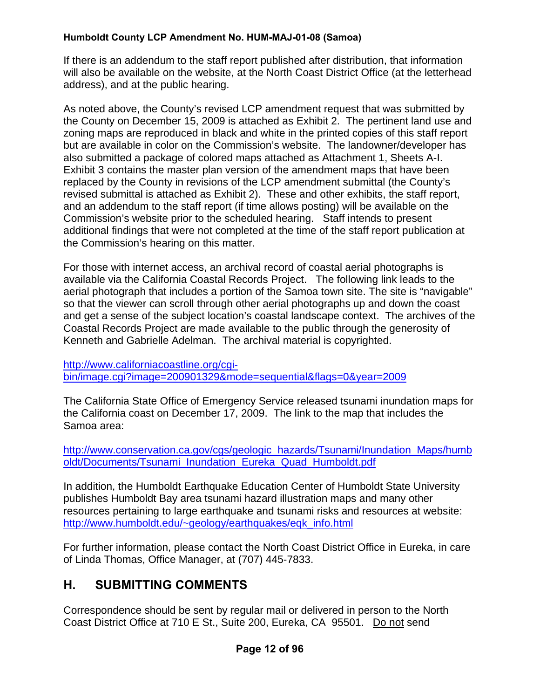If there is an addendum to the staff report published after distribution, that information will also be available on the website, at the North Coast District Office (at the letterhead address), and at the public hearing.

As noted above, the County's revised LCP amendment request that was submitted by the County on December 15, 2009 is attached as Exhibit 2. The pertinent land use and zoning maps are reproduced in black and white in the printed copies of this staff report but are available in color on the Commission's website. The landowner/developer has also submitted a package of colored maps attached as Attachment 1, Sheets A-I. Exhibit 3 contains the master plan version of the amendment maps that have been replaced by the County in revisions of the LCP amendment submittal (the County's revised submittal is attached as Exhibit 2). These and other exhibits, the staff report, and an addendum to the staff report (if time allows posting) will be available on the Commission's website prior to the scheduled hearing. Staff intends to present additional findings that were not completed at the time of the staff report publication at the Commission's hearing on this matter.

For those with internet access, an archival record of coastal aerial photographs is available via the California Coastal Records Project. The following link leads to the aerial photograph that includes a portion of the Samoa town site. The site is "navigable" so that the viewer can scroll through other aerial photographs up and down the coast and get a sense of the subject location's coastal landscape context. The archives of the Coastal Records Project are made available to the public through the generosity of Kenneth and Gabrielle Adelman. The archival material is copyrighted.

[http://www.californiacoastline.org/cgi](http://www.californiacoastline.org/cgi-bin/image.cgi?image=200901329&mode=sequential&flags=0&year=2009)[bin/image.cgi?image=200901329&mode=sequential&flags=0&year=2009](http://www.californiacoastline.org/cgi-bin/image.cgi?image=200901329&mode=sequential&flags=0&year=2009)

The California State Office of Emergency Service released tsunami inundation maps for the California coast on December 17, 2009. The link to the map that includes the Samoa area:

[http://www.conservation.ca.gov/cgs/geologic\\_hazards/Tsunami/Inundation\\_Maps/humb](http://www.conservation.ca.gov/cgs/geologic_hazards/Tsunami/Inundation_Maps/humboldt/Documents/Tsunami_Inundation_Eureka_Quad_Humboldt.pdf) [oldt/Documents/Tsunami\\_Inundation\\_Eureka\\_Quad\\_Humboldt.pdf](http://www.conservation.ca.gov/cgs/geologic_hazards/Tsunami/Inundation_Maps/humboldt/Documents/Tsunami_Inundation_Eureka_Quad_Humboldt.pdf)

In addition, the Humboldt Earthquake Education Center of Humboldt State University publishes Humboldt Bay area tsunami hazard illustration maps and many other resources pertaining to large earthquake and tsunami risks and resources at website: [http://www.humboldt.edu/~geology/earthquakes/eqk\\_info.html](http://www.humboldt.edu/~geology/earthquakes/eqk_info.html)

For further information, please contact the North Coast District Office in Eureka, in care of Linda Thomas, Office Manager, at (707) 445-7833.

# **H. SUBMITTING COMMENTS**

Correspondence should be sent by regular mail or delivered in person to the North Coast District Office at 710 E St., Suite 200, Eureka, CA 95501. Do not send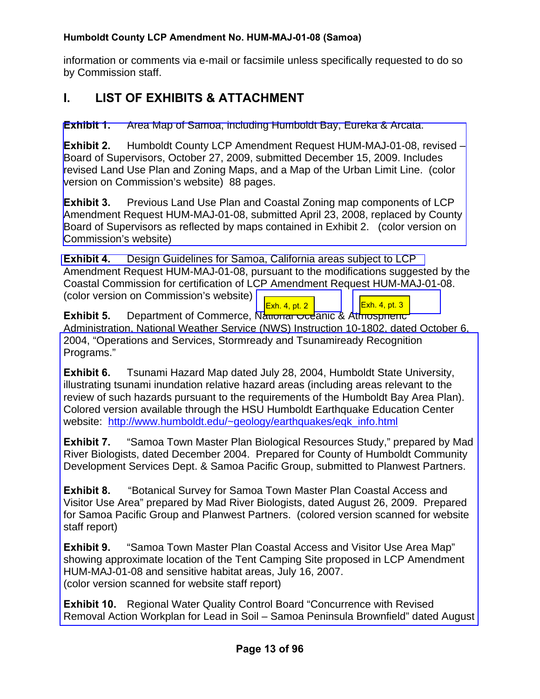information or comments via e-mail or facsimile unless specifically requested to do so by Commission staff.

# **I. LIST OF EXHIBITS & ATTACHMENT**

**Exhibit 1.** Area Map of Samoa, including Humboldt Bay, Eureka & Arcata.

**Exhibit 2.** Humboldt County LCP Amendment Request HUM-MAJ-01-08, revised – Board of Supervisors, October 27, 2009, submitted December 15, 2009. Includes revised Land Use Plan and Zoning Maps, and a Map of the Urban Limit Line. (color version on Commission's website) 88 pages.

**Exhibit 3.** Previous Land Use Plan and Coastal Zoning map components of LCP [Amendment Request HUM-MAJ-01-08, submitted April 23, 2008, replaced by County](http://documents.coastal.ca.gov/reports/2010/1/F11a-1-2010-a1.pdf)  Board of Supervisors as reflected by maps contained in Exhibit 2. (color version on Commission's website)

**Exhibit 4.** [Design Guidelines for Samoa, California areas subject to LCP](http://documents.coastal.ca.gov/reports/2010/1/F11a-1-2010-a2.pdf)  Amendment Request HUM-MAJ-01-08, pursuant to the modifications suggested by the Coastal Commission for certification of LCP Amendment Request HUM-MAJ-01-08. (color version on Commission's website) [Exh. 4, pt. 2](http://documents.coastal.ca.gov/reports/2010/1/F11a-1-2010-a3.pdf) | [Exh. 4, pt. 3](http://documents.coastal.ca.gov/reports/2010/1/F11a-1-2010-a4.pdf)

**Exhibit 5.** Department of Commerce, National Oceanic & Atmospheric Administration, National Weather Service (NWS) Instruction 10-1802, dated October 6, 2004, "Operations and Services, Stormready and Tsunamiready Recognition Programs."

**Exhibit 6.** Tsunami Hazard Map dated July 28, 2004, Humboldt State University, illustrating tsunami inundation relative hazard areas (including areas relevant to the review of such hazards pursuant to the requirements of the Humboldt Bay Area Plan). Colored version available through the HSU Humboldt Earthquake Education Center website: [http://www.humboldt.edu/~geology/earthquakes/eqk\\_info.html](http://www.humboldt.edu/~geology/earthquakes/eqk_info.html)

**Exhibit 7.** "Samoa Town Master Plan Biological Resources Study," prepared by Mad River Biologists, dated December 2004. Prepared for County of Humboldt Community Development Services Dept. & Samoa Pacific Group, submitted to Planwest Partners.

**Exhibit 8.** "Botanical Survey for Samoa Town Master Plan Coastal Access and Visitor Use Area" prepared by Mad River Biologists, dated August 26, 2009. Prepared for Samoa Pacific Group and Planwest Partners. (colored version scanned for website staff report)

**Exhibit 9.** "Samoa Town Master Plan Coastal Access and Visitor Use Area Map" showing approximate location of the Tent Camping Site proposed in LCP Amendment HUM-MAJ-01-08 and sensitive habitat areas, July 16, 2007. (color version scanned for website staff report)

**Exhibit 10.** Regional Water Quality Control Board "Concurrence with Revised [Removal Action Workplan for Lead in Soil – Samoa Peninsula Brownfield" dated August](http://documents.coastal.ca.gov/reports/2010/1/F11a-1-2010-a5.pdf)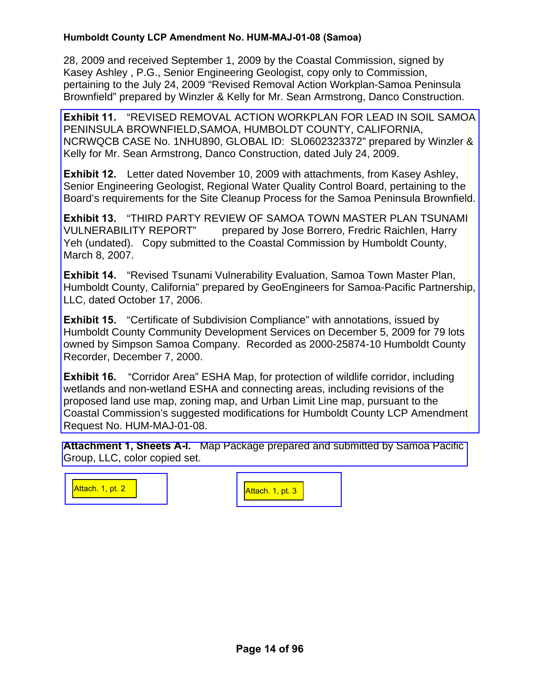28, 2009 and received September 1, 2009 by the Coastal Commission, signed by Kasey Ashley , P.G., Senior Engineering Geologist, copy only to Commission, pertaining to the July 24, 2009 "Revised Removal Action Workplan-Samoa Peninsula Brownfield" prepared by Winzler & Kelly for Mr. Sean Armstrong, Danco Construction.

**Exhibit 11.** "REVISED REMOVAL ACTION WORKPLAN FOR LEAD IN SOIL SAMOA PENINSULA BROWNFIELD,SAMOA, HUMBOLDT COUNTY, CALIFORNIA, NCRWQCB CASE No. 1NHU890, GLOBAL ID: SL0602323372" prepared by Winzler & Kelly for Mr. Sean Armstrong, Danco Construction, dated July 24, 2009.

**Exhibit 12.** Letter dated November 10, 2009 with attachments, from Kasey Ashley, Senior Engineering Geologist, Regional Water Quality Control Board, pertaining to the [Board's requirements for the Site Cleanup Process for the Samoa Peninsula Brownfield.](http://documents.coastal.ca.gov/reports/2010/1/F11a-1-2010-a6.pdf) 

**Exhibit 13.** "THIRD PARTY REVIEW OF SAMOA TOWN MASTER PLAN TSUNAMI VULNERABILITY REPORT" prepared by Jose Borrero, Fredric Raichlen, Harry Yeh (undated). Copy submitted to the Coastal Commission by Humboldt County, March 8, 2007.

**Exhibit 14.** "Revised Tsunami Vulnerability Evaluation, Samoa Town Master Plan, Humboldt County, California" prepared by GeoEngineers for Samoa-Pacific Partnership, LLC, dated October 17, 2006.

**Exhibit 15.** "Certificate of Subdivision Compliance" with annotations, issued by Humboldt County Community Development Services on December 5, 2009 for 79 lots owned by Simpson Samoa Company. Recorded as 2000-25874-10 Humboldt County Recorder, December 7, 2000.

**Exhibit 16.** "Corridor Area" ESHA Map, for protection of wildlife corridor, including wetlands and non-wetland ESHA and connecting areas, including revisions of the proposed land use map, zoning map, and Urban Limit Line map, pursuant to the Coastal Commission's suggested modifications for Humboldt County LCP Amendment Request No. HUM-MAJ-01-08.

**Attachment 1, Sheets A-I.** [Map Package prepared and submitted by Samoa Pacific](http://documents.coastal.ca.gov/reports/2010/1/F11a-1-2010-a7.pdf)  Group, LLC, color copied set.

[Attach. 1, pt. 2](http://documents.coastal.ca.gov/reports/2010/1/F11a-1-2010-a8.pdf) [Attach. 1, pt. 3](http://documents.coastal.ca.gov/reports/2010/1/F11a-1-2010-a9.pdf)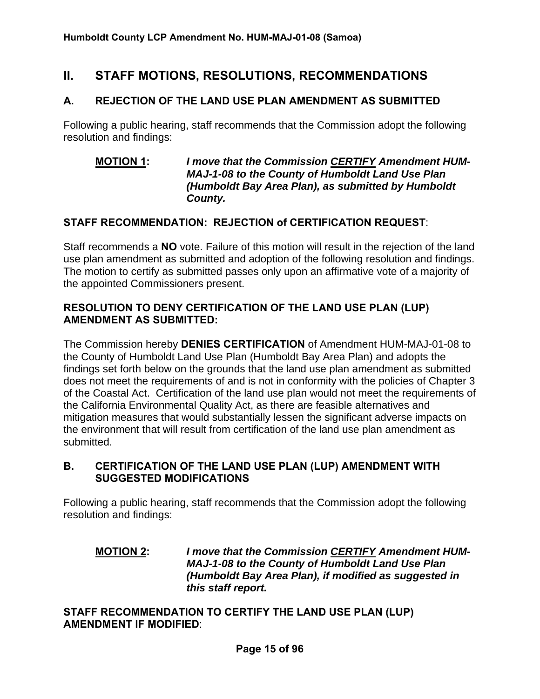# **II. STAFF MOTIONS, RESOLUTIONS, RECOMMENDATIONS**

#### **A. REJECTION OF THE LAND USE PLAN AMENDMENT AS SUBMITTED**

Following a public hearing, staff recommends that the Commission adopt the following resolution and findings:

#### **MOTION 1:** *I move that the Commission CERTIFY Amendment HUM-MAJ-1-08 to the County of Humboldt Land Use Plan (Humboldt Bay Area Plan), as submitted by Humboldt County.*

#### **STAFF RECOMMENDATION: REJECTION of CERTIFICATION REQUEST**:

Staff recommends a **NO** vote. Failure of this motion will result in the rejection of the land use plan amendment as submitted and adoption of the following resolution and findings. The motion to certify as submitted passes only upon an affirmative vote of a majority of the appointed Commissioners present.

#### **RESOLUTION TO DENY CERTIFICATION OF THE LAND USE PLAN (LUP) AMENDMENT AS SUBMITTED:**

The Commission hereby **DENIES CERTIFICATION** of Amendment HUM-MAJ-01-08 to the County of Humboldt Land Use Plan (Humboldt Bay Area Plan) and adopts the findings set forth below on the grounds that the land use plan amendment as submitted does not meet the requirements of and is not in conformity with the policies of Chapter 3 of the Coastal Act. Certification of the land use plan would not meet the requirements of the California Environmental Quality Act, as there are feasible alternatives and mitigation measures that would substantially lessen the significant adverse impacts on the environment that will result from certification of the land use plan amendment as submitted.

#### **B. CERTIFICATION OF THE LAND USE PLAN (LUP) AMENDMENT WITH SUGGESTED MODIFICATIONS**

Following a public hearing, staff recommends that the Commission adopt the following resolution and findings:

#### **MOTION 2:** *I move that the Commission CERTIFY Amendment HUM-MAJ-1-08 to the County of Humboldt Land Use Plan (Humboldt Bay Area Plan), if modified as suggested in this staff report.*

**STAFF RECOMMENDATION TO CERTIFY THE LAND USE PLAN (LUP) AMENDMENT IF MODIFIED**: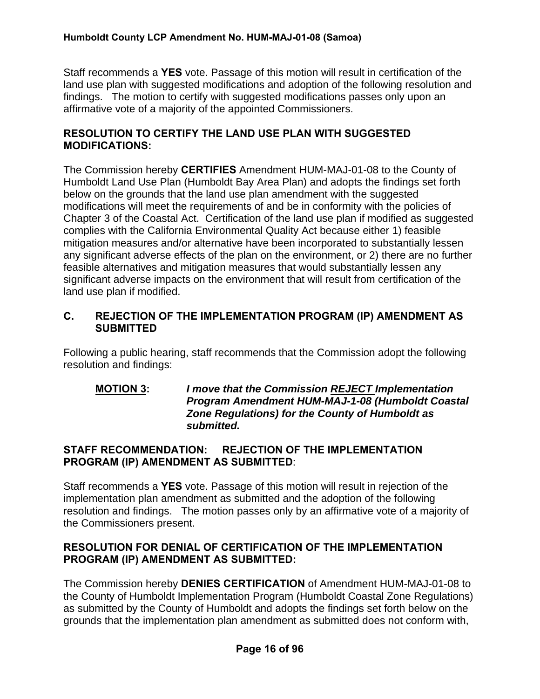Staff recommends a **YES** vote. Passage of this motion will result in certification of the land use plan with suggested modifications and adoption of the following resolution and findings. The motion to certify with suggested modifications passes only upon an affirmative vote of a majority of the appointed Commissioners.

#### **RESOLUTION TO CERTIFY THE LAND USE PLAN WITH SUGGESTED MODIFICATIONS:**

The Commission hereby **CERTIFIES** Amendment HUM-MAJ-01-08 to the County of Humboldt Land Use Plan (Humboldt Bay Area Plan) and adopts the findings set forth below on the grounds that the land use plan amendment with the suggested modifications will meet the requirements of and be in conformity with the policies of Chapter 3 of the Coastal Act. Certification of the land use plan if modified as suggested complies with the California Environmental Quality Act because either 1) feasible mitigation measures and/or alternative have been incorporated to substantially lessen any significant adverse effects of the plan on the environment, or 2) there are no further feasible alternatives and mitigation measures that would substantially lessen any significant adverse impacts on the environment that will result from certification of the land use plan if modified.

#### **C. REJECTION OF THE IMPLEMENTATION PROGRAM (IP) AMENDMENT AS SUBMITTED**

Following a public hearing, staff recommends that the Commission adopt the following resolution and findings:

#### **MOTION 3:** *I move that the Commission REJECT Implementation Program Amendment HUM-MAJ-1-08 (Humboldt Coastal Zone Regulations) for the County of Humboldt as submitted.*

#### **STAFF RECOMMENDATION: REJECTION OF THE IMPLEMENTATION PROGRAM (IP) AMENDMENT AS SUBMITTED**:

Staff recommends a **YES** vote. Passage of this motion will result in rejection of the implementation plan amendment as submitted and the adoption of the following resolution and findings. The motion passes only by an affirmative vote of a majority of the Commissioners present.

#### **RESOLUTION FOR DENIAL OF CERTIFICATION OF THE IMPLEMENTATION PROGRAM (IP) AMENDMENT AS SUBMITTED:**

The Commission hereby **DENIES CERTIFICATION** of Amendment HUM-MAJ-01-08 to the County of Humboldt Implementation Program (Humboldt Coastal Zone Regulations) as submitted by the County of Humboldt and adopts the findings set forth below on the grounds that the implementation plan amendment as submitted does not conform with,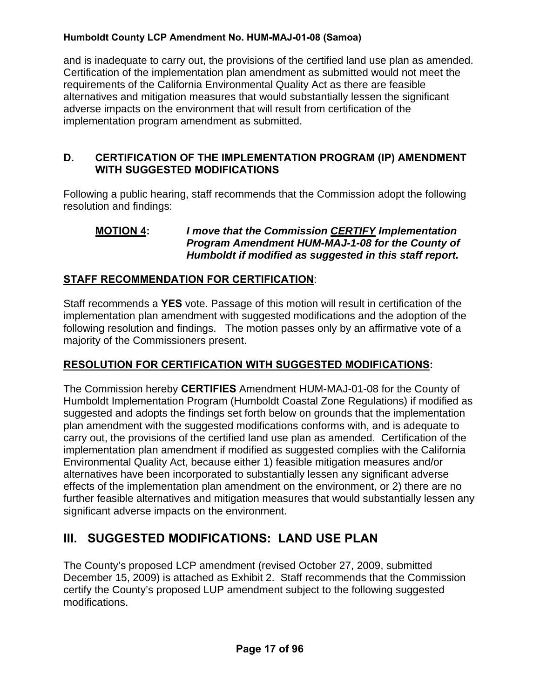and is inadequate to carry out, the provisions of the certified land use plan as amended. Certification of the implementation plan amendment as submitted would not meet the requirements of the California Environmental Quality Act as there are feasible alternatives and mitigation measures that would substantially lessen the significant adverse impacts on the environment that will result from certification of the implementation program amendment as submitted.

#### **D. CERTIFICATION OF THE IMPLEMENTATION PROGRAM (IP) AMENDMENT WITH SUGGESTED MODIFICATIONS**

Following a public hearing, staff recommends that the Commission adopt the following resolution and findings:

#### **MOTION 4:** *I move that the Commission CERTIFY Implementation Program Amendment HUM-MAJ-1-08 for the County of Humboldt if modified as suggested in this staff report.*

## **STAFF RECOMMENDATION FOR CERTIFICATION**:

Staff recommends a **YES** vote. Passage of this motion will result in certification of the implementation plan amendment with suggested modifications and the adoption of the following resolution and findings. The motion passes only by an affirmative vote of a majority of the Commissioners present.

#### **RESOLUTION FOR CERTIFICATION WITH SUGGESTED MODIFICATIONS:**

The Commission hereby **CERTIFIES** Amendment HUM-MAJ-01-08 for the County of Humboldt Implementation Program (Humboldt Coastal Zone Regulations) if modified as suggested and adopts the findings set forth below on grounds that the implementation plan amendment with the suggested modifications conforms with, and is adequate to carry out, the provisions of the certified land use plan as amended. Certification of the implementation plan amendment if modified as suggested complies with the California Environmental Quality Act, because either 1) feasible mitigation measures and/or alternatives have been incorporated to substantially lessen any significant adverse effects of the implementation plan amendment on the environment, or 2) there are no further feasible alternatives and mitigation measures that would substantially lessen any significant adverse impacts on the environment.

# **III. SUGGESTED MODIFICATIONS: LAND USE PLAN**

The County's proposed LCP amendment (revised October 27, 2009, submitted December 15, 2009) is attached as Exhibit 2. Staff recommends that the Commission certify the County's proposed LUP amendment subject to the following suggested modifications.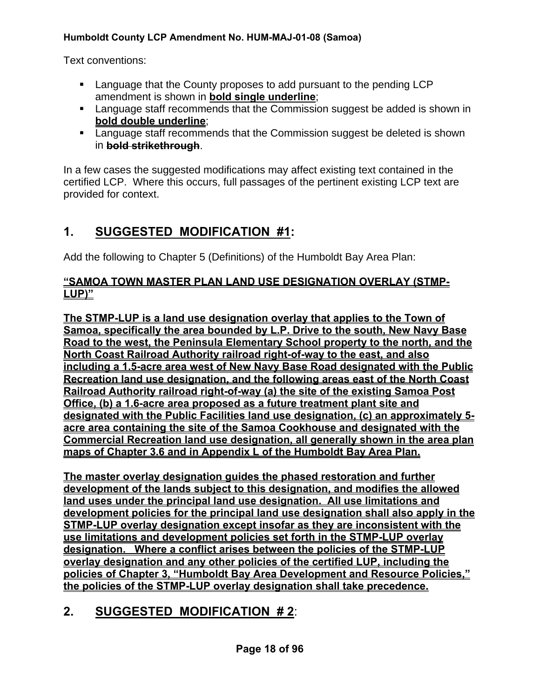Text conventions:

- Language that the County proposes to add pursuant to the pending LCP amendment is shown in **bold single underline**;
- Language staff recommends that the Commission suggest be added is shown in **bold double underline**;
- **EXECT** Language staff recommends that the Commission suggest be deleted is shown in **bold strikethrough**.

In a few cases the suggested modifications may affect existing text contained in the certified LCP. Where this occurs, full passages of the pertinent existing LCP text are provided for context.

# **1. SUGGESTED MODIFICATION #1:**

Add the following to Chapter 5 (Definitions) of the Humboldt Bay Area Plan:

## **"SAMOA TOWN MASTER PLAN LAND USE DESIGNATION OVERLAY (STMP-LUP)"**

**The STMP-LUP is a land use designation overlay that applies to the Town of Samoa, specifically the area bounded by L.P. Drive to the south, New Navy Base Road to the west, the Peninsula Elementary School property to the north, and the North Coast Railroad Authority railroad right-of-way to the east, and also including a 1.5-acre area west of New Navy Base Road designated with the Public Recreation land use designation, and the following areas east of the North Coast Railroad Authority railroad right-of-way (a) the site of the existing Samoa Post Office, (b) a 1.6-acre area proposed as a future treatment plant site and designated with the Public Facilities land use designation, (c) an approximately 5 acre area containing the site of the Samoa Cookhouse and designated with the Commercial Recreation land use designation, all generally shown in the area plan maps of Chapter 3.6 and in Appendix L of the Humboldt Bay Area Plan.** 

**The master overlay designation guides the phased restoration and further development of the lands subject to this designation, and modifies the allowed land uses under the principal land use designation. All use limitations and development policies for the principal land use designation shall also apply in the STMP-LUP overlay designation except insofar as they are inconsistent with the use limitations and development policies set forth in the STMP-LUP overlay designation. Where a conflict arises between the policies of the STMP-LUP overlay designation and any other policies of the certified LUP, including the policies of Chapter 3, "Humboldt Bay Area Development and Resource Policies," the policies of the STMP-LUP overlay designation shall take precedence.** 

# **2. SUGGESTED MODIFICATION # 2**: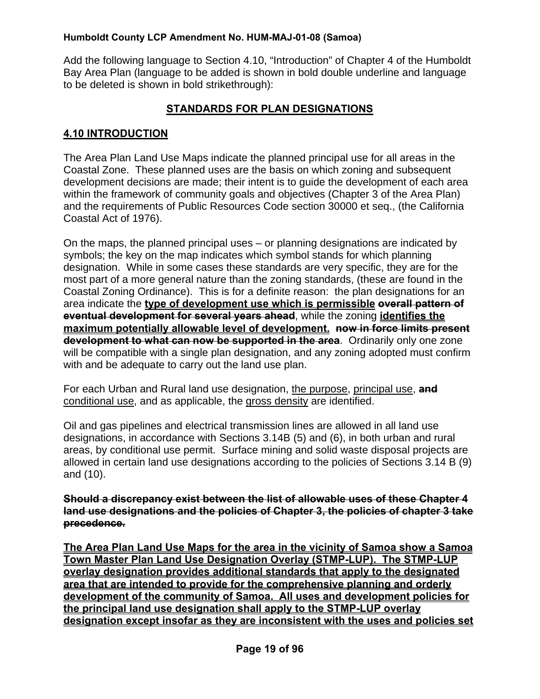Add the following language to Section 4.10, "Introduction" of Chapter 4 of the Humboldt Bay Area Plan (language to be added is shown in bold double underline and language to be deleted is shown in bold strikethrough):

## **STANDARDS FOR PLAN DESIGNATIONS**

#### **4.10 INTRODUCTION**

The Area Plan Land Use Maps indicate the planned principal use for all areas in the Coastal Zone. These planned uses are the basis on which zoning and subsequent development decisions are made; their intent is to guide the development of each area within the framework of community goals and objectives (Chapter 3 of the Area Plan) and the requirements of Public Resources Code section 30000 et seq., (the California Coastal Act of 1976).

On the maps, the planned principal uses – or planning designations are indicated by symbols; the key on the map indicates which symbol stands for which planning designation. While in some cases these standards are very specific, they are for the most part of a more general nature than the zoning standards, (these are found in the Coastal Zoning Ordinance). This is for a definite reason: the plan designations for an area indicate the **type of development use which is permissible overall pattern of eventual development for several years ahead**, while the zoning **identifies the maximum potentially allowable level of development. now in force limits present development to what can now be supported in the area**. Ordinarily only one zone will be compatible with a single plan designation, and any zoning adopted must confirm with and be adequate to carry out the land use plan.

For each Urban and Rural land use designation, the purpose, principal use, **and**  conditional use, and as applicable, the gross density are identified.

Oil and gas pipelines and electrical transmission lines are allowed in all land use designations, in accordance with Sections 3.14B (5) and (6), in both urban and rural areas, by conditional use permit. Surface mining and solid waste disposal projects are allowed in certain land use designations according to the policies of Sections 3.14 B (9) and (10).

**Should a discrepancy exist between the list of allowable uses of these Chapter 4 land use designations and the policies of Chapter 3, the policies of chapter 3 take precedence.** 

**The Area Plan Land Use Maps for the area in the vicinity of Samoa show a Samoa Town Master Plan Land Use Designation Overlay (STMP-LUP). The STMP-LUP overlay designation provides additional standards that apply to the designated area that are intended to provide for the comprehensive planning and orderly development of the community of Samoa. All uses and development policies for the principal land use designation shall apply to the STMP-LUP overlay designation except insofar as they are inconsistent with the uses and policies set**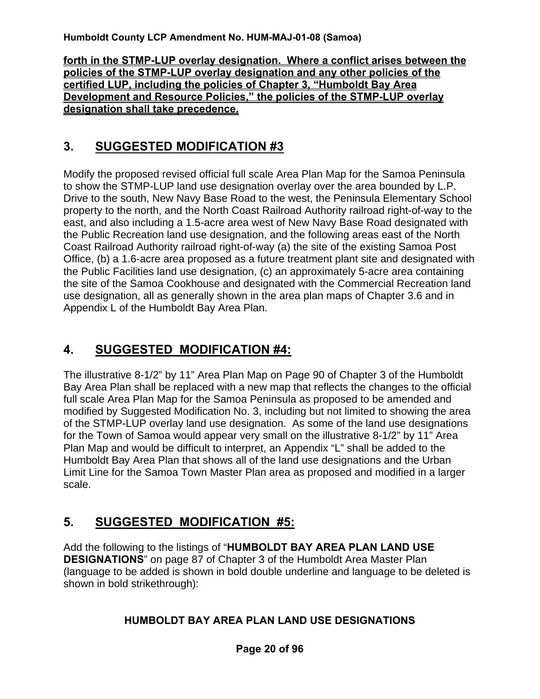**forth in the STMP-LUP overlay designation. Where a conflict arises between the policies of the STMP-LUP overlay designation and any other policies of the certified LUP, including the policies of Chapter 3, "Humboldt Bay Area Development and Resource Policies," the policies of the STMP-LUP overlay designation shall take precedence.**

# **3. SUGGESTED MODIFICATION #3**

Modify the proposed revised official full scale Area Plan Map for the Samoa Peninsula to show the STMP-LUP land use designation overlay over the area bounded by L.P. Drive to the south, New Navy Base Road to the west, the Peninsula Elementary School property to the north, and the North Coast Railroad Authority railroad right-of-way to the east, and also including a 1.5-acre area west of New Navy Base Road designated with the Public Recreation land use designation, and the following areas east of the North Coast Railroad Authority railroad right-of-way (a) the site of the existing Samoa Post Office, (b) a 1.6-acre area proposed as a future treatment plant site and designated with the Public Facilities land use designation, (c) an approximately 5-acre area containing the site of the Samoa Cookhouse and designated with the Commercial Recreation land use designation, all as generally shown in the area plan maps of Chapter 3.6 and in Appendix L of the Humboldt Bay Area Plan.

# **4. SUGGESTED MODIFICATION #4:**

The illustrative 8-1/2" by 11" Area Plan Map on Page 90 of Chapter 3 of the Humboldt Bay Area Plan shall be replaced with a new map that reflects the changes to the official full scale Area Plan Map for the Samoa Peninsula as proposed to be amended and modified by Suggested Modification No. 3, including but not limited to showing the area of the STMP-LUP overlay land use designation. As some of the land use designations for the Town of Samoa would appear very small on the illustrative 8-1/2" by 11" Area Plan Map and would be difficult to interpret, an Appendix "L" shall be added to the Humboldt Bay Area Plan that shows all of the land use designations and the Urban Limit Line for the Samoa Town Master Plan area as proposed and modified in a larger scale.

# **5. SUGGESTED MODIFICATION #5:**

Add the following to the listings of "**HUMBOLDT BAY AREA PLAN LAND USE DESIGNATIONS**" on page 87 of Chapter 3 of the Humboldt Area Master Plan (language to be added is shown in bold double underline and language to be deleted is shown in bold strikethrough):

## **HUMBOLDT BAY AREA PLAN LAND USE DESIGNATIONS**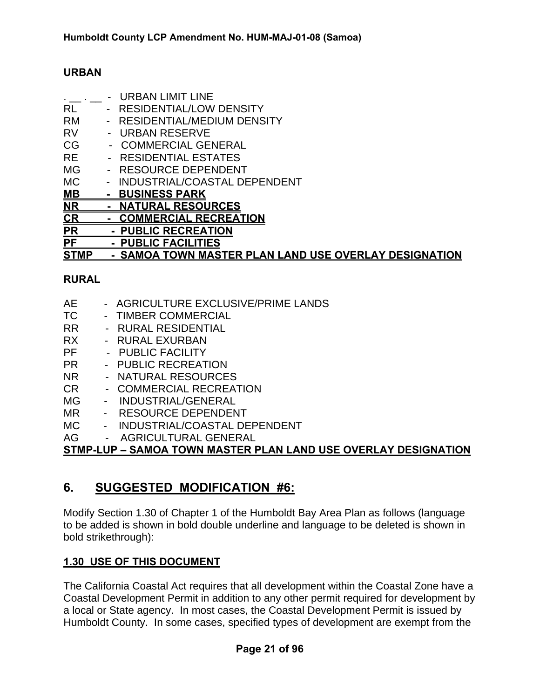#### **URBAN**

|           | <b>URBAN LIMIT LINE</b>           |
|-----------|-----------------------------------|
| RL        | <b>RESIDENTIAL/LOW DENSITY</b>    |
| <b>RM</b> | <b>RESIDENTIAL/MEDIUM DENSITY</b> |
| RV        | - URBAN RESERVE                   |
| CG        | <b>COMMERCIAL GENERAL</b>         |
| <b>RE</b> | <b>RESIDENTIAL ESTATES</b>        |
| <b>MG</b> | <b>RESOURCE DEPENDENT</b>         |
| МC        | INDUSTRIAL/COASTAL DEPENDENT      |
| MВ        | <u>BUSINESS PARK</u>              |
| ΝR        | <b>NATURAL RESOURCES</b>          |
| <u>CR</u> | <b>COMMERCIAL RECREATION</b>      |
| PR        | <b>PUBLIC RECREATION</b>          |
| РF        | <b>PUBLIC FACILITIES</b>          |
|           |                                   |

#### **STMP - SAMOA TOWN MASTER PLAN LAND USE OVERLAY DESIGNATION**

#### **RURAL**

| AE | - AGRICULTURE EXCLUSIVE/PRIME LANDS |
|----|-------------------------------------|
| ТC | <b>TIMBER COMMERCIAL</b>            |

- RR RURAL RESIDENTIAL
- RX RURAL EXURBAN
- PF PUBLIC FACILITY
- PR PUBLIC RECREATION
- NR NATURAL RESOURCES
- CR COMMERCIAL RECREATION
- MG INDUSTRIAL/GENERAL
- MR RESOURCE DEPENDENT
- MC INDUSTRIAL/COASTAL DEPENDENT
- AG AGRICULTURAL GENERAL

**STMP-LUP – SAMOA TOWN MASTER PLAN LAND USE OVERLAY DESIGNATION**

# **6. SUGGESTED MODIFICATION #6:**

Modify Section 1.30 of Chapter 1 of the Humboldt Bay Area Plan as follows (language to be added is shown in bold double underline and language to be deleted is shown in bold strikethrough):

#### **1.30 USE OF THIS DOCUMENT**

The California Coastal Act requires that all development within the Coastal Zone have a Coastal Development Permit in addition to any other permit required for development by a local or State agency. In most cases, the Coastal Development Permit is issued by Humboldt County. In some cases, specified types of development are exempt from the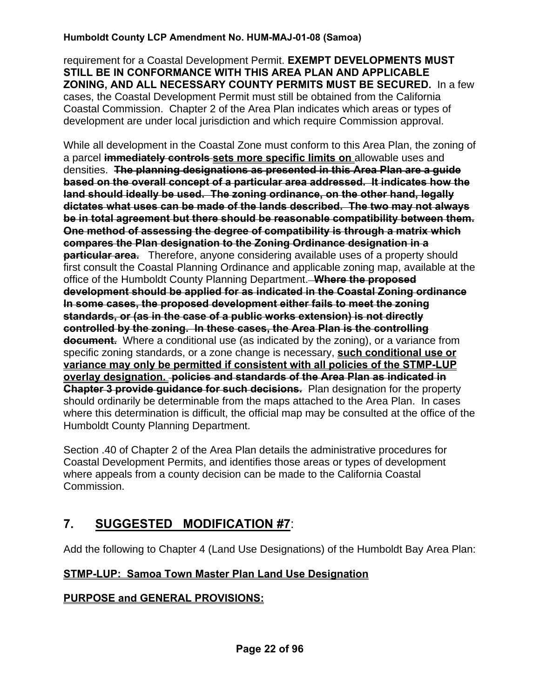requirement for a Coastal Development Permit. **EXEMPT DEVELOPMENTS MUST STILL BE IN CONFORMANCE WITH THIS AREA PLAN AND APPLICABLE ZONING, AND ALL NECESSARY COUNTY PERMITS MUST BE SECURED.** In a few cases, the Coastal Development Permit must still be obtained from the California Coastal Commission. Chapter 2 of the Area Plan indicates which areas or types of development are under local jurisdiction and which require Commission approval.

While all development in the Coastal Zone must conform to this Area Plan, the zoning of a parcel **immediately controls sets more specific limits on** allowable uses and densities. **The planning designations as presented in this Area Plan are a guide based on the overall concept of a particular area addressed. It indicates how the land should ideally be used. The zoning ordinance, on the other hand, legally dictates what uses can be made of the lands described. The two may not always be in total agreement but there should be reasonable compatibility between them. One method of assessing the degree of compatibility is through a matrix which compares the Plan designation to the Zoning Ordinance designation in a particular area.** Therefore, anyone considering available uses of a property should first consult the Coastal Planning Ordinance and applicable zoning map, available at the office of the Humboldt County Planning Department. **Where the proposed development should be applied for as indicated in the Coastal Zoning ordinance In some cases, the proposed development either fails to meet the zoning standards, or (as in the case of a public works extension) is not directly controlled by the zoning. In these cases, the Area Plan is the controlling document.** Where a conditional use (as indicated by the zoning), or a variance from specific zoning standards, or a zone change is necessary, **such conditional use or variance may only be permitted if consistent with all policies of the STMP-LUP overlay designation. policies and standards of the Area Plan as indicated in Chapter 3 provide quidance for such decisions.** Plan designation for the property should ordinarily be determinable from the maps attached to the Area Plan. In cases where this determination is difficult, the official map may be consulted at the office of the Humboldt County Planning Department.

Section .40 of Chapter 2 of the Area Plan details the administrative procedures for Coastal Development Permits, and identifies those areas or types of development where appeals from a county decision can be made to the California Coastal Commission.

# **7. SUGGESTED MODIFICATION #7**:

Add the following to Chapter 4 (Land Use Designations) of the Humboldt Bay Area Plan:

## **STMP-LUP: Samoa Town Master Plan Land Use Designation**

## **PURPOSE and GENERAL PROVISIONS:**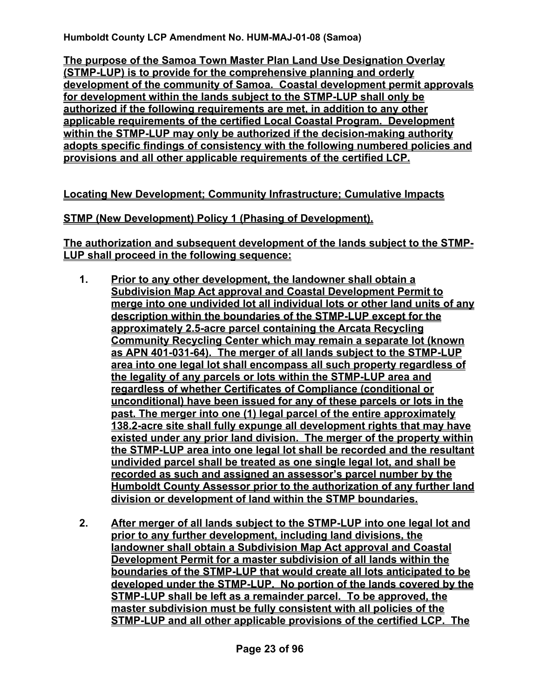**The purpose of the Samoa Town Master Plan Land Use Designation Overlay (STMP-LUP) is to provide for the comprehensive planning and orderly development of the community of Samoa. Coastal development permit approvals for development within the lands subject to the STMP-LUP shall only be authorized if the following requirements are met, in addition to any other applicable requirements of the certified Local Coastal Program. Development within the STMP-LUP may only be authorized if the decision-making authority adopts specific findings of consistency with the following numbered policies and provisions and all other applicable requirements of the certified LCP.**

**Locating New Development; Community Infrastructure; Cumulative Impacts**

## **STMP (New Development) Policy 1 (Phasing of Development).**

**The authorization and subsequent development of the lands subject to the STMP-LUP shall proceed in the following sequence:**

- **1. Prior to any other development, the landowner shall obtain a Subdivision Map Act approval and Coastal Development Permit to merge into one undivided lot all individual lots or other land units of any description within the boundaries of the STMP-LUP except for the approximately 2.5-acre parcel containing the Arcata Recycling Community Recycling Center which may remain a separate lot (known as APN 401-031-64). The merger of all lands subject to the STMP-LUP area into one legal lot shall encompass all such property regardless of the legality of any parcels or lots within the STMP-LUP area and regardless of whether Certificates of Compliance (conditional or unconditional) have been issued for any of these parcels or lots in the past. The merger into one (1) legal parcel of the entire approximately 138.2-acre site shall fully expunge all development rights that may have existed under any prior land division. The merger of the property within the STMP-LUP area into one legal lot shall be recorded and the resultant undivided parcel shall be treated as one single legal lot, and shall be recorded as such and assigned an assessor's parcel number by the Humboldt County Assessor prior to the authorization of any further land division or development of land within the STMP boundaries.**
- **2. After merger of all lands subject to the STMP-LUP into one legal lot and prior to any further development, including land divisions, the landowner shall obtain a Subdivision Map Act approval and Coastal Development Permit for a master subdivision of all lands within the boundaries of the STMP-LUP that would create all lots anticipated to be developed under the STMP-LUP. No portion of the lands covered by the STMP-LUP shall be left as a remainder parcel. To be approved, the master subdivision must be fully consistent with all policies of the STMP-LUP and all other applicable provisions of the certified LCP. The**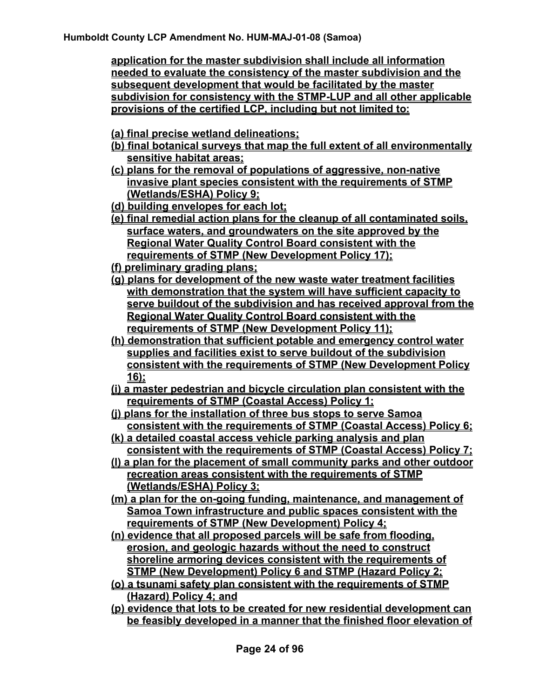**application for the master subdivision shall include all information needed to evaluate the consistency of the master subdivision and the subsequent development that would be facilitated by the master subdivision for consistency with the STMP-LUP and all other applicable provisions of the certified LCP, including but not limited to:** 

- **(a) final precise wetland delineations;**
- **(b) final botanical surveys that map the full extent of all environmentally sensitive habitat areas;**
- **(c) plans for the removal of populations of aggressive, non-native invasive plant species consistent with the requirements of STMP (Wetlands/ESHA) Policy 9;**
- **(d) building envelopes for each lot;**
- **(e) final remedial action plans for the cleanup of all contaminated soils, surface waters, and groundwaters on the site approved by the Regional Water Quality Control Board consistent with the requirements of STMP (New Development Policy 17);**
- **(f) preliminary grading plans;**
- **(g) plans for development of the new waste water treatment facilities with demonstration that the system will have sufficient capacity to serve buildout of the subdivision and has received approval from the Regional Water Quality Control Board consistent with the requirements of STMP (New Development Policy 11);**
- **(h) demonstration that sufficient potable and emergency control water supplies and facilities exist to serve buildout of the subdivision consistent with the requirements of STMP (New Development Policy 16);**
- **(i) a master pedestrian and bicycle circulation plan consistent with the requirements of STMP (Coastal Access) Policy 1;**
- **(j) plans for the installation of three bus stops to serve Samoa consistent with the requirements of STMP (Coastal Access) Policy 6;**
- **(k) a detailed coastal access vehicle parking analysis and plan consistent with the requirements of STMP (Coastal Access) Policy 7;**
- **(l) a plan for the placement of small community parks and other outdoor recreation areas consistent with the requirements of STMP (Wetlands/ESHA) Policy 3;**
- **(m) a plan for the on-going funding, maintenance, and management of Samoa Town infrastructure and public spaces consistent with the requirements of STMP (New Development) Policy 4;**
- **(n) evidence that all proposed parcels will be safe from flooding, erosion, and geologic hazards without the need to construct shoreline armoring devices consistent with the requirements of STMP (New Development) Policy 6 and STMP (Hazard Policy 2;**
- **(o) a tsunami safety plan consistent with the requirements of STMP (Hazard) Policy 4; and**
- **(p) evidence that lots to be created for new residential development can be feasibly developed in a manner that the finished floor elevation of**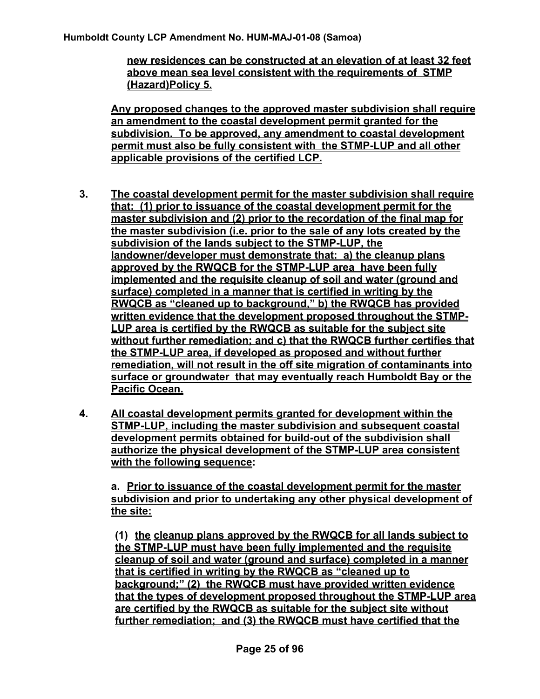**new residences can be constructed at an elevation of at least 32 feet above mean sea level consistent with the requirements of STMP (Hazard)Policy 5.** 

**Any proposed changes to the approved master subdivision shall require an amendment to the coastal development permit granted for the subdivision. To be approved, any amendment to coastal development permit must also be fully consistent with the STMP-LUP and all other applicable provisions of the certified LCP.** 

- **3. The coastal development permit for the master subdivision shall require that: (1) prior to issuance of the coastal development permit for the master subdivision and (2) prior to the recordation of the final map for the master subdivision (i.e. prior to the sale of any lots created by the subdivision of the lands subject to the STMP-LUP, the landowner/developer must demonstrate that: a) the cleanup plans approved by the RWQCB for the STMP-LUP area have been fully implemented and the requisite cleanup of soil and water (ground and surface) completed in a manner that is certified in writing by the RWQCB as "cleaned up to background," b) the RWQCB has provided written evidence that the development proposed throughout the STMP-LUP area is certified by the RWQCB as suitable for the subject site without further remediation; and c) that the RWQCB further certifies that the STMP-LUP area, if developed as proposed and without further remediation, will not result in the off site migration of contaminants into surface or groundwater that may eventually reach Humboldt Bay or the Pacific Ocean.**
- **4. All coastal development permits granted for development within the STMP-LUP, including the master subdivision and subsequent coastal development permits obtained for build-out of the subdivision shall authorize the physical development of the STMP-LUP area consistent with the following sequence:**

**a. Prior to issuance of the coastal development permit for the master subdivision and prior to undertaking any other physical development of the site:**

**(1) the cleanup plans approved by the RWQCB for all lands subject to the STMP-LUP must have been fully implemented and the requisite cleanup of soil and water (ground and surface) completed in a manner that is certified in writing by the RWQCB as "cleaned up to background;" (2) the RWQCB must have provided written evidence that the types of development proposed throughout the STMP-LUP area are certified by the RWQCB as suitable for the subject site without further remediation; and (3) the RWQCB must have certified that the**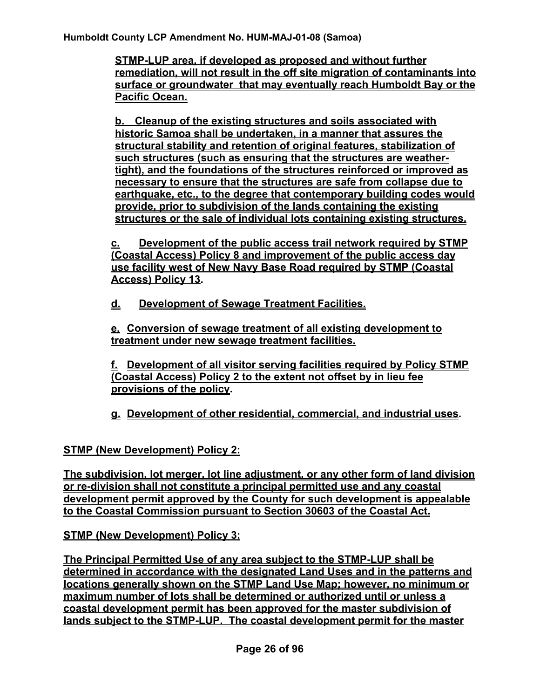**STMP-LUP area, if developed as proposed and without further remediation, will not result in the off site migration of contaminants into surface or groundwater that may eventually reach Humboldt Bay or the Pacific Ocean.** 

**b. Cleanup of the existing structures and soils associated with historic Samoa shall be undertaken, in a manner that assures the structural stability and retention of original features, stabilization of such structures (such as ensuring that the structures are weathertight), and the foundations of the structures reinforced or improved as necessary to ensure that the structures are safe from collapse due to earthquake, etc., to the degree that contemporary building codes would provide, prior to subdivision of the lands containing the existing structures or the sale of individual lots containing existing structures.**

**c. Development of the public access trail network required by STMP (Coastal Access) Policy 8 and improvement of the public access day use facility west of New Navy Base Road required by STMP (Coastal Access) Policy 13.** 

**d. Development of Sewage Treatment Facilities.**

**e. Conversion of sewage treatment of all existing development to treatment under new sewage treatment facilities.**

**f. Development of all visitor serving facilities required by Policy STMP (Coastal Access) Policy 2 to the extent not offset by in lieu fee provisions of the policy.** 

**g. Development of other residential, commercial, and industrial uses.** 

**STMP (New Development) Policy 2:**

**The subdivision, lot merger, lot line adjustment, or any other form of land division or re-division shall not constitute a principal permitted use and any coastal development permit approved by the County for such development is appealable to the Coastal Commission pursuant to Section 30603 of the Coastal Act.**

**STMP (New Development) Policy 3:**

**The Principal Permitted Use of any area subject to the STMP-LUP shall be determined in accordance with the designated Land Uses and in the patterns and locations generally shown on the STMP Land Use Map; however, no minimum or maximum number of lots shall be determined or authorized until or unless a coastal development permit has been approved for the master subdivision of lands subject to the STMP-LUP. The coastal development permit for the master**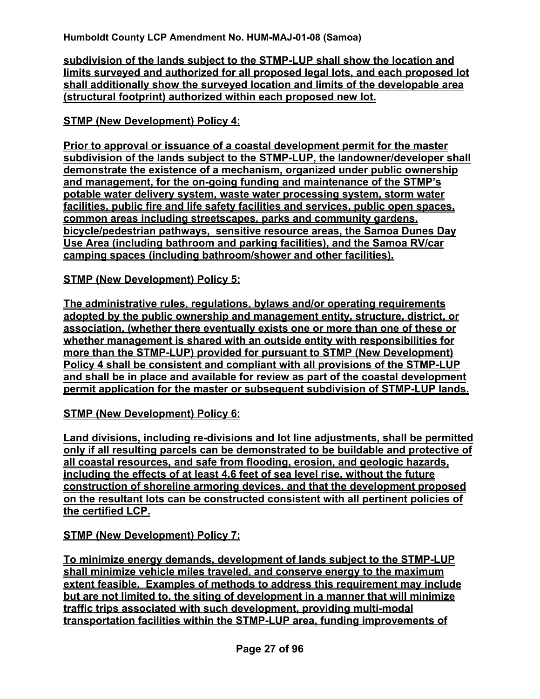**subdivision of the lands subject to the STMP-LUP shall show the location and limits surveyed and authorized for all proposed legal lots, and each proposed lot shall additionally show the surveyed location and limits of the developable area (structural footprint) authorized within each proposed new lot.** 

## **STMP (New Development) Policy 4:**

**Prior to approval or issuance of a coastal development permit for the master subdivision of the lands subject to the STMP-LUP, the landowner/developer shall demonstrate the existence of a mechanism, organized under public ownership and management, for the on-going funding and maintenance of the STMP's potable water delivery system, waste water processing system, storm water facilities, public fire and life safety facilities and services, public open spaces, common areas including streetscapes, parks and community gardens, bicycle/pedestrian pathways, sensitive resource areas, the Samoa Dunes Day Use Area (including bathroom and parking facilities), and the Samoa RV/car camping spaces (including bathroom/shower and other facilities).** 

#### **STMP (New Development) Policy 5:**

**The administrative rules, regulations, bylaws and/or operating requirements adopted by the public ownership and management entity, structure, district, or association, (whether there eventually exists one or more than one of these or whether management is shared with an outside entity with responsibilities for more than the STMP-LUP) provided for pursuant to STMP (New Development) Policy 4 shall be consistent and compliant with all provisions of the STMP-LUP and shall be in place and available for review as part of the coastal development permit application for the master or subsequent subdivision of STMP-LUP lands.**

#### **STMP (New Development) Policy 6:**

**Land divisions, including re-divisions and lot line adjustments, shall be permitted only if all resulting parcels can be demonstrated to be buildable and protective of all coastal resources, and safe from flooding, erosion, and geologic hazards, including the effects of at least 4.6 feet of sea level rise, without the future construction of shoreline armoring devices, and that the development proposed on the resultant lots can be constructed consistent with all pertinent policies of the certified LCP.** 

**STMP (New Development) Policy 7:**

**To minimize energy demands, development of lands subject to the STMP-LUP shall minimize vehicle miles traveled, and conserve energy to the maximum extent feasible. Examples of methods to address this requirement may include but are not limited to, the siting of development in a manner that will minimize traffic trips associated with such development, providing multi-modal transportation facilities within the STMP-LUP area, funding improvements of**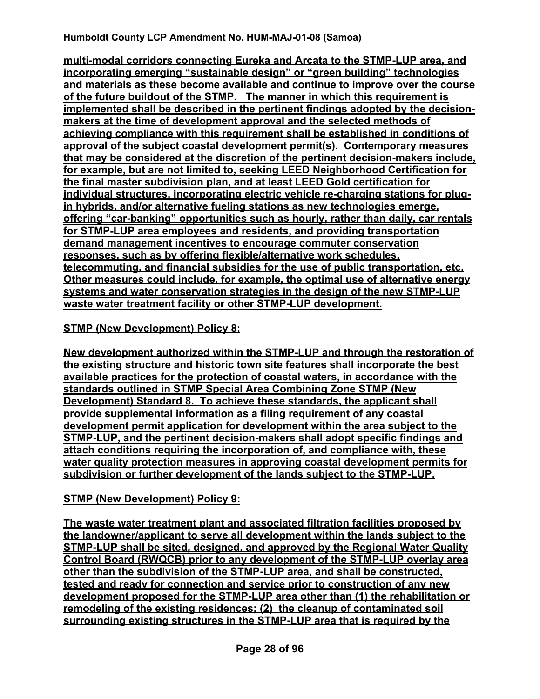**multi-modal corridors connecting Eureka and Arcata to the STMP-LUP area, and incorporating emerging "sustainable design" or "green building" technologies and materials as these become available and continue to improve over the course of the future buildout of the STMP. The manner in which this requirement is implemented shall be described in the pertinent findings adopted by the decisionmakers at the time of development approval and the selected methods of achieving compliance with this requirement shall be established in conditions of approval of the subject coastal development permit(s). Contemporary measures that may be considered at the discretion of the pertinent decision-makers include, for example, but are not limited to, seeking LEED Neighborhood Certification for the final master subdivision plan, and at least LEED Gold certification for individual structures, incorporating electric vehicle re-charging stations for plugin hybrids, and/or alternative fueling stations as new technologies emerge, offering "car-banking" opportunities such as hourly, rather than daily, car rentals for STMP-LUP area employees and residents, and providing transportation demand management incentives to encourage commuter conservation responses, such as by offering flexible/alternative work schedules, telecommuting, and financial subsidies for the use of public transportation, etc. Other measures could include, for example, the optimal use of alternative energy systems and water conservation strategies in the design of the new STMP-LUP waste water treatment facility or other STMP-LUP development.**

#### **STMP (New Development) Policy 8:**

**New development authorized within the STMP-LUP and through the restoration of the existing structure and historic town site features shall incorporate the best available practices for the protection of coastal waters, in accordance with the standards outlined in STMP Special Area Combining Zone STMP (New Development) Standard 8. To achieve these standards, the applicant shall provide supplemental information as a filing requirement of any coastal development permit application for development within the area subject to the STMP-LUP, and the pertinent decision-makers shall adopt specific findings and attach conditions requiring the incorporation of, and compliance with, these water quality protection measures in approving coastal development permits for subdivision or further development of the lands subject to the STMP-LUP.**

## **STMP (New Development) Policy 9:**

**The waste water treatment plant and associated filtration facilities proposed by the landowner/applicant to serve all development within the lands subject to the STMP-LUP shall be sited, designed, and approved by the Regional Water Quality Control Board (RWQCB) prior to any development of the STMP-LUP overlay area other than the subdivision of the STMP-LUP area, and shall be constructed, tested and ready for connection and service prior to construction of any new development proposed for the STMP-LUP area other than (1) the rehabilitation or remodeling of the existing residences; (2) the cleanup of contaminated soil surrounding existing structures in the STMP-LUP area that is required by the**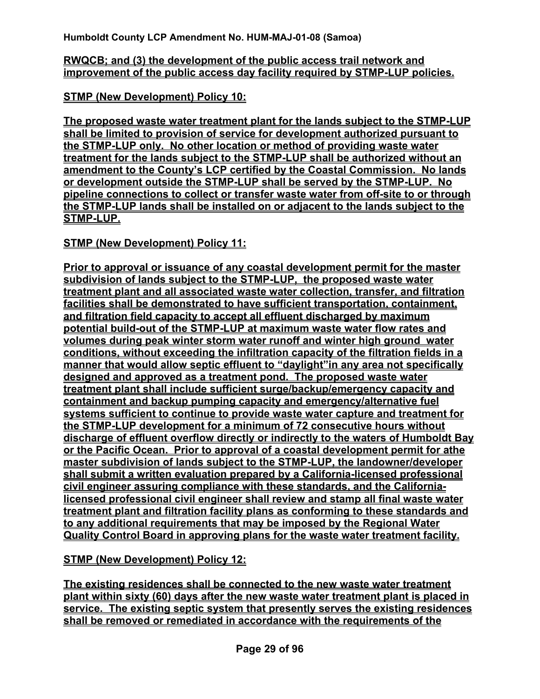#### **RWQCB; and (3) the development of the public access trail network and improvement of the public access day facility required by STMP-LUP policies.**

**STMP (New Development) Policy 10:**

**The proposed waste water treatment plant for the lands subject to the STMP-LUP shall be limited to provision of service for development authorized pursuant to the STMP-LUP only. No other location or method of providing waste water treatment for the lands subject to the STMP-LUP shall be authorized without an amendment to the County's LCP certified by the Coastal Commission. No lands or development outside the STMP-LUP shall be served by the STMP-LUP. No pipeline connections to collect or transfer waste water from off-site to or through the STMP-LUP lands shall be installed on or adjacent to the lands subject to the STMP-LUP.** 

## **STMP (New Development) Policy 11:**

**Prior to approval or issuance of any coastal development permit for the master subdivision of lands subject to the STMP-LUP, the proposed waste water treatment plant and all associated waste water collection, transfer, and filtration facilities shall be demonstrated to have sufficient transportation, containment, and filtration field capacity to accept all effluent discharged by maximum potential build-out of the STMP-LUP at maximum waste water flow rates and volumes during peak winter storm water runoff and winter high ground water conditions, without exceeding the infiltration capacity of the filtration fields in a manner that would allow septic effluent to "daylight"in any area not specifically designed and approved as a treatment pond. The proposed waste water treatment plant shall include sufficient surge/backup/emergency capacity and containment and backup pumping capacity and emergency/alternative fuel systems sufficient to continue to provide waste water capture and treatment for the STMP-LUP development for a minimum of 72 consecutive hours without discharge of effluent overflow directly or indirectly to the waters of Humboldt Bay or the Pacific Ocean. Prior to approval of a coastal development permit for athe master subdivision of lands subject to the STMP-LUP, the landowner/developer shall submit a written evaluation prepared by a California-licensed professional civil engineer assuring compliance with these standards, and the Californialicensed professional civil engineer shall review and stamp all final waste water treatment plant and filtration facility plans as conforming to these standards and to any additional requirements that may be imposed by the Regional Water Quality Control Board in approving plans for the waste water treatment facility.** 

**STMP (New Development) Policy 12:**

**The existing residences shall be connected to the new waste water treatment plant within sixty (60) days after the new waste water treatment plant is placed in service. The existing septic system that presently serves the existing residences shall be removed or remediated in accordance with the requirements of the**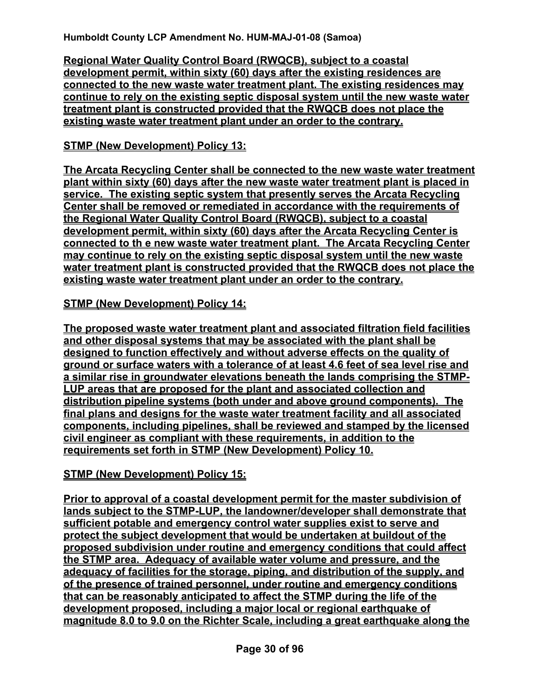**Regional Water Quality Control Board (RWQCB), subject to a coastal development permit, within sixty (60) days after the existing residences are connected to the new waste water treatment plant. The existing residences may continue to rely on the existing septic disposal system until the new waste water treatment plant is constructed provided that the RWQCB does not place the existing waste water treatment plant under an order to the contrary.**

# **STMP (New Development) Policy 13:**

**The Arcata Recycling Center shall be connected to the new waste water treatment plant within sixty (60) days after the new waste water treatment plant is placed in service. The existing septic system that presently serves the Arcata Recycling Center shall be removed or remediated in accordance with the requirements of the Regional Water Quality Control Board (RWQCB), subject to a coastal development permit, within sixty (60) days after the Arcata Recycling Center is connected to th e new waste water treatment plant. The Arcata Recycling Center may continue to rely on the existing septic disposal system until the new waste water treatment plant is constructed provided that the RWQCB does not place the existing waste water treatment plant under an order to the contrary.** 

## **STMP (New Development) Policy 14:**

**The proposed waste water treatment plant and associated filtration field facilities and other disposal systems that may be associated with the plant shall be designed to function effectively and without adverse effects on the quality of ground or surface waters with a tolerance of at least 4.6 feet of sea level rise and a similar rise in groundwater elevations beneath the lands comprising the STMP-LUP areas that are proposed for the plant and associated collection and distribution pipeline systems (both under and above ground components). The final plans and designs for the waste water treatment facility and all associated components, including pipelines, shall be reviewed and stamped by the licensed civil engineer as compliant with these requirements, in addition to the requirements set forth in STMP (New Development) Policy 10.** 

## **STMP (New Development) Policy 15:**

**Prior to approval of a coastal development permit for the master subdivision of lands subject to the STMP-LUP, the landowner/developer shall demonstrate that sufficient potable and emergency control water supplies exist to serve and protect the subject development that would be undertaken at buildout of the proposed subdivision under routine and emergency conditions that could affect the STMP area. Adequacy of available water volume and pressure, and the adequacy of facilities for the storage, piping, and distribution of the supply, and of the presence of trained personnel, under routine and emergency conditions that can be reasonably anticipated to affect the STMP during the life of the development proposed, including a major local or regional earthquake of magnitude 8.0 to 9.0 on the Richter Scale, including a great earthquake along the**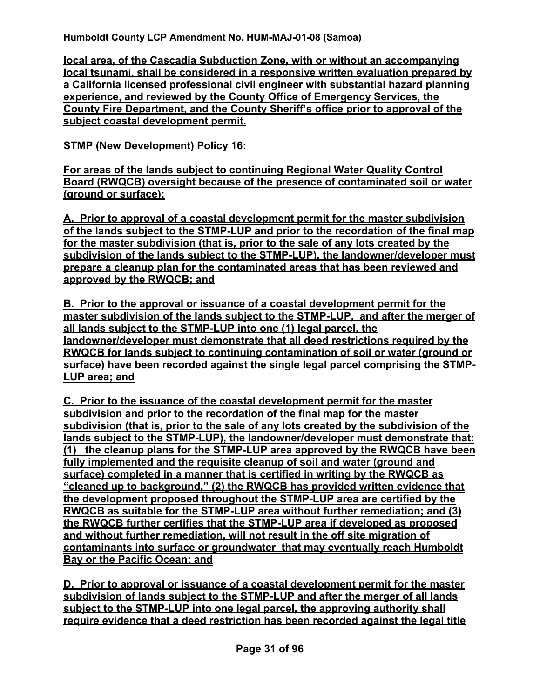**local area, of the Cascadia Subduction Zone, with or without an accompanying local tsunami, shall be considered in a responsive written evaluation prepared by a California licensed professional civil engineer with substantial hazard planning experience, and reviewed by the County Office of Emergency Services, the County Fire Department, and the County Sheriff's office prior to approval of the subject coastal development permit.**

## **STMP (New Development) Policy 16:**

**For areas of the lands subject to continuing Regional Water Quality Control Board (RWQCB) oversight because of the presence of contaminated soil or water (ground or surface):**

**A. Prior to approval of a coastal development permit for the master subdivision of the lands subject to the STMP-LUP and prior to the recordation of the final map for the master subdivision (that is, prior to the sale of any lots created by the subdivision of the lands subject to the STMP-LUP), the landowner/developer must prepare a cleanup plan for the contaminated areas that has been reviewed and approved by the RWQCB; and**

**B. Prior to the approval or issuance of a coastal development permit for the master subdivision of the lands subject to the STMP-LUP, and after the merger of all lands subject to the STMP-LUP into one (1) legal parcel, the landowner/developer must demonstrate that all deed restrictions required by the RWQCB for lands subject to continuing contamination of soil or water (ground or surface) have been recorded against the single legal parcel comprising the STMP-LUP area; and**

**C. Prior to the issuance of the coastal development permit for the master subdivision and prior to the recordation of the final map for the master subdivision (that is, prior to the sale of any lots created by the subdivision of the lands subject to the STMP-LUP), the landowner/developer must demonstrate that: (1) the cleanup plans for the STMP-LUP area approved by the RWQCB have been fully implemented and the requisite cleanup of soil and water (ground and surface) completed in a manner that is certified in writing by the RWQCB as "cleaned up to background," (2) the RWQCB has provided written evidence that the development proposed throughout the STMP-LUP area are certified by the RWQCB as suitable for the STMP-LUP area without further remediation; and (3) the RWQCB further certifies that the STMP-LUP area if developed as proposed and without further remediation, will not result in the off site migration of contaminants into surface or groundwater that may eventually reach Humboldt Bay or the Pacific Ocean; and**

**D. Prior to approval or issuance of a coastal development permit for the master subdivision of lands subject to the STMP-LUP and after the merger of all lands subject to the STMP-LUP into one legal parcel, the approving authority shall require evidence that a deed restriction has been recorded against the legal title**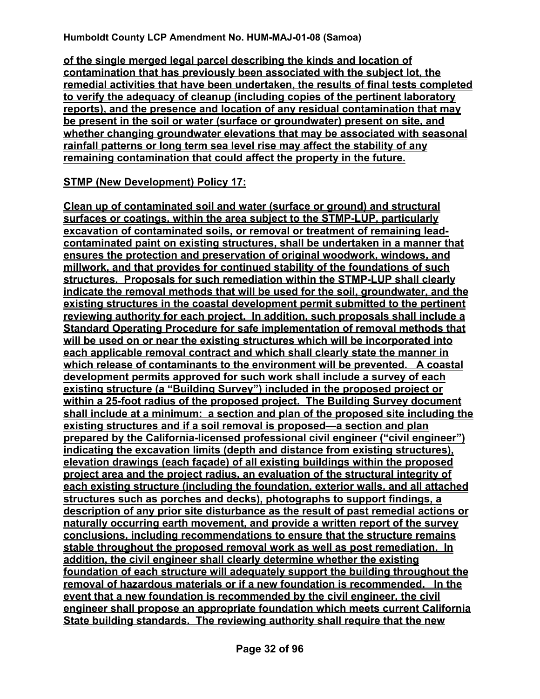**of the single merged legal parcel describing the kinds and location of contamination that has previously been associated with the subject lot, the remedial activities that have been undertaken, the results of final tests completed to verify the adequacy of cleanup (including copies of the pertinent laboratory reports), and the presence and location of any residual contamination that may be present in the soil or water (surface or groundwater) present on site, and whether changing groundwater elevations that may be associated with seasonal rainfall patterns or long term sea level rise may affect the stability of any remaining contamination that could affect the property in the future.** 

#### **STMP (New Development) Policy 17:**

**Clean up of contaminated soil and water (surface or ground) and structural surfaces or coatings, within the area subject to the STMP-LUP, particularly excavation of contaminated soils, or removal or treatment of remaining leadcontaminated paint on existing structures, shall be undertaken in a manner that ensures the protection and preservation of original woodwork, windows, and millwork, and that provides for continued stability of the foundations of such structures. Proposals for such remediation within the STMP-LUP shall clearly indicate the removal methods that will be used for the soil, groundwater, and the existing structures in the coastal development permit submitted to the pertinent reviewing authority for each project. In addition, such proposals shall include a Standard Operating Procedure for safe implementation of removal methods that will be used on or near the existing structures which will be incorporated into each applicable removal contract and which shall clearly state the manner in which release of contaminants to the environment will be prevented. A coastal development permits approved for such work shall include a survey of each existing structure (a "Building Survey") included in the proposed project or within a 25-foot radius of the proposed project. The Building Survey document shall include at a minimum: a section and plan of the proposed site including the existing structures and if a soil removal is proposed—a section and plan prepared by the California-licensed professional civil engineer ("civil engineer") indicating the excavation limits (depth and distance from existing structures), elevation drawings (each façade) of all existing buildings within the proposed project area and the project radius, an evaluation of the structural integrity of each existing structure (including the foundation, exterior walls, and all attached structures such as porches and decks), photographs to support findings, a description of any prior site disturbance as the result of past remedial actions or naturally occurring earth movement, and provide a written report of the survey conclusions, including recommendations to ensure that the structure remains stable throughout the proposed removal work as well as post remediation. In addition, the civil engineer shall clearly determine whether the existing foundation of each structure will adequately support the building throughout the removal of hazardous materials or if a new foundation is recommended. In the event that a new foundation is recommended by the civil engineer, the civil engineer shall propose an appropriate foundation which meets current California State building standards. The reviewing authority shall require that the new**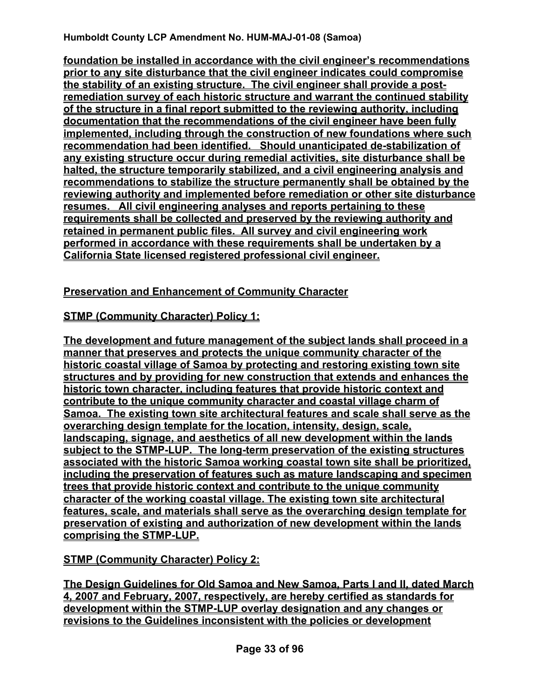**foundation be installed in accordance with the civil engineer's recommendations prior to any site disturbance that the civil engineer indicates could compromise the stability of an existing structure. The civil engineer shall provide a postremediation survey of each historic structure and warrant the continued stability of the structure in a final report submitted to the reviewing authority, including documentation that the recommendations of the civil engineer have been fully implemented, including through the construction of new foundations where such recommendation had been identified. Should unanticipated de-stabilization of any existing structure occur during remedial activities, site disturbance shall be halted, the structure temporarily stabilized, and a civil engineering analysis and recommendations to stabilize the structure permanently shall be obtained by the reviewing authority and implemented before remediation or other site disturbance resumes. All civil engineering analyses and reports pertaining to these requirements shall be collected and preserved by the reviewing authority and retained in permanent public files. All survey and civil engineering work performed in accordance with these requirements shall be undertaken by a California State licensed registered professional civil engineer.**

## **Preservation and Enhancement of Community Character**

# **STMP (Community Character) Policy 1:**

**The development and future management of the subject lands shall proceed in a manner that preserves and protects the unique community character of the historic coastal village of Samoa by protecting and restoring existing town site structures and by providing for new construction that extends and enhances the historic town character, including features that provide historic context and contribute to the unique community character and coastal village charm of Samoa. The existing town site architectural features and scale shall serve as the overarching design template for the location, intensity, design, scale, landscaping, signage, and aesthetics of all new development within the lands subject to the STMP-LUP. The long-term preservation of the existing structures associated with the historic Samoa working coastal town site shall be prioritized, including the preservation of features such as mature landscaping and specimen trees that provide historic context and contribute to the unique community character of the working coastal village. The existing town site architectural features, scale, and materials shall serve as the overarching design template for preservation of existing and authorization of new development within the lands comprising the STMP-LUP.** 

# **STMP (Community Character) Policy 2:**

**The Design Guidelines for Old Samoa and New Samoa, Parts I and II, dated March 4, 2007 and February, 2007, respectively, are hereby certified as standards for development within the STMP-LUP overlay designation and any changes or revisions to the Guidelines inconsistent with the policies or development**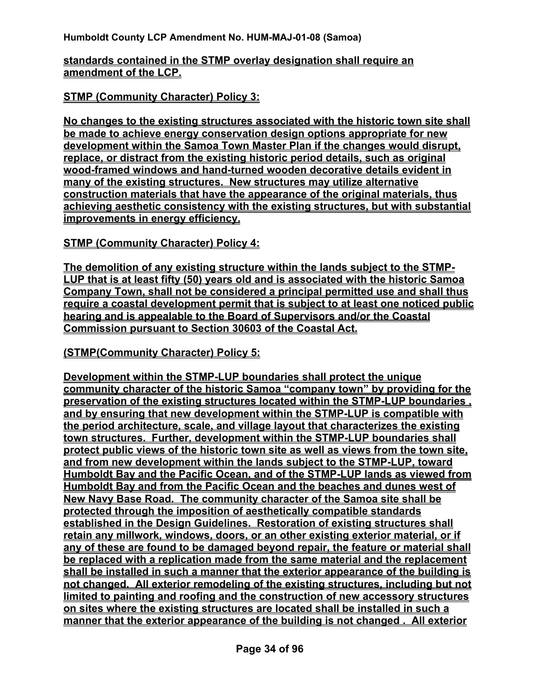#### **standards contained in the STMP overlay designation shall require an amendment of the LCP.**

#### **STMP (Community Character) Policy 3:**

**No changes to the existing structures associated with the historic town site shall be made to achieve energy conservation design options appropriate for new development within the Samoa Town Master Plan if the changes would disrupt, replace, or distract from the existing historic period details, such as original wood-framed windows and hand-turned wooden decorative details evident in many of the existing structures. New structures may utilize alternative construction materials that have the appearance of the original materials, thus achieving aesthetic consistency with the existing structures, but with substantial improvements in energy efficiency.** 

#### **STMP (Community Character) Policy 4:**

**The demolition of any existing structure within the lands subject to the STMP-LUP that is at least fifty (50) years old and is associated with the historic Samoa Company Town, shall not be considered a principal permitted use and shall thus require a coastal development permit that is subject to at least one noticed public hearing and is appealable to the Board of Supervisors and/or the Coastal Commission pursuant to Section 30603 of the Coastal Act.** 

#### **(STMP(Community Character) Policy 5:**

**Development within the STMP-LUP boundaries shall protect the unique community character of the historic Samoa "company town" by providing for the preservation of the existing structures located within the STMP-LUP boundaries , and by ensuring that new development within the STMP-LUP is compatible with the period architecture, scale, and village layout that characterizes the existing town structures. Further, development within the STMP-LUP boundaries shall protect public views of the historic town site as well as views from the town site, and from new development within the lands subject to the STMP-LUP, toward Humboldt Bay and the Pacific Ocean, and of the STMP-LUP lands as viewed from Humboldt Bay and from the Pacific Ocean and the beaches and dunes west of New Navy Base Road. The community character of the Samoa site shall be protected through the imposition of aesthetically compatible standards established in the Design Guidelines. Restoration of existing structures shall retain any millwork, windows, doors, or an other existing exterior material, or if any of these are found to be damaged beyond repair, the feature or material shall be replaced with a replication made from the same material and the replacement shall be installed in such a manner that the exterior appearance of the building is not changed. All exterior remodeling of the existing structures, including but not limited to painting and roofing and the construction of new accessory structures on sites where the existing structures are located shall be installed in such a manner that the exterior appearance of the building is not changed . All exterior**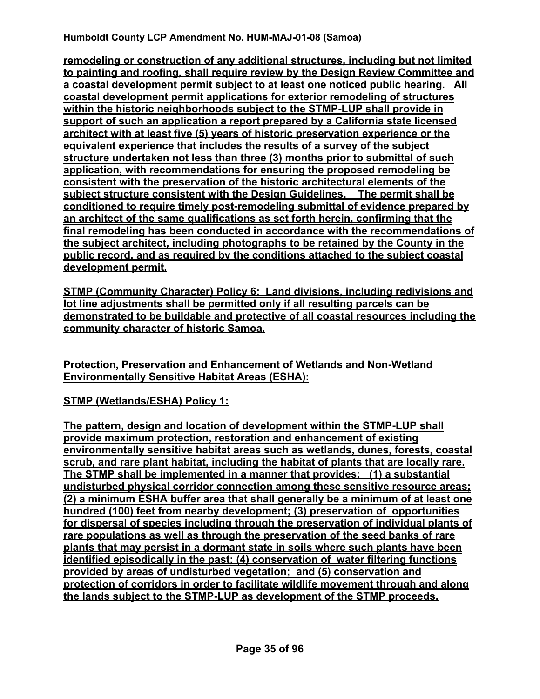**remodeling or construction of any additional structures, including but not limited to painting and roofing, shall require review by the Design Review Committee and a coastal development permit subject to at least one noticed public hearing. All coastal development permit applications for exterior remodeling of structures within the historic neighborhoods subject to the STMP-LUP shall provide in support of such an application a report prepared by a California state licensed architect with at least five (5) years of historic preservation experience or the equivalent experience that includes the results of a survey of the subject structure undertaken not less than three (3) months prior to submittal of such application, with recommendations for ensuring the proposed remodeling be consistent with the preservation of the historic architectural elements of the subject structure consistent with the Design Guidelines. The permit shall be conditioned to require timely post-remodeling submittal of evidence prepared by an architect of the same qualifications as set forth herein, confirming that the final remodeling has been conducted in accordance with the recommendations of the subject architect, including photographs to be retained by the County in the public record, and as required by the conditions attached to the subject coastal development permit.** 

**STMP (Community Character) Policy 6: Land divisions, including redivisions and lot line adjustments shall be permitted only if all resulting parcels can be demonstrated to be buildable and protective of all coastal resources including the community character of historic Samoa.** 

**Protection, Preservation and Enhancement of Wetlands and Non-Wetland Environmentally Sensitive Habitat Areas (ESHA):**

**STMP (Wetlands/ESHA) Policy 1:** 

**The pattern, design and location of development within the STMP-LUP shall provide maximum protection, restoration and enhancement of existing environmentally sensitive habitat areas such as wetlands, dunes, forests, coastal scrub, and rare plant habitat, including the habitat of plants that are locally rare. The STMP shall be implemented in a manner that provides: (1) a substantial undisturbed physical corridor connection among these sensitive resource areas; (2) a minimum ESHA buffer area that shall generally be a minimum of at least one hundred (100) feet from nearby development; (3) preservation of opportunities for dispersal of species including through the preservation of individual plants of rare populations as well as through the preservation of the seed banks of rare plants that may persist in a dormant state in soils where such plants have been identified episodically in the past; (4) conservation of water filtering functions provided by areas of undisturbed vegetation; and (5) conservation and protection of corridors in order to facilitate wildlife movement through and along the lands subject to the STMP-LUP as development of the STMP proceeds.**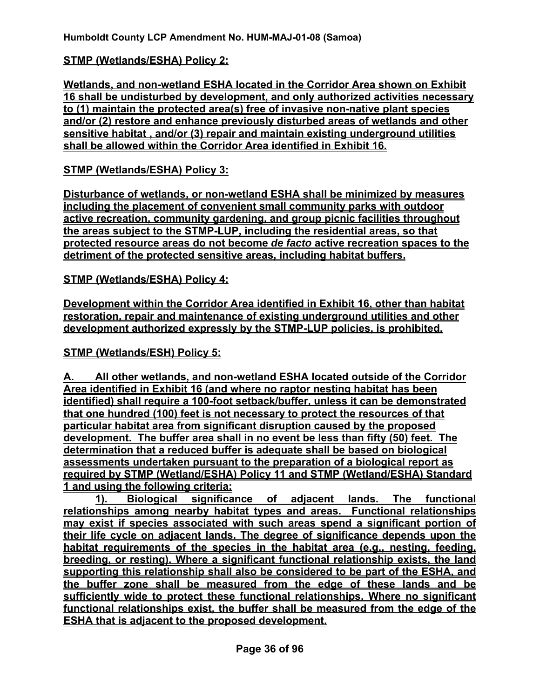#### **STMP (Wetlands/ESHA) Policy 2:**

**Wetlands, and non-wetland ESHA located in the Corridor Area shown on Exhibit 16 shall be undisturbed by development, and only authorized activities necessary to (1) maintain the protected area(s) free of invasive non-native plant species and/or (2) restore and enhance previously disturbed areas of wetlands and other sensitive habitat , and/or (3) repair and maintain existing underground utilities shall be allowed within the Corridor Area identified in Exhibit 16.**

#### **STMP (Wetlands/ESHA) Policy 3:**

**Disturbance of wetlands, or non-wetland ESHA shall be minimized by measures including the placement of convenient small community parks with outdoor active recreation, community gardening, and group picnic facilities throughout the areas subject to the STMP-LUP, including the residential areas, so that protected resource areas do not become** *de facto* **active recreation spaces to the detriment of the protected sensitive areas, including habitat buffers.** 

#### **STMP (Wetlands/ESHA) Policy 4:**

**Development within the Corridor Area identified in Exhibit 16, other than habitat restoration, repair and maintenance of existing underground utilities and other development authorized expressly by the STMP-LUP policies, is prohibited.** 

#### **STMP (Wetlands/ESH) Policy 5:**

**A. All other wetlands, and non-wetland ESHA located outside of the Corridor Area identified in Exhibit 16 (and where no raptor nesting habitat has been identified) shall require a 100-foot setback/buffer, unless it can be demonstrated that one hundred (100) feet is not necessary to protect the resources of that particular habitat area from significant disruption caused by the proposed development. The buffer area shall in no event be less than fifty (50) feet. The determination that a reduced buffer is adequate shall be based on biological assessments undertaken pursuant to the preparation of a biological report as required by STMP (Wetland/ESHA) Policy 11 and STMP (Wetland/ESHA) Standard 1 and using the following criteria:** 

**1). Biological significance of adjacent lands. The functional relationships among nearby habitat types and areas. Functional relationships may exist if species associated with such areas spend a significant portion of their life cycle on adjacent lands. The degree of significance depends upon the habitat requirements of the species in the habitat area (e.g., nesting, feeding, breeding, or resting). Where a significant functional relationship exists, the land supporting this relationship shall also be considered to be part of the ESHA, and the buffer zone shall be measured from the edge of these lands and be sufficiently wide to protect these functional relationships. Where no significant functional relationships exist, the buffer shall be measured from the edge of the ESHA that is adjacent to the proposed development.**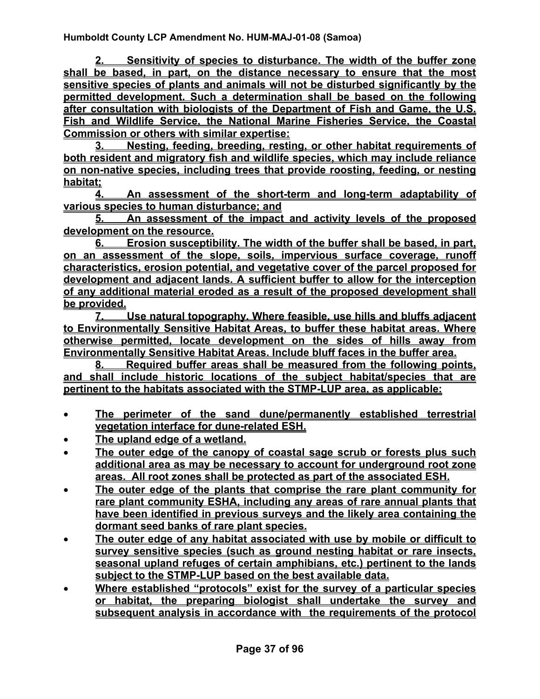**2. Sensitivity of species to disturbance. The width of the buffer zone shall be based, in part, on the distance necessary to ensure that the most sensitive species of plants and animals will not be disturbed significantly by the permitted development. Such a determination shall be based on the following after consultation with biologists of the Department of Fish and Game, the U.S. Fish and Wildlife Service, the National Marine Fisheries Service, the Coastal Commission or others with similar expertise:**

**3. Nesting, feeding, breeding, resting, or other habitat requirements of both resident and migratory fish and wildlife species, which may include reliance on non-native species, including trees that provide roosting, feeding, or nesting habitat;**

**4. An assessment of the short-term and long-term adaptability of various species to human disturbance; and**

**5. An assessment of the impact and activity levels of the proposed development on the resource.**

**6. Erosion susceptibility. The width of the buffer shall be based, in part, on an assessment of the slope, soils, impervious surface coverage, runoff characteristics, erosion potential, and vegetative cover of the parcel proposed for development and adjacent lands. A sufficient buffer to allow for the interception of any additional material eroded as a result of the proposed development shall be provided.**

**7. Use natural topography. Where feasible, use hills and bluffs adjacent to Environmentally Sensitive Habitat Areas, to buffer these habitat areas. Where otherwise permitted, locate development on the sides of hills away from Environmentally Sensitive Habitat Areas. Include bluff faces in the buffer area.**

**8. Required buffer areas shall be measured from the following points, and shall include historic locations of the subject habitat/species that are pertinent to the habitats associated with the STMP-LUP area, as applicable:**

- **The perimeter of the sand dune/permanently established terrestrial vegetation interface for dune-related ESH.**
- **The upland edge of a wetland.**
- **The outer edge of the canopy of coastal sage scrub or forests plus such additional area as may be necessary to account for underground root zone areas. All root zones shall be protected as part of the associated ESH.**
- **The outer edge of the plants that comprise the rare plant community for rare plant community ESHA, including any areas of rare annual plants that have been identified in previous surveys and the likely area containing the dormant seed banks of rare plant species.**
- **The outer edge of any habitat associated with use by mobile or difficult to survey sensitive species (such as ground nesting habitat or rare insects, seasonal upland refuges of certain amphibians, etc.) pertinent to the lands subject to the STMP-LUP based on the best available data.**
- **Where established "protocols" exist for the survey of a particular species or habitat, the preparing biologist shall undertake the survey and subsequent analysis in accordance with the requirements of the protocol**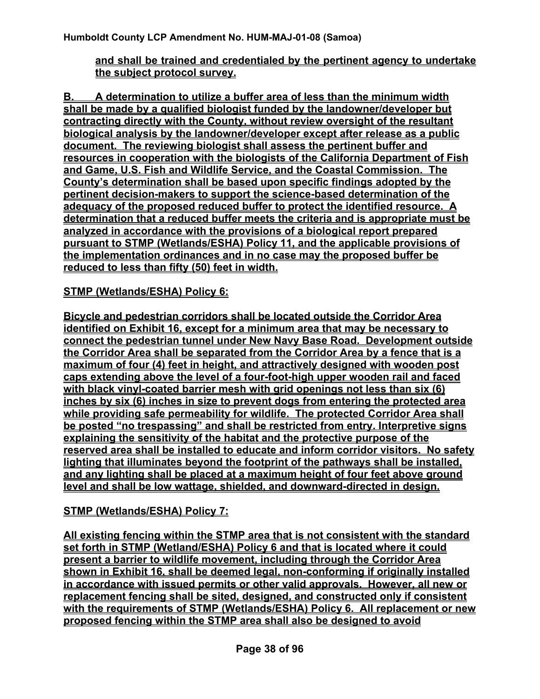#### **and shall be trained and credentialed by the pertinent agency to undertake the subject protocol survey.**

**B. A determination to utilize a buffer area of less than the minimum width shall be made by a qualified biologist funded by the landowner/developer but contracting directly with the County, without review oversight of the resultant biological analysis by the landowner/developer except after release as a public document. The reviewing biologist shall assess the pertinent buffer and resources in cooperation with the biologists of the California Department of Fish and Game, U.S. Fish and Wildlife Service, and the Coastal Commission. The County's determination shall be based upon specific findings adopted by the pertinent decision-makers to support the science-based determination of the adequacy of the proposed reduced buffer to protect the identified resource. A determination that a reduced buffer meets the criteria and is appropriate must be analyzed in accordance with the provisions of a biological report prepared pursuant to STMP (Wetlands/ESHA) Policy 11, and the applicable provisions of the implementation ordinances and in no case may the proposed buffer be reduced to less than fifty (50) feet in width.** 

#### **STMP (Wetlands/ESHA) Policy 6:**

**Bicycle and pedestrian corridors shall be located outside the Corridor Area identified on Exhibit 16, except for a minimum area that may be necessary to connect the pedestrian tunnel under New Navy Base Road. Development outside the Corridor Area shall be separated from the Corridor Area by a fence that is a maximum of four (4) feet in height, and attractively designed with wooden post caps extending above the level of a four-foot-high upper wooden rail and faced with black vinyl-coated barrier mesh with grid openings not less than six (6) inches by six (6) inches in size to prevent dogs from entering the protected area while providing safe permeability for wildlife. The protected Corridor Area shall be posted "no trespassing" and shall be restricted from entry. Interpretive signs explaining the sensitivity of the habitat and the protective purpose of the reserved area shall be installed to educate and inform corridor visitors. No safety lighting that illuminates beyond the footprint of the pathways shall be installed, and any lighting shall be placed at a maximum height of four feet above ground level and shall be low wattage, shielded, and downward-directed in design.** 

#### **STMP (Wetlands/ESHA) Policy 7:**

**All existing fencing within the STMP area that is not consistent with the standard set forth in STMP (Wetland/ESHA) Policy 6 and that is located where it could present a barrier to wildlife movement, including through the Corridor Area shown in Exhibit 16, shall be deemed legal, non-conforming if originally installed in accordance with issued permits or other valid approvals. However, all new or replacement fencing shall be sited, designed, and constructed only if consistent with the requirements of STMP (Wetlands/ESHA) Policy 6. All replacement or new proposed fencing within the STMP area shall also be designed to avoid**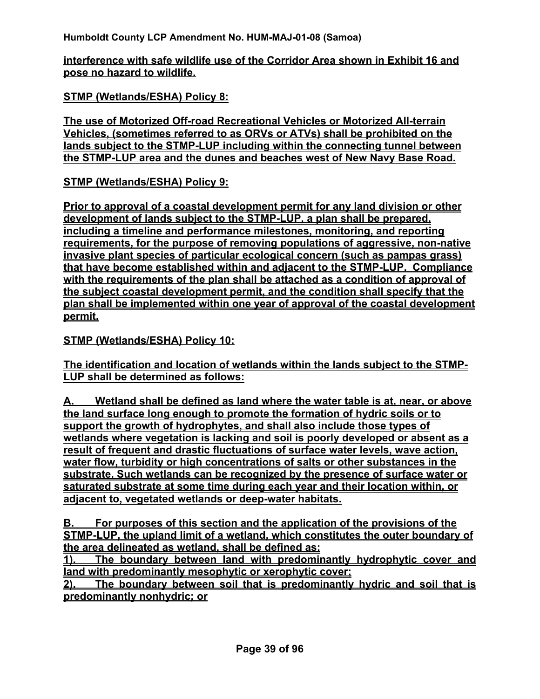**interference with safe wildlife use of the Corridor Area shown in Exhibit 16 and pose no hazard to wildlife.**

**STMP (Wetlands/ESHA) Policy 8:**

**The use of Motorized Off-road Recreational Vehicles or Motorized All-terrain Vehicles, (sometimes referred to as ORVs or ATVs) shall be prohibited on the lands subject to the STMP-LUP including within the connecting tunnel between the STMP-LUP area and the dunes and beaches west of New Navy Base Road.** 

**STMP (Wetlands/ESHA) Policy 9:**

**Prior to approval of a coastal development permit for any land division or other development of lands subject to the STMP-LUP, a plan shall be prepared, including a timeline and performance milestones, monitoring, and reporting requirements, for the purpose of removing populations of aggressive, non-native invasive plant species of particular ecological concern (such as pampas grass) that have become established within and adjacent to the STMP-LUP. Compliance with the requirements of the plan shall be attached as a condition of approval of the subject coastal development permit, and the condition shall specify that the plan shall be implemented within one year of approval of the coastal development permit.**

**STMP (Wetlands/ESHA) Policy 10:**

**The identification and location of wetlands within the lands subject to the STMP-LUP shall be determined as follows:**

**A. Wetland shall be defined as land where the water table is at, near, or above the land surface long enough to promote the formation of hydric soils or to support the growth of hydrophytes, and shall also include those types of wetlands where vegetation is lacking and soil is poorly developed or absent as a result of frequent and drastic fluctuations of surface water levels, wave action, water flow, turbidity or high concentrations of salts or other substances in the substrate. Such wetlands can be recognized by the presence of surface water or saturated substrate at some time during each year and their location within, or adjacent to, vegetated wetlands or deep-water habitats.** 

**B. For purposes of this section and the application of the provisions of the STMP-LUP, the upland limit of a wetland, which constitutes the outer boundary of the area delineated as wetland, shall be defined as:**

**1). The boundary between land with predominantly hydrophytic cover and land with predominantly mesophytic or xerophytic cover;**

**2). The boundary between soil that is predominantly hydric and soil that is predominantly nonhydric; or**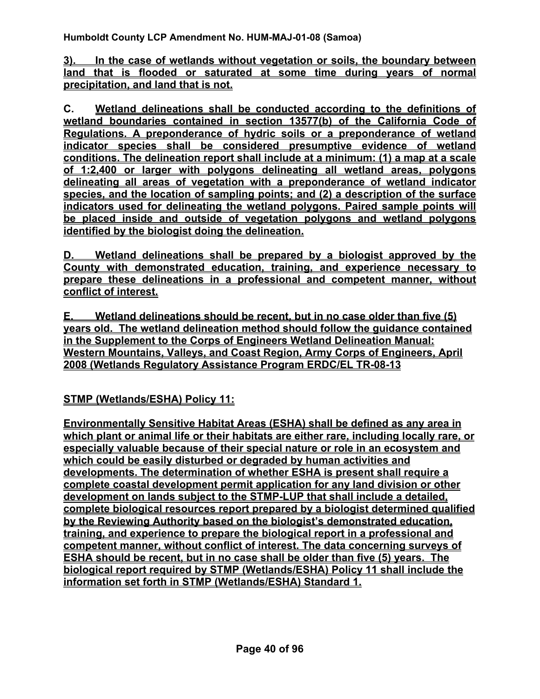**3). In the case of wetlands without vegetation or soils, the boundary between land that is flooded or saturated at some time during years of normal precipitation, and land that is not.**

**C. Wetland delineations shall be conducted according to the definitions of wetland boundaries contained in section 13577(b) of the California Code of Regulations. A preponderance of hydric soils or a preponderance of wetland indicator species shall be considered presumptive evidence of wetland conditions. The delineation report shall include at a minimum: (1) a map at a scale of 1:2,400 or larger with polygons delineating all wetland areas, polygons delineating all areas of vegetation with a preponderance of wetland indicator species, and the location of sampling points; and (2) a description of the surface indicators used for delineating the wetland polygons. Paired sample points will be placed inside and outside of vegetation polygons and wetland polygons identified by the biologist doing the delineation.**

**D. Wetland delineations shall be prepared by a biologist approved by the County with demonstrated education, training, and experience necessary to prepare these delineations in a professional and competent manner, without conflict of interest.**

**E. Wetland delineations should be recent, but in no case older than five (5) years old. The wetland delineation method should follow the guidance contained in the Supplement to the Corps of Engineers Wetland Delineation Manual: Western Mountains, Valleys, and Coast Region, Army Corps of Engineers, April 2008 (Wetlands Regulatory Assistance Program ERDC/EL TR-08-13**

**STMP (Wetlands/ESHA) Policy 11:**

**Environmentally Sensitive Habitat Areas (ESHA) shall be defined as any area in which plant or animal life or their habitats are either rare, including locally rare, or especially valuable because of their special nature or role in an ecosystem and which could be easily disturbed or degraded by human activities and developments. The determination of whether ESHA is present shall require a complete coastal development permit application for any land division or other development on lands subject to the STMP-LUP that shall include a detailed, complete biological resources report prepared by a biologist determined qualified by the Reviewing Authority based on the biologist's demonstrated education, training, and experience to prepare the biological report in a professional and competent manner, without conflict of interest. The data concerning surveys of ESHA should be recent, but in no case shall be older than five (5) years. The biological report required by STMP (Wetlands/ESHA) Policy 11 shall include the information set forth in STMP (Wetlands/ESHA) Standard 1.**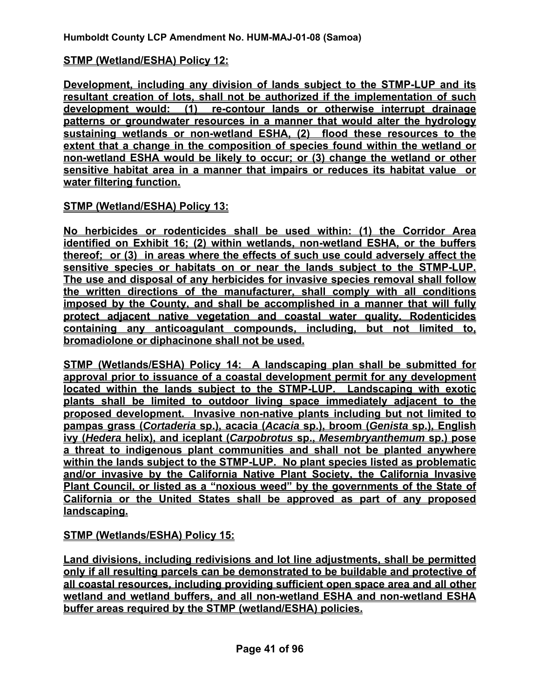#### **STMP (Wetland/ESHA) Policy 12:**

**Development, including any division of lands subject to the STMP-LUP and its resultant creation of lots, shall not be authorized if the implementation of such development would: (1) re-contour lands or otherwise interrupt drainage patterns or groundwater resources in a manner that would alter the hydrology sustaining wetlands or non-wetland ESHA, (2) flood these resources to the extent that a change in the composition of species found within the wetland or non-wetland ESHA would be likely to occur; or (3) change the wetland or other sensitive habitat area in a manner that impairs or reduces its habitat value or water filtering function.**

#### **STMP (Wetland/ESHA) Policy 13:**

**No herbicides or rodenticides shall be used within: (1) the Corridor Area identified on Exhibit 16; (2) within wetlands, non-wetland ESHA, or the buffers thereof; or (3) in areas where the effects of such use could adversely affect the sensitive species or habitats on or near the lands subject to the STMP-LUP. The use and disposal of any herbicides for invasive species removal shall follow the written directions of the manufacturer, shall comply with all conditions imposed by the County, and shall be accomplished in a manner that will fully protect adjacent native vegetation and coastal water quality. Rodenticides containing any anticoagulant compounds, including, but not limited to, bromadiolone or diphacinone shall not be used.** 

**STMP (Wetlands/ESHA) Policy 14: A landscaping plan shall be submitted for approval prior to issuance of a coastal development permit for any development located within the lands subject to the STMP-LUP. Landscaping with exotic plants shall be limited to outdoor living space immediately adjacent to the proposed development. Invasive non-native plants including but not limited to pampas grass (***Cortaderia* **sp.), acacia (***Acacia* **sp.), broom (***Genista* **sp.), English ivy (***Hedera* **helix), and iceplant (***Carpobrotus* **sp.,** *Mesembryanthemum* **sp.) pose a threat to indigenous plant communities and shall not be planted anywhere within the lands subject to the STMP-LUP. No plant species listed as problematic and/or invasive by the California Native Plant Society, the California Invasive Plant Council, or listed as a "noxious weed" by the governments of the State of California or the United States shall be approved as part of any proposed landscaping.**

**STMP (Wetlands/ESHA) Policy 15:** 

**Land divisions, including redivisions and lot line adjustments, shall be permitted only if all resulting parcels can be demonstrated to be buildable and protective of all coastal resources, including providing sufficient open space area and all other wetland and wetland buffers, and all non-wetland ESHA and non-wetland ESHA buffer areas required by the STMP (wetland/ESHA) policies.**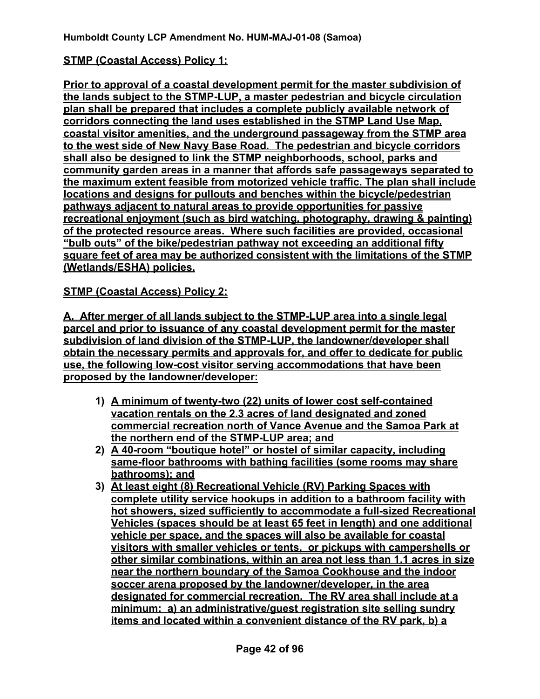### **STMP (Coastal Access) Policy 1:**

**Prior to approval of a coastal development permit for the master subdivision of the lands subject to the STMP-LUP, a master pedestrian and bicycle circulation plan shall be prepared that includes a complete publicly available network of corridors connecting the land uses established in the STMP Land Use Map, coastal visitor amenities, and the underground passageway from the STMP area to the west side of New Navy Base Road. The pedestrian and bicycle corridors shall also be designed to link the STMP neighborhoods, school, parks and community garden areas in a manner that affords safe passageways separated to the maximum extent feasible from motorized vehicle traffic. The plan shall include locations and designs for pullouts and benches within the bicycle/pedestrian pathways adjacent to natural areas to provide opportunities for passive recreational enjoyment (such as bird watching, photography, drawing & painting) of the protected resource areas. Where such facilities are provided, occasional "bulb outs" of the bike/pedestrian pathway not exceeding an additional fifty square feet of area may be authorized consistent with the limitations of the STMP (Wetlands/ESHA) policies.** 

**STMP (Coastal Access) Policy 2:**

**A. After merger of all lands subject to the STMP-LUP area into a single legal parcel and prior to issuance of any coastal development permit for the master subdivision of land division of the STMP-LUP, the landowner/developer shall obtain the necessary permits and approvals for, and offer to dedicate for public use, the following low-cost visitor serving accommodations that have been proposed by the landowner/developer:** 

- **1) A minimum of twenty-two (22) units of lower cost self-contained vacation rentals on the 2.3 acres of land designated and zoned commercial recreation north of Vance Avenue and the Samoa Park at the northern end of the STMP-LUP area; and**
- **2) A 40-room "boutique hotel" or hostel of similar capacity, including same-floor bathrooms with bathing facilities (some rooms may share bathrooms); and**
- **3) At least eight (8) Recreational Vehicle (RV) Parking Spaces with complete utility service hookups in addition to a bathroom facility with hot showers, sized sufficiently to accommodate a full-sized Recreational Vehicles (spaces should be at least 65 feet in length) and one additional vehicle per space, and the spaces will also be available for coastal visitors with smaller vehicles or tents, or pickups with campershells or other similar combinations, within an area not less than 1.1 acres in size near the northern boundary of the Samoa Cookhouse and the indoor soccer arena proposed by the landowner/developer, in the area designated for commercial recreation. The RV area shall include at a minimum: a) an administrative/guest registration site selling sundry items and located within a convenient distance of the RV park, b) a**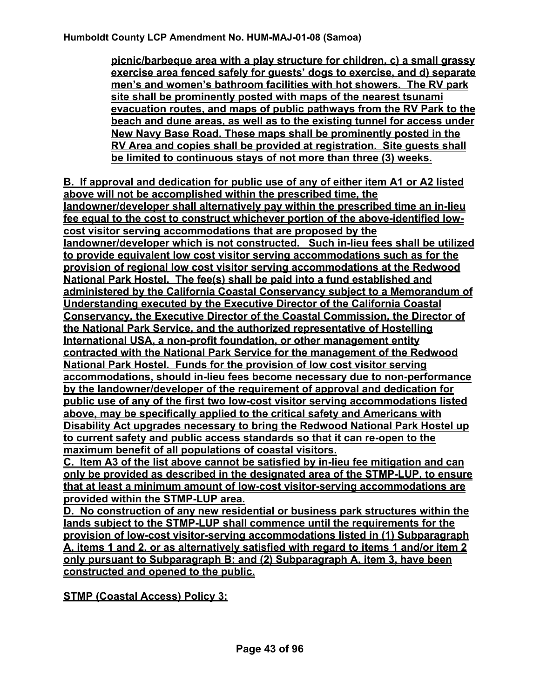**picnic/barbeque area with a play structure for children, c) a small grassy exercise area fenced safely for guests' dogs to exercise, and d) separate men's and women's bathroom facilities with hot showers. The RV park site shall be prominently posted with maps of the nearest tsunami evacuation routes, and maps of public pathways from the RV Park to the beach and dune areas, as well as to the existing tunnel for access under New Navy Base Road. These maps shall be prominently posted in the RV Area and copies shall be provided at registration. Site guests shall be limited to continuous stays of not more than three (3) weeks.**

**B. If approval and dedication for public use of any of either item A1 or A2 listed above will not be accomplished within the prescribed time, the landowner/developer shall alternatively pay within the prescribed time an in-lieu fee equal to the cost to construct whichever portion of the above-identified lowcost visitor serving accommodations that are proposed by the landowner/developer which is not constructed. Such in-lieu fees shall be utilized to provide equivalent low cost visitor serving accommodations such as for the provision of regional low cost visitor serving accommodations at the Redwood National Park Hostel. The fee(s) shall be paid into a fund established and administered by the California Coastal Conservancy subject to a Memorandum of Understanding executed by the Executive Director of the California Coastal Conservancy, the Executive Director of the Coastal Commission, the Director of the National Park Service, and the authorized representative of Hostelling International USA, a non-profit foundation, or other management entity contracted with the National Park Service for the management of the Redwood National Park Hostel. Funds for the provision of low cost visitor serving accommodations, should in-lieu fees become necessary due to non-performance by the landowner/developer of the requirement of approval and dedication for public use of any of the first two low-cost visitor serving accommodations listed above, may be specifically applied to the critical safety and Americans with Disability Act upgrades necessary to bring the Redwood National Park Hostel up to current safety and public access standards so that it can re-open to the maximum benefit of all populations of coastal visitors.** 

**C. Item A3 of the list above cannot be satisfied by in-lieu fee mitigation and can only be provided as described in the designated area of the STMP-LUP, to ensure that at least a minimum amount of low-cost visitor-serving accommodations are provided within the STMP-LUP area.** 

**D. No construction of any new residential or business park structures within the lands subject to the STMP-LUP shall commence until the requirements for the provision of low-cost visitor-serving accommodations listed in (1) Subparagraph A, items 1 and 2, or as alternatively satisfied with regard to items 1 and/or item 2 only pursuant to Subparagraph B; and (2) Subparagraph A, item 3, have been constructed and opened to the public.**

**STMP (Coastal Access) Policy 3:**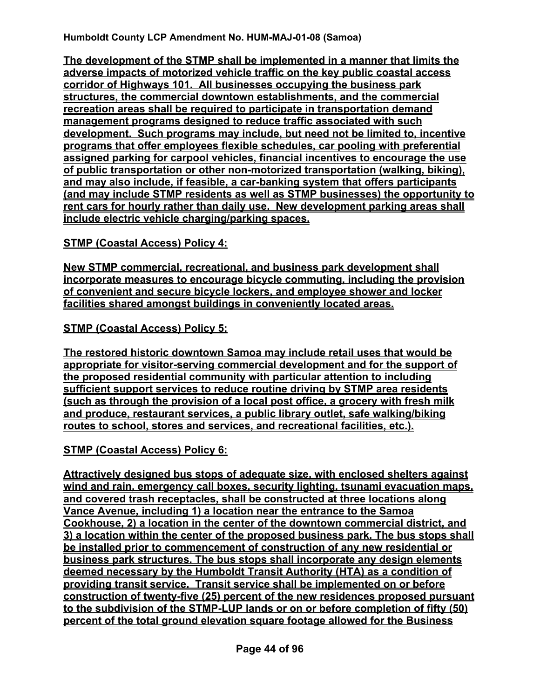**The development of the STMP shall be implemented in a manner that limits the adverse impacts of motorized vehicle traffic on the key public coastal access corridor of Highways 101. All businesses occupying the business park structures, the commercial downtown establishments, and the commercial recreation areas shall be required to participate in transportation demand management programs designed to reduce traffic associated with such development. Such programs may include, but need not be limited to, incentive programs that offer employees flexible schedules, car pooling with preferential assigned parking for carpool vehicles, financial incentives to encourage the use of public transportation or other non-motorized transportation (walking, biking), and may also include, if feasible, a car-banking system that offers participants (and may include STMP residents as well as STMP businesses) the opportunity to rent cars for hourly rather than daily use. New development parking areas shall include electric vehicle charging/parking spaces.**

**STMP (Coastal Access) Policy 4:**

**New STMP commercial, recreational, and business park development shall incorporate measures to encourage bicycle commuting, including the provision of convenient and secure bicycle lockers, and employee shower and locker facilities shared amongst buildings in conveniently located areas.**

**STMP (Coastal Access) Policy 5:**

**The restored historic downtown Samoa may include retail uses that would be appropriate for visitor-serving commercial development and for the support of the proposed residential community with particular attention to including sufficient support services to reduce routine driving by STMP area residents (such as through the provision of a local post office, a grocery with fresh milk and produce, restaurant services, a public library outlet, safe walking/biking routes to school, stores and services, and recreational facilities, etc.).** 

**STMP (Coastal Access) Policy 6:**

**Attractively designed bus stops of adequate size, with enclosed shelters against wind and rain, emergency call boxes, security lighting, tsunami evacuation maps, and covered trash receptacles, shall be constructed at three locations along Vance Avenue, including 1) a location near the entrance to the Samoa Cookhouse, 2) a location in the center of the downtown commercial district, and 3) a location within the center of the proposed business park. The bus stops shall be installed prior to commencement of construction of any new residential or business park structures. The bus stops shall incorporate any design elements deemed necessary by the Humboldt Transit Authority (HTA) as a condition of providing transit service. Transit service shall be implemented on or before construction of twenty-five (25) percent of the new residences proposed pursuant to the subdivision of the STMP-LUP lands or on or before completion of fifty (50) percent of the total ground elevation square footage allowed for the Business**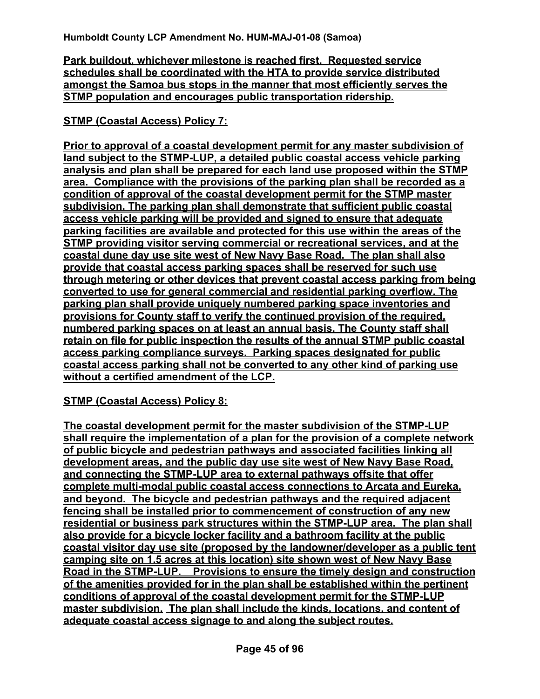**Park buildout, whichever milestone is reached first. Requested service schedules shall be coordinated with the HTA to provide service distributed amongst the Samoa bus stops in the manner that most efficiently serves the STMP population and encourages public transportation ridership.**

**STMP (Coastal Access) Policy 7:**

**Prior to approval of a coastal development permit for any master subdivision of land subject to the STMP-LUP, a detailed public coastal access vehicle parking analysis and plan shall be prepared for each land use proposed within the STMP area. Compliance with the provisions of the parking plan shall be recorded as a condition of approval of the coastal development permit for the STMP master subdivision. The parking plan shall demonstrate that sufficient public coastal access vehicle parking will be provided and signed to ensure that adequate parking facilities are available and protected for this use within the areas of the STMP providing visitor serving commercial or recreational services, and at the coastal dune day use site west of New Navy Base Road. The plan shall also provide that coastal access parking spaces shall be reserved for such use through metering or other devices that prevent coastal access parking from being converted to use for general commercial and residential parking overflow. The parking plan shall provide uniquely numbered parking space inventories and provisions for County staff to verify the continued provision of the required, numbered parking spaces on at least an annual basis. The County staff shall retain on file for public inspection the results of the annual STMP public coastal access parking compliance surveys. Parking spaces designated for public coastal access parking shall not be converted to any other kind of parking use without a certified amendment of the LCP.**

**STMP (Coastal Access) Policy 8:**

**The coastal development permit for the master subdivision of the STMP-LUP shall require the implementation of a plan for the provision of a complete network of public bicycle and pedestrian pathways and associated facilities linking all development areas, and the public day use site west of New Navy Base Road, and connecting the STMP-LUP area to external pathways offsite that offer complete multi-modal public coastal access connections to Arcata and Eureka, and beyond. The bicycle and pedestrian pathways and the required adjacent fencing shall be installed prior to commencement of construction of any new residential or business park structures within the STMP-LUP area. The plan shall also provide for a bicycle locker facility and a bathroom facility at the public coastal visitor day use site (proposed by the landowner/developer as a public tent camping site on 1.5 acres at this location) site shown west of New Navy Base Road in the STMP-LUP. Provisions to ensure the timely design and construction of the amenities provided for in the plan shall be established within the pertinent conditions of approval of the coastal development permit for the STMP-LUP master subdivision. The plan shall include the kinds, locations, and content of adequate coastal access signage to and along the subject routes.**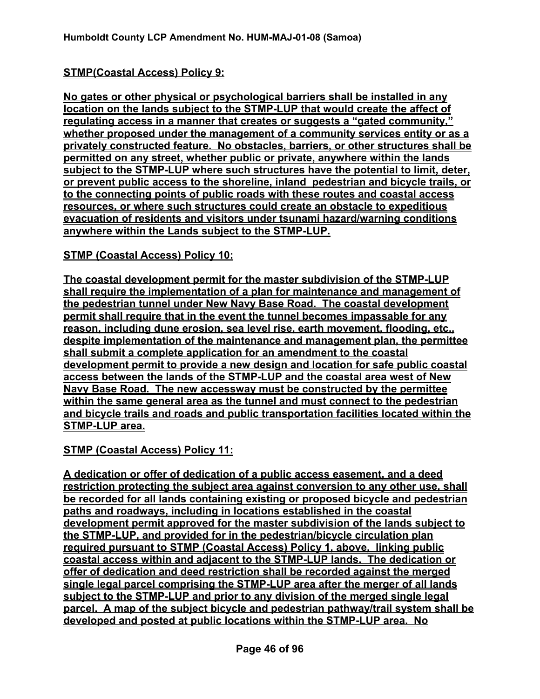## **STMP(Coastal Access) Policy 9:**

**No gates or other physical or psychological barriers shall be installed in any location on the lands subject to the STMP-LUP that would create the affect of regulating access in a manner that creates or suggests a "gated community," whether proposed under the management of a community services entity or as a privately constructed feature. No obstacles, barriers, or other structures shall be permitted on any street, whether public or private, anywhere within the lands subject to the STMP-LUP where such structures have the potential to limit, deter, or prevent public access to the shoreline, inland pedestrian and bicycle trails, or to the connecting points of public roads with these routes and coastal access resources, or where such structures could create an obstacle to expeditious evacuation of residents and visitors under tsunami hazard/warning conditions anywhere within the Lands subject to the STMP-LUP.**

#### **STMP (Coastal Access) Policy 10:**

**The coastal development permit for the master subdivision of the STMP-LUP shall require the implementation of a plan for maintenance and management of the pedestrian tunnel under New Navy Base Road. The coastal development permit shall require that in the event the tunnel becomes impassable for any reason, including dune erosion, sea level rise, earth movement, flooding, etc., despite implementation of the maintenance and management plan, the permittee shall submit a complete application for an amendment to the coastal development permit to provide a new design and location for safe public coastal access between the lands of the STMP-LUP and the coastal area west of New Navy Base Road. The new accessway must be constructed by the permittee within the same general area as the tunnel and must connect to the pedestrian and bicycle trails and roads and public transportation facilities located within the STMP-LUP area.**

**STMP (Coastal Access) Policy 11:**

**A dedication or offer of dedication of a public access easement, and a deed restriction protecting the subject area against conversion to any other use, shall be recorded for all lands containing existing or proposed bicycle and pedestrian paths and roadways, including in locations established in the coastal development permit approved for the master subdivision of the lands subject to the STMP-LUP, and provided for in the pedestrian/bicycle circulation plan required pursuant to STMP (Coastal Access) Policy 1, above, linking public coastal access within and adjacent to the STMP-LUP lands. The dedication or offer of dedication and deed restriction shall be recorded against the merged single legal parcel comprising the STMP-LUP area after the merger of all lands subject to the STMP-LUP and prior to any division of the merged single legal parcel. A map of the subject bicycle and pedestrian pathway/trail system shall be developed and posted at public locations within the STMP-LUP area. No**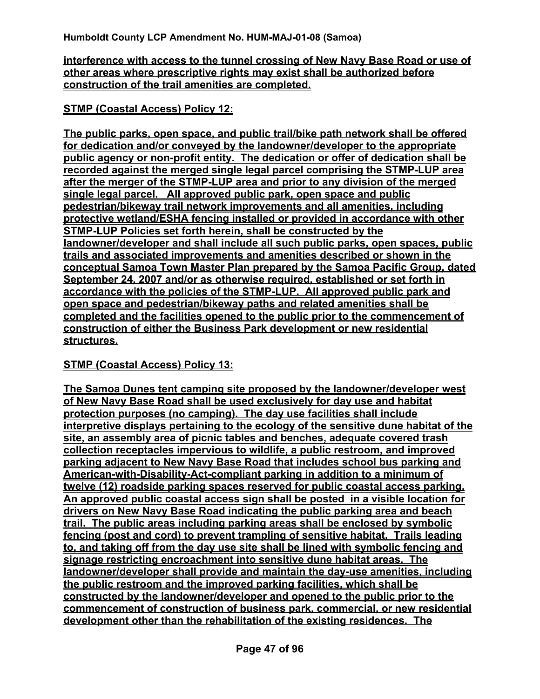**interference with access to the tunnel crossing of New Navy Base Road or use of other areas where prescriptive rights may exist shall be authorized before construction of the trail amenities are completed.**

#### **STMP (Coastal Access) Policy 12:**

**The public parks, open space, and public trail/bike path network shall be offered for dedication and/or conveyed by the landowner/developer to the appropriate public agency or non-profit entity. The dedication or offer of dedication shall be recorded against the merged single legal parcel comprising the STMP-LUP area after the merger of the STMP-LUP area and prior to any division of the merged single legal parcel. All approved public park, open space and public pedestrian/bikeway trail network improvements and all amenities, including protective wetland/ESHA fencing installed or provided in accordance with other STMP-LUP Policies set forth herein, shall be constructed by the landowner/developer and shall include all such public parks, open spaces, public trails and associated improvements and amenities described or shown in the conceptual Samoa Town Master Plan prepared by the Samoa Pacific Group, dated September 24, 2007 and/or as otherwise required, established or set forth in accordance with the policies of the STMP-LUP. All approved public park and open space and pedestrian/bikeway paths and related amenities shall be completed and the facilities opened to the public prior to the commencement of construction of either the Business Park development or new residential structures.**

#### **STMP (Coastal Access) Policy 13:**

**The Samoa Dunes tent camping site proposed by the landowner/developer west of New Navy Base Road shall be used exclusively for day use and habitat protection purposes (no camping). The day use facilities shall include interpretive displays pertaining to the ecology of the sensitive dune habitat of the site, an assembly area of picnic tables and benches, adequate covered trash collection receptacles impervious to wildlife, a public restroom, and improved parking adjacent to New Navy Base Road that includes school bus parking and American-with-Disability-Act-compliant parking in addition to a minimum of twelve (12) roadside parking spaces reserved for public coastal access parking. An approved public coastal access sign shall be posted in a visible location for drivers on New Navy Base Road indicating the public parking area and beach trail. The public areas including parking areas shall be enclosed by symbolic fencing (post and cord) to prevent trampling of sensitive habitat. Trails leading to, and taking off from the day use site shall be lined with symbolic fencing and signage restricting encroachment into sensitive dune habitat areas. The landowner/developer shall provide and maintain the day-use amenities, including the public restroom and the improved parking facilities, which shall be constructed by the landowner/developer and opened to the public prior to the commencement of construction of business park, commercial, or new residential development other than the rehabilitation of the existing residences. The**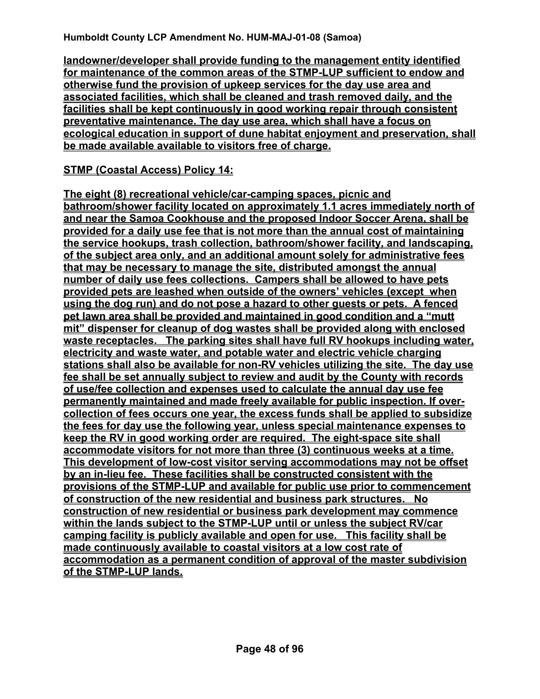**landowner/developer shall provide funding to the management entity identified for maintenance of the common areas of the STMP-LUP sufficient to endow and otherwise fund the provision of upkeep services for the day use area and associated facilities, which shall be cleaned and trash removed daily, and the facilities shall be kept continuously in good working repair through consistent preventative maintenance. The day use area, which shall have a focus on ecological education in support of dune habitat enjoyment and preservation, shall be made available available to visitors free of charge.**

#### **STMP (Coastal Access) Policy 14:**

**The eight (8) recreational vehicle/car-camping spaces, picnic and bathroom/shower facility located on approximately 1.1 acres immediately north of and near the Samoa Cookhouse and the proposed Indoor Soccer Arena, shall be provided for a daily use fee that is not more than the annual cost of maintaining the service hookups, trash collection, bathroom/shower facility, and landscaping, of the subject area only, and an additional amount solely for administrative fees that may be necessary to manage the site, distributed amongst the annual number of daily use fees collections. Campers shall be allowed to have pets provided pets are leashed when outside of the owners' vehicles (except when using the dog run) and do not pose a hazard to other guests or pets. A fenced pet lawn area shall be provided and maintained in good condition and a "mutt mit" dispenser for cleanup of dog wastes shall be provided along with enclosed waste receptacles. The parking sites shall have full RV hookups including water, electricity and waste water, and potable water and electric vehicle charging stations shall also be available for non-RV vehicles utilizing the site. The day use fee shall be set annually subject to review and audit by the County with records of use/fee collection and expenses used to calculate the annual day use fee permanently maintained and made freely available for public inspection. If overcollection of fees occurs one year, the excess funds shall be applied to subsidize the fees for day use the following year, unless special maintenance expenses to keep the RV in good working order are required. The eight-space site shall accommodate visitors for not more than three (3) continuous weeks at a time. This development of low-cost visitor serving accommodations may not be offset by an in-lieu fee. These facilities shall be constructed consistent with the provisions of the STMP-LUP and available for public use prior to commencement of construction of the new residential and business park structures. No construction of new residential or business park development may commence within the lands subject to the STMP-LUP until or unless the subject RV/car camping facility is publicly available and open for use. This facility shall be made continuously available to coastal visitors at a low cost rate of accommodation as a permanent condition of approval of the master subdivision of the STMP-LUP lands.**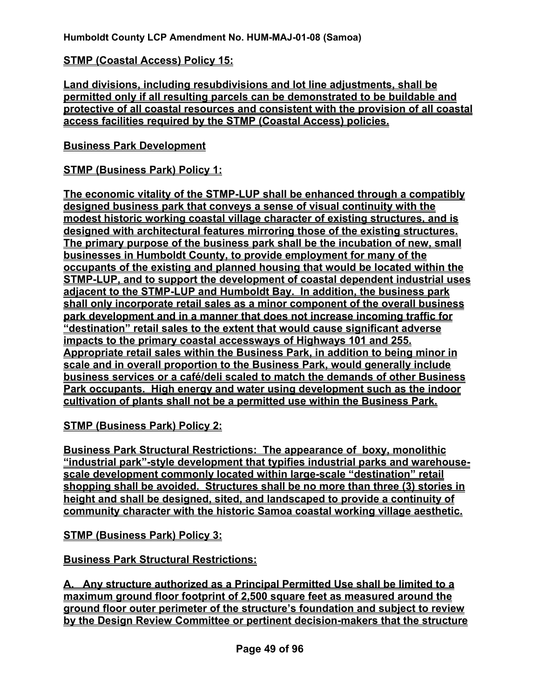#### **STMP (Coastal Access) Policy 15:**

**Land divisions, including resubdivisions and lot line adjustments, shall be permitted only if all resulting parcels can be demonstrated to be buildable and protective of all coastal resources and consistent with the provision of all coastal access facilities required by the STMP (Coastal Access) policies.**

## **Business Park Development**

## **STMP (Business Park) Policy 1:**

**The economic vitality of the STMP-LUP shall be enhanced through a compatibly designed business park that conveys a sense of visual continuity with the modest historic working coastal village character of existing structures, and is designed with architectural features mirroring those of the existing structures. The primary purpose of the business park shall be the incubation of new, small businesses in Humboldt County, to provide employment for many of the occupants of the existing and planned housing that would be located within the STMP-LUP, and to support the development of coastal dependent industrial uses adjacent to the STMP-LUP and Humboldt Bay. In addition, the business park shall only incorporate retail sales as a minor component of the overall business park development and in a manner that does not increase incoming traffic for "destination" retail sales to the extent that would cause significant adverse impacts to the primary coastal accessways of Highways 101 and 255. Appropriate retail sales within the Business Park, in addition to being minor in scale and in overall proportion to the Business Park, would generally include business services or a café/deli scaled to match the demands of other Business Park occupants. High energy and water using development such as the indoor cultivation of plants shall not be a permitted use within the Business Park.**

**STMP (Business Park) Policy 2:** 

**Business Park Structural Restrictions: The appearance of boxy, monolithic "industrial park"-style development that typifies industrial parks and warehousescale development commonly located within large-scale "destination" retail shopping shall be avoided. Structures shall be no more than three (3) stories in height and shall be designed, sited, and landscaped to provide a continuity of community character with the historic Samoa coastal working village aesthetic.** 

**STMP (Business Park) Policy 3:** 

## **Business Park Structural Restrictions:**

**A. Any structure authorized as a Principal Permitted Use shall be limited to a maximum ground floor footprint of 2,500 square feet as measured around the ground floor outer perimeter of the structure's foundation and subject to review by the Design Review Committee or pertinent decision-makers that the structure**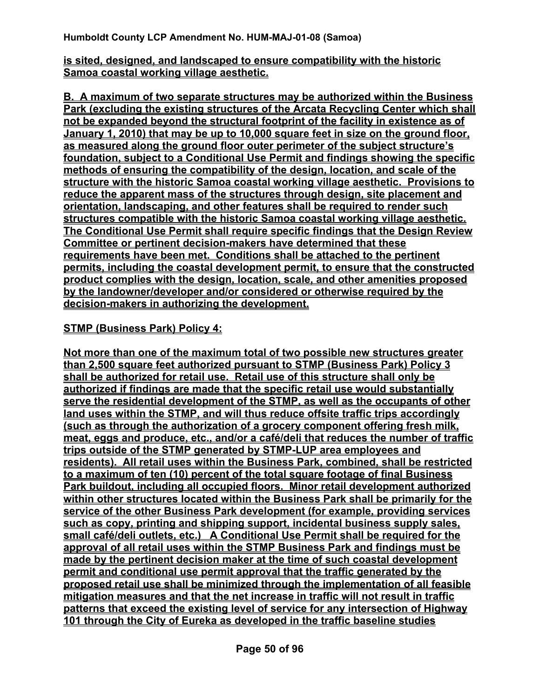**is sited, designed, and landscaped to ensure compatibility with the historic Samoa coastal working village aesthetic.** 

**B. A maximum of two separate structures may be authorized within the Business Park (excluding the existing structures of the Arcata Recycling Center which shall not be expanded beyond the structural footprint of the facility in existence as of January 1, 2010) that may be up to 10,000 square feet in size on the ground floor, as measured along the ground floor outer perimeter of the subject structure's foundation, subject to a Conditional Use Permit and findings showing the specific methods of ensuring the compatibility of the design, location, and scale of the structure with the historic Samoa coastal working village aesthetic. Provisions to reduce the apparent mass of the structures through design, site placement and orientation, landscaping, and other features shall be required to render such structures compatible with the historic Samoa coastal working village aesthetic. The Conditional Use Permit shall require specific findings that the Design Review Committee or pertinent decision-makers have determined that these requirements have been met. Conditions shall be attached to the pertinent permits, including the coastal development permit, to ensure that the constructed product complies with the design, location, scale, and other amenities proposed by the landowner/developer and/or considered or otherwise required by the decision-makers in authorizing the development.** 

#### **STMP (Business Park) Policy 4:**

**Not more than one of the maximum total of two possible new structures greater than 2,500 square feet authorized pursuant to STMP (Business Park) Policy 3 shall be authorized for retail use. Retail use of this structure shall only be authorized if findings are made that the specific retail use would substantially serve the residential development of the STMP, as well as the occupants of other land uses within the STMP, and will thus reduce offsite traffic trips accordingly (such as through the authorization of a grocery component offering fresh milk, meat, eggs and produce, etc., and/or a café/deli that reduces the number of traffic trips outside of the STMP generated by STMP-LUP area employees and residents). All retail uses within the Business Park, combined, shall be restricted to a maximum of ten (10) percent of the total square footage of final Business Park buildout, including all occupied floors. Minor retail development authorized within other structures located within the Business Park shall be primarily for the service of the other Business Park development (for example, providing services such as copy, printing and shipping support, incidental business supply sales, small café/deli outlets, etc.) A Conditional Use Permit shall be required for the approval of all retail uses within the STMP Business Park and findings must be made by the pertinent decision maker at the time of such coastal development permit and conditional use permit approval that the traffic generated by the proposed retail use shall be minimized through the implementation of all feasible mitigation measures and that the net increase in traffic will not result in traffic patterns that exceed the existing level of service for any intersection of Highway 101 through the City of Eureka as developed in the traffic baseline studies**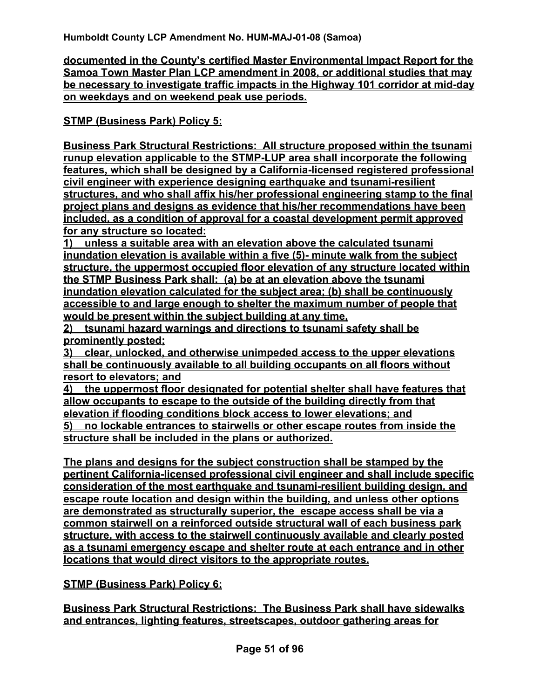**documented in the County's certified Master Environmental Impact Report for the Samoa Town Master Plan LCP amendment in 2008, or additional studies that may be necessary to investigate traffic impacts in the Highway 101 corridor at mid-day on weekdays and on weekend peak use periods.** 

**STMP (Business Park) Policy 5:**

**Business Park Structural Restrictions: All structure proposed within the tsunami runup elevation applicable to the STMP-LUP area shall incorporate the following features, which shall be designed by a California-licensed registered professional civil engineer with experience designing earthquake and tsunami-resilient structures, and who shall affix his/her professional engineering stamp to the final project plans and designs as evidence that his/her recommendations have been included, as a condition of approval for a coastal development permit approved for any structure so located:** 

**1) unless a suitable area with an elevation above the calculated tsunami inundation elevation is available within a five (5)- minute walk from the subject structure, the uppermost occupied floor elevation of any structure located within the STMP Business Park shall: (a) be at an elevation above the tsunami inundation elevation calculated for the subject area; (b) shall be continuously accessible to and large enough to shelter the maximum number of people that would be present within the subject building at any time,** 

**2) tsunami hazard warnings and directions to tsunami safety shall be prominently posted;** 

**3) clear, unlocked, and otherwise unimpeded access to the upper elevations shall be continuously available to all building occupants on all floors without resort to elevators; and** 

**4) the uppermost floor designated for potential shelter shall have features that allow occupants to escape to the outside of the building directly from that elevation if flooding conditions block access to lower elevations; and**

**5) no lockable entrances to stairwells or other escape routes from inside the structure shall be included in the plans or authorized.**

**The plans and designs for the subject construction shall be stamped by the pertinent California-licensed professional civil engineer and shall include specific consideration of the most earthquake and tsunami-resilient building design, and escape route location and design within the building, and unless other options are demonstrated as structurally superior, the escape access shall be via a common stairwell on a reinforced outside structural wall of each business park structure, with access to the stairwell continuously available and clearly posted as a tsunami emergency escape and shelter route at each entrance and in other locations that would direct visitors to the appropriate routes.** 

## **STMP (Business Park) Policy 6:**

**Business Park Structural Restrictions: The Business Park shall have sidewalks and entrances, lighting features, streetscapes, outdoor gathering areas for**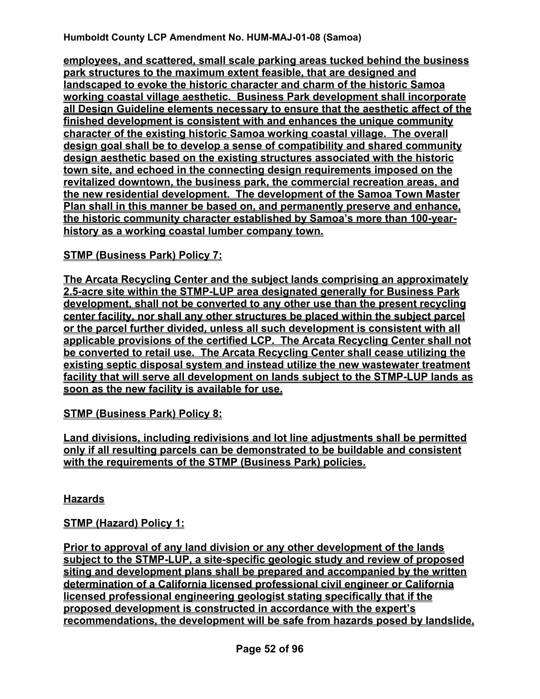**employees, and scattered, small scale parking areas tucked behind the business park structures to the maximum extent feasible, that are designed and landscaped to evoke the historic character and charm of the historic Samoa working coastal village aesthetic. Business Park development shall incorporate all Design Guideline elements necessary to ensure that the aesthetic affect of the finished development is consistent with and enhances the unique community character of the existing historic Samoa working coastal village. The overall design goal shall be to develop a sense of compatibility and shared community design aesthetic based on the existing structures associated with the historic town site, and echoed in the connecting design requirements imposed on the revitalized downtown, the business park, the commercial recreation areas, and the new residential development. The development of the Samoa Town Master Plan shall in this manner be based on, and permanently preserve and enhance, the historic community character established by Samoa's more than 100-yearhistory as a working coastal lumber company town.**

## **STMP (Business Park) Policy 7:**

**The Arcata Recycling Center and the subject lands comprising an approximately 2.5-acre site within the STMP-LUP area designated generally for Business Park development, shall not be converted to any other use than the present recycling center facility, nor shall any other structures be placed within the subject parcel or the parcel further divided, unless all such development is consistent with all applicable provisions of the certified LCP. The Arcata Recycling Center shall not be converted to retail use. The Arcata Recycling Center shall cease utilizing the existing septic disposal system and instead utilize the new wastewater treatment facility that will serve all development on lands subject to the STMP-LUP lands as soon as the new facility is available for use.**

**STMP (Business Park) Policy 8:**

**Land divisions, including redivisions and lot line adjustments shall be permitted only if all resulting parcels can be demonstrated to be buildable and consistent with the requirements of the STMP (Business Park) policies.**

**Hazards**

## **STMP (Hazard) Policy 1:**

**Prior to approval of any land division or any other development of the lands subject to the STMP-LUP, a site-specific geologic study and review of proposed siting and development plans shall be prepared and accompanied by the written determination of a California licensed professional civil engineer or California licensed professional engineering geologist stating specifically that if the proposed development is constructed in accordance with the expert's recommendations, the development will be safe from hazards posed by landslide,**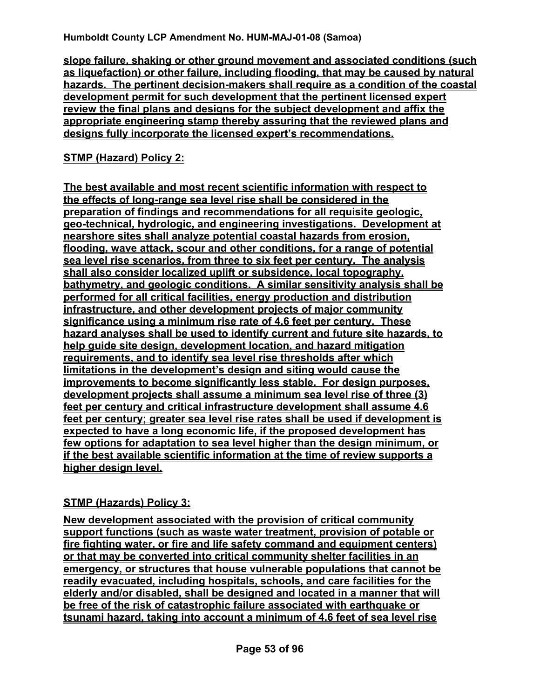**slope failure, shaking or other ground movement and associated conditions (such as liquefaction) or other failure, including flooding, that may be caused by natural hazards. The pertinent decision-makers shall require as a condition of the coastal development permit for such development that the pertinent licensed expert review the final plans and designs for the subject development and affix the appropriate engineering stamp thereby assuring that the reviewed plans and designs fully incorporate the licensed expert's recommendations.**

## **STMP (Hazard) Policy 2:**

**The best available and most recent scientific information with respect to the effects of long-range sea level rise shall be considered in the preparation of findings and recommendations for all requisite geologic, geo-technical, hydrologic, and engineering investigations. Development at nearshore sites shall analyze potential coastal hazards from erosion, flooding, wave attack, scour and other conditions, for a range of potential sea level rise scenarios, from three to six feet per century. The analysis shall also consider localized uplift or subsidence, local topography, bathymetry, and geologic conditions. A similar sensitivity analysis shall be performed for all critical facilities, energy production and distribution infrastructure, and other development projects of major community significance using a minimum rise rate of 4.6 feet per century. These hazard analyses shall be used to identify current and future site hazards, to help guide site design, development location, and hazard mitigation requirements, and to identify sea level rise thresholds after which limitations in the development's design and siting would cause the improvements to become significantly less stable. For design purposes, development projects shall assume a minimum sea level rise of three (3) feet per century and critical infrastructure development shall assume 4.6 feet per century; greater sea level rise rates shall be used if development is expected to have a long economic life, if the proposed development has few options for adaptation to sea level higher than the design minimum, or if the best available scientific information at the time of review supports a higher design level.** 

## **STMP (Hazards) Policy 3:**

**New development associated with the provision of critical community support functions (such as waste water treatment, provision of potable or fire fighting water, or fire and life safety command and equipment centers) or that may be converted into critical community shelter facilities in an emergency, or structures that house vulnerable populations that cannot be readily evacuated, including hospitals, schools, and care facilities for the elderly and/or disabled, shall be designed and located in a manner that will be free of the risk of catastrophic failure associated with earthquake or tsunami hazard, taking into account a minimum of 4.6 feet of sea level rise**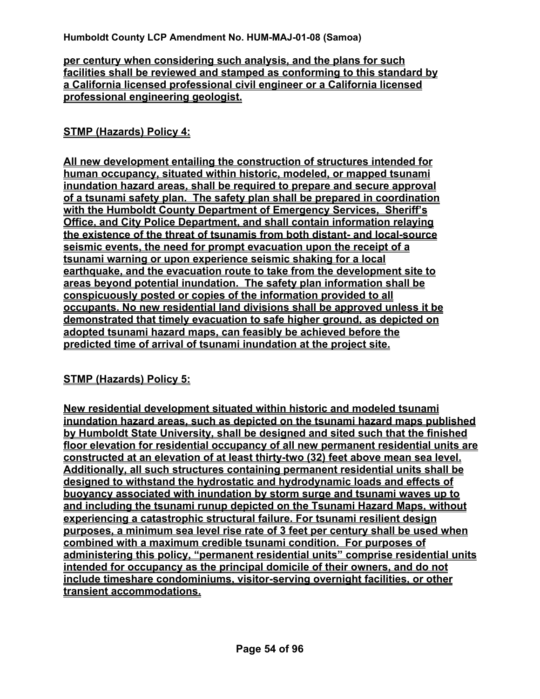#### **per century when considering such analysis, and the plans for such facilities shall be reviewed and stamped as conforming to this standard by a California licensed professional civil engineer or a California licensed professional engineering geologist.**

#### **STMP (Hazards) Policy 4:**

**All new development entailing the construction of structures intended for human occupancy, situated within historic, modeled, or mapped tsunami inundation hazard areas, shall be required to prepare and secure approval of a tsunami safety plan. The safety plan shall be prepared in coordination with the Humboldt County Department of Emergency Services, Sheriff's Office, and City Police Department, and shall contain information relaying the existence of the threat of tsunamis from both distant- and local-source seismic events, the need for prompt evacuation upon the receipt of a tsunami warning or upon experience seismic shaking for a local earthquake, and the evacuation route to take from the development site to areas beyond potential inundation. The safety plan information shall be conspicuously posted or copies of the information provided to all occupants. No new residential land divisions shall be approved unless it be demonstrated that timely evacuation to safe higher ground, as depicted on adopted tsunami hazard maps, can feasibly be achieved before the predicted time of arrival of tsunami inundation at the project site.**

#### **STMP (Hazards) Policy 5:**

**New residential development situated within historic and modeled tsunami inundation hazard areas, such as depicted on the tsunami hazard maps published by Humboldt State University, shall be designed and sited such that the finished floor elevation for residential occupancy of all new permanent residential units are constructed at an elevation of at least thirty-two (32) feet above mean sea level. Additionally, all such structures containing permanent residential units shall be designed to withstand the hydrostatic and hydrodynamic loads and effects of buoyancy associated with inundation by storm surge and tsunami waves up to and including the tsunami runup depicted on the Tsunami Hazard Maps, without experiencing a catastrophic structural failure. For tsunami resilient design purposes, a minimum sea level rise rate of 3 feet per century shall be used when combined with a maximum credible tsunami condition. For purposes of administering this policy, "permanent residential units" comprise residential units intended for occupancy as the principal domicile of their owners, and do not include timeshare condominiums, visitor-serving overnight facilities, or other transient accommodations.**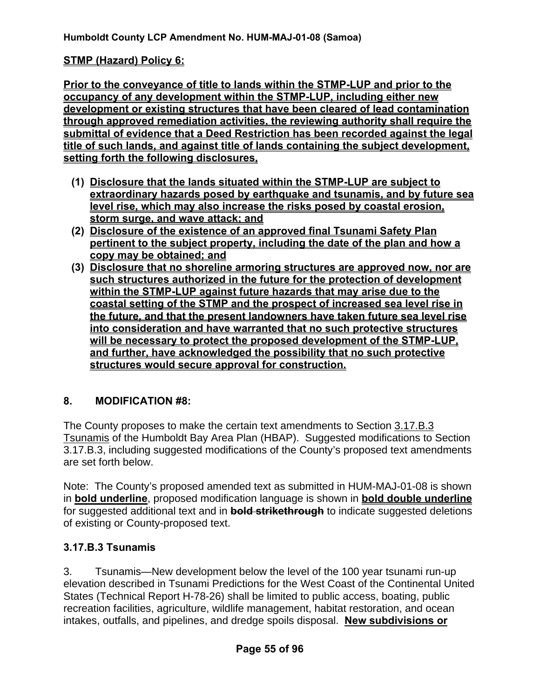#### **STMP (Hazard) Policy 6:**

**Prior to the conveyance of title to lands within the STMP-LUP and prior to the occupancy of any development within the STMP-LUP, including either new development or existing structures that have been cleared of lead contamination through approved remediation activities, the reviewing authority shall require the submittal of evidence that a Deed Restriction has been recorded against the legal title of such lands, and against title of lands containing the subject development, setting forth the following disclosures,**

- **(1) Disclosure that the lands situated within the STMP-LUP are subject to extraordinary hazards posed by earthquake and tsunamis, and by future sea level rise, which may also increase the risks posed by coastal erosion, storm surge, and wave attack; and**
- **(2) Disclosure of the existence of an approved final Tsunami Safety Plan pertinent to the subject property, including the date of the plan and how a copy may be obtained; and**
- **(3) Disclosure that no shoreline armoring structures are approved now, nor are such structures authorized in the future for the protection of development within the STMP-LUP against future hazards that may arise due to the coastal setting of the STMP and the prospect of increased sea level rise in the future, and that the present landowners have taken future sea level rise into consideration and have warranted that no such protective structures will be necessary to protect the proposed development of the STMP-LUP, and further, have acknowledged the possibility that no such protective structures would secure approval for construction.**

#### **8. MODIFICATION #8:**

The County proposes to make the certain text amendments to Section 3.17.B.3 Tsunamis of the Humboldt Bay Area Plan (HBAP). Suggested modifications to Section 3.17.B.3, including suggested modifications of the County's proposed text amendments are set forth below.

Note: The County's proposed amended text as submitted in HUM-MAJ-01-08 is shown in **bold underline**, proposed modification language is shown in **bold double underline** for suggested additional text and in **bold strikethrough** to indicate suggested deletions of existing or County-proposed text.

## **3.17.B.3 Tsunamis**

3. Tsunamis—New development below the level of the 100 year tsunami run-up elevation described in Tsunami Predictions for the West Coast of the Continental United States (Technical Report H-78-26) shall be limited to public access, boating, public recreation facilities, agriculture, wildlife management, habitat restoration, and ocean intakes, outfalls, and pipelines, and dredge spoils disposal. **New subdivisions or**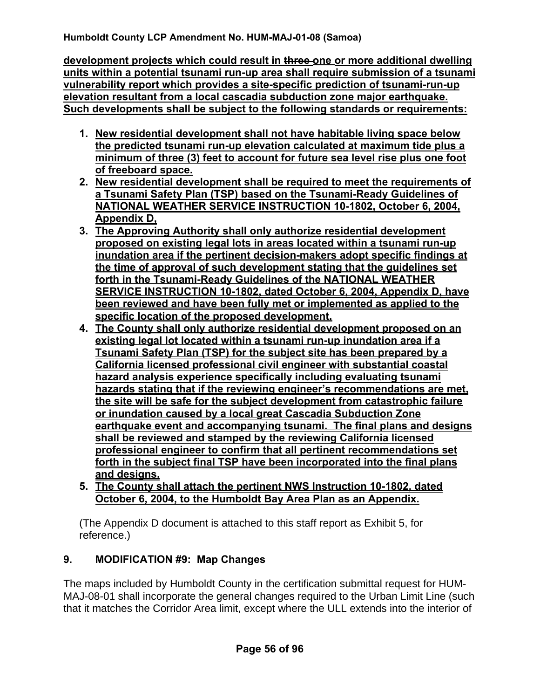**development projects which could result in three one or more additional dwelling units within a potential tsunami run-up area shall require submission of a tsunami vulnerability report which provides a site-specific prediction of tsunami-run-up elevation resultant from a local cascadia subduction zone major earthquake. Such developments shall be subject to the following standards or requirements:**

- **1. New residential development shall not have habitable living space below the predicted tsunami run-up elevation calculated at maximum tide plus a minimum of three (3) feet to account for future sea level rise plus one foot of freeboard space.**
- **2. New residential development shall be required to meet the requirements of a Tsunami Safety Plan (TSP) based on the Tsunami-Ready Guidelines of NATIONAL WEATHER SERVICE INSTRUCTION 10-1802, October 6, 2004, Appendix D,**
- **3. The Approving Authority shall only authorize residential development proposed on existing legal lots in areas located within a tsunami run-up inundation area if the pertinent decision-makers adopt specific findings at the time of approval of such development stating that the guidelines set forth in the Tsunami-Ready Guidelines of the NATIONAL WEATHER SERVICE INSTRUCTION 10-1802, dated October 6, 2004, Appendix D, have been reviewed and have been fully met or implemented as applied to the specific location of the proposed development.**
- **4. The County shall only authorize residential development proposed on an existing legal lot located within a tsunami run-up inundation area if a Tsunami Safety Plan (TSP) for the subject site has been prepared by a California licensed professional civil engineer with substantial coastal hazard analysis experience specifically including evaluating tsunami hazards stating that if the reviewing engineer's recommendations are met, the site will be safe for the subject development from catastrophic failure or inundation caused by a local great Cascadia Subduction Zone earthquake event and accompanying tsunami. The final plans and designs shall be reviewed and stamped by the reviewing California licensed professional engineer to confirm that all pertinent recommendations set forth in the subject final TSP have been incorporated into the final plans and designs.**
- **5. The County shall attach the pertinent NWS Instruction 10-1802, dated October 6, 2004, to the Humboldt Bay Area Plan as an Appendix.**

(The Appendix D document is attached to this staff report as Exhibit 5, for reference.)

## **9. MODIFICATION #9: Map Changes**

The maps included by Humboldt County in the certification submittal request for HUM-MAJ-08-01 shall incorporate the general changes required to the Urban Limit Line (such that it matches the Corridor Area limit, except where the ULL extends into the interior of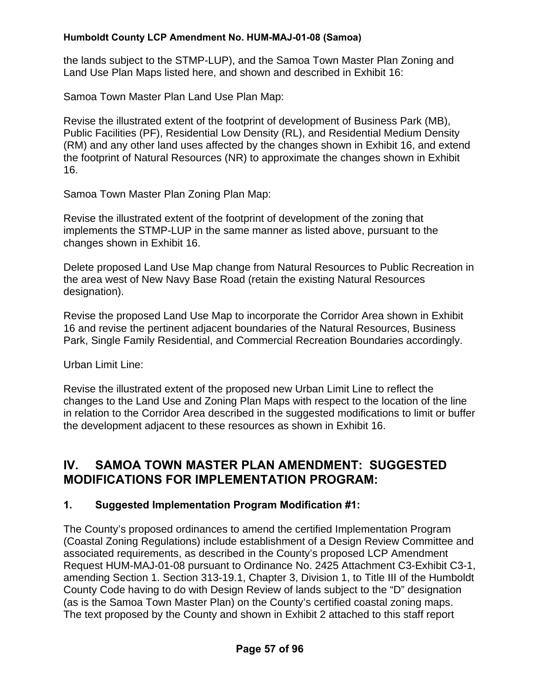the lands subject to the STMP-LUP), and the Samoa Town Master Plan Zoning and Land Use Plan Maps listed here, and shown and described in Exhibit 16:

Samoa Town Master Plan Land Use Plan Map:

Revise the illustrated extent of the footprint of development of Business Park (MB), Public Facilities (PF), Residential Low Density (RL), and Residential Medium Density (RM) and any other land uses affected by the changes shown in Exhibit 16, and extend the footprint of Natural Resources (NR) to approximate the changes shown in Exhibit 16.

Samoa Town Master Plan Zoning Plan Map:

Revise the illustrated extent of the footprint of development of the zoning that implements the STMP-LUP in the same manner as listed above, pursuant to the changes shown in Exhibit 16.

Delete proposed Land Use Map change from Natural Resources to Public Recreation in the area west of New Navy Base Road (retain the existing Natural Resources designation).

Revise the proposed Land Use Map to incorporate the Corridor Area shown in Exhibit 16 and revise the pertinent adjacent boundaries of the Natural Resources, Business Park, Single Family Residential, and Commercial Recreation Boundaries accordingly.

Urban Limit Line:

Revise the illustrated extent of the proposed new Urban Limit Line to reflect the changes to the Land Use and Zoning Plan Maps with respect to the location of the line in relation to the Corridor Area described in the suggested modifications to limit or buffer the development adjacent to these resources as shown in Exhibit 16.

## **IV. SAMOA TOWN MASTER PLAN AMENDMENT: SUGGESTED MODIFICATIONS FOR IMPLEMENTATION PROGRAM:**

## **1. Suggested Implementation Program Modification #1:**

The County's proposed ordinances to amend the certified Implementation Program (Coastal Zoning Regulations) include establishment of a Design Review Committee and associated requirements, as described in the County's proposed LCP Amendment Request HUM-MAJ-01-08 pursuant to Ordinance No. 2425 Attachment C3-Exhibit C3-1, amending Section 1. Section 313-19.1, Chapter 3, Division 1, to Title III of the Humboldt County Code having to do with Design Review of lands subject to the "D" designation (as is the Samoa Town Master Plan) on the County's certified coastal zoning maps. The text proposed by the County and shown in Exhibit 2 attached to this staff report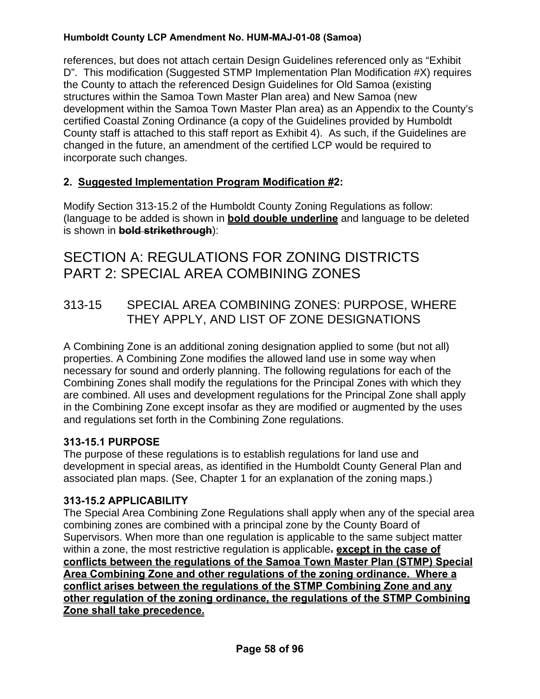references, but does not attach certain Design Guidelines referenced only as "Exhibit D". This modification (Suggested STMP Implementation Plan Modification #X) requires the County to attach the referenced Design Guidelines for Old Samoa (existing structures within the Samoa Town Master Plan area) and New Samoa (new development within the Samoa Town Master Plan area) as an Appendix to the County's certified Coastal Zoning Ordinance (a copy of the Guidelines provided by Humboldt County staff is attached to this staff report as Exhibit 4). As such, if the Guidelines are changed in the future, an amendment of the certified LCP would be required to incorporate such changes.

## **2. Suggested Implementation Program Modification #2:**

Modify Section 313-15.2 of the Humboldt County Zoning Regulations as follow: (language to be added is shown in **bold double underline** and language to be deleted is shown in **bold strikethrough**):

# SECTION A: REGULATIONS FOR ZONING DISTRICTS PART 2: SPECIAL AREA COMBINING ZONES

313-15 SPECIAL AREA COMBINING ZONES: PURPOSE, WHERE THEY APPLY, AND LIST OF ZONE DESIGNATIONS

A Combining Zone is an additional zoning designation applied to some (but not all) properties. A Combining Zone modifies the allowed land use in some way when necessary for sound and orderly planning. The following regulations for each of the Combining Zones shall modify the regulations for the Principal Zones with which they are combined. All uses and development regulations for the Principal Zone shall apply in the Combining Zone except insofar as they are modified or augmented by the uses and regulations set forth in the Combining Zone regulations.

## **313-15.1 PURPOSE**

The purpose of these regulations is to establish regulations for land use and development in special areas, as identified in the Humboldt County General Plan and associated plan maps. (See, Chapter 1 for an explanation of the zoning maps.)

## **313-15.2 APPLICABILITY**

The Special Area Combining Zone Regulations shall apply when any of the special area combining zones are combined with a principal zone by the County Board of Supervisors. When more than one regulation is applicable to the same subject matter within a zone, the most restrictive regulation is applicable**. except in the case of conflicts between the regulations of the Samoa Town Master Plan (STMP) Special Area Combining Zone and other regulations of the zoning ordinance. Where a conflict arises between the regulations of the STMP Combining Zone and any other regulation of the zoning ordinance, the regulations of the STMP Combining Zone shall take precedence.**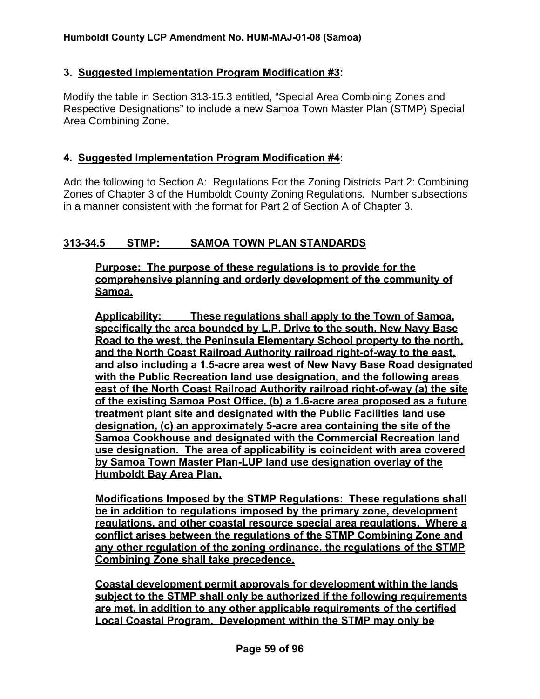#### **3. Suggested Implementation Program Modification #3:**

Modify the table in Section 313-15.3 entitled, "Special Area Combining Zones and Respective Designations" to include a new Samoa Town Master Plan (STMP) Special Area Combining Zone.

#### **4. Suggested Implementation Program Modification #4:**

Add the following to Section A: Regulations For the Zoning Districts Part 2: Combining Zones of Chapter 3 of the Humboldt County Zoning Regulations. Number subsections in a manner consistent with the format for Part 2 of Section A of Chapter 3.

### **313-34.5 STMP: SAMOA TOWN PLAN STANDARDS**

**Purpose: The purpose of these regulations is to provide for the comprehensive planning and orderly development of the community of Samoa.**

**Applicability: These regulations shall apply to the Town of Samoa, specifically the area bounded by L.P. Drive to the south, New Navy Base Road to the west, the Peninsula Elementary School property to the north, and the North Coast Railroad Authority railroad right-of-way to the east, and also including a 1.5-acre area west of New Navy Base Road designated with the Public Recreation land use designation, and the following areas east of the North Coast Railroad Authority railroad right-of-way (a) the site of the existing Samoa Post Office, (b) a 1.6-acre area proposed as a future treatment plant site and designated with the Public Facilities land use designation, (c) an approximately 5-acre area containing the site of the Samoa Cookhouse and designated with the Commercial Recreation land use designation. The area of applicability is coincident with area covered by Samoa Town Master Plan-LUP land use designation overlay of the Humboldt Bay Area Plan.**

**Modifications Imposed by the STMP Regulations: These regulations shall be in addition to regulations imposed by the primary zone, development regulations, and other coastal resource special area regulations. Where a conflict arises between the regulations of the STMP Combining Zone and any other regulation of the zoning ordinance, the regulations of the STMP Combining Zone shall take precedence.**

 **Coastal development permit approvals for development within the lands subject to the STMP shall only be authorized if the following requirements are met, in addition to any other applicable requirements of the certified Local Coastal Program. Development within the STMP may only be**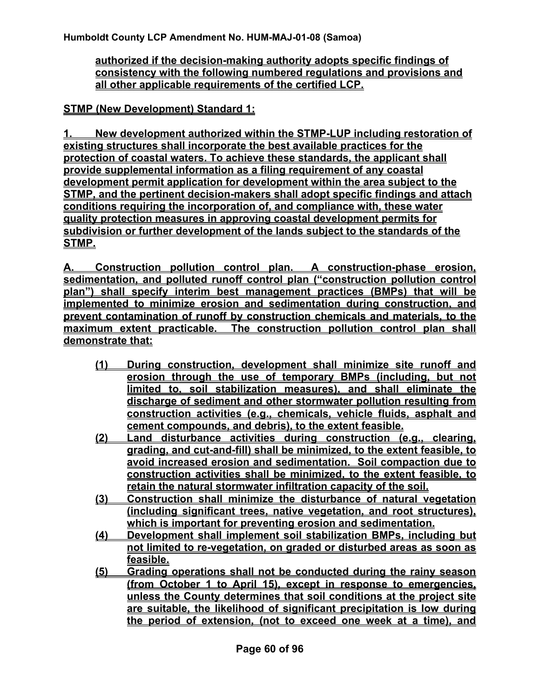**authorized if the decision-making authority adopts specific findings of consistency with the following numbered regulations and provisions and all other applicable requirements of the certified LCP.**

**STMP (New Development) Standard 1:**

**1. New development authorized within the STMP-LUP including restoration of existing structures shall incorporate the best available practices for the protection of coastal waters. To achieve these standards, the applicant shall provide supplemental information as a filing requirement of any coastal development permit application for development within the area subject to the STMP, and the pertinent decision-makers shall adopt specific findings and attach conditions requiring the incorporation of, and compliance with, these water quality protection measures in approving coastal development permits for subdivision or further development of the lands subject to the standards of the STMP.**

**A. Construction pollution control plan. A construction-phase erosion, sedimentation, and polluted runoff control plan ("construction pollution control plan") shall specify interim best management practices (BMPs) that will be implemented to minimize erosion and sedimentation during construction, and prevent contamination of runoff by construction chemicals and materials, to the maximum extent practicable. The construction pollution control plan shall demonstrate that:**

- **(1) During construction, development shall minimize site runoff and erosion through the use of temporary BMPs (including, but not limited to, soil stabilization measures), and shall eliminate the discharge of sediment and other stormwater pollution resulting from construction activities (e.g., chemicals, vehicle fluids, asphalt and cement compounds, and debris), to the extent feasible.**
- **(2) Land disturbance activities during construction (e.g., clearing, grading, and cut-and-fill) shall be minimized, to the extent feasible, to avoid increased erosion and sedimentation. Soil compaction due to construction activities shall be minimized, to the extent feasible, to retain the natural stormwater infiltration capacity of the soil.**
- **(3) Construction shall minimize the disturbance of natural vegetation (including significant trees, native vegetation, and root structures), which is important for preventing erosion and sedimentation.**
- **(4) Development shall implement soil stabilization BMPs, including but not limited to re-vegetation, on graded or disturbed areas as soon as feasible.**
- **(5) Grading operations shall not be conducted during the rainy season (from October 1 to April 15), except in response to emergencies, unless the County determines that soil conditions at the project site are suitable, the likelihood of significant precipitation is low during the period of extension, (not to exceed one week at a time), and**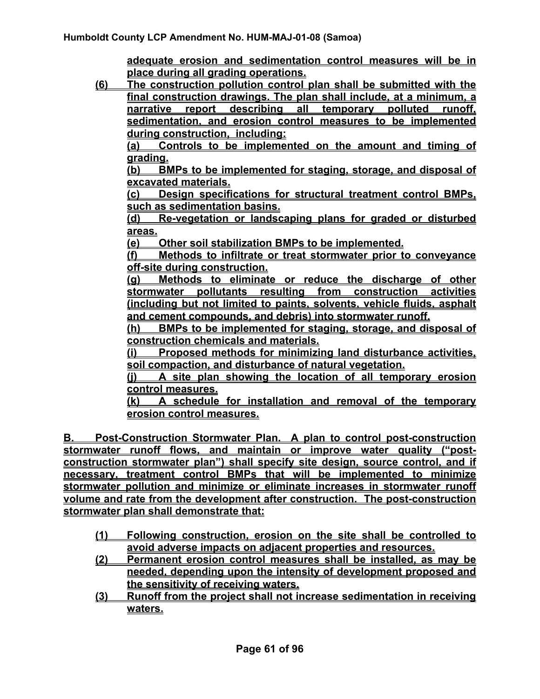**adequate erosion and sedimentation control measures will be in place during all grading operations.**

**(6) The construction pollution control plan shall be submitted with the final construction drawings. The plan shall include, at a minimum, a narrative report describing all temporary polluted runoff, sedimentation, and erosion control measures to be implemented during construction, including:**

**(a) Controls to be implemented on the amount and timing of grading.**

**(b) BMPs to be implemented for staging, storage, and disposal of excavated materials.**

**(c) Design specifications for structural treatment control BMPs, such as sedimentation basins.**

**(d) Re-vegetation or landscaping plans for graded or disturbed areas.** 

**(e) Other soil stabilization BMPs to be implemented.**

**(f) Methods to infiltrate or treat stormwater prior to conveyance off-site during construction.** 

**(g) Methods to eliminate or reduce the discharge of other stormwater pollutants resulting from construction activities (including but not limited to paints, solvents, vehicle fluids, asphalt and cement compounds, and debris) into stormwater runoff.**

**(h) BMPs to be implemented for staging, storage, and disposal of construction chemicals and materials.**

**(i) Proposed methods for minimizing land disturbance activities, soil compaction, and disturbance of natural vegetation.** 

**(j) A site plan showing the location of all temporary erosion control measures.**

**(k) A schedule for installation and removal of the temporary erosion control measures.**

**B. Post-Construction Stormwater Plan. A plan to control post-construction stormwater runoff flows, and maintain or improve water quality ("postconstruction stormwater plan") shall specify site design, source control, and if necessary, treatment control BMPs that will be implemented to minimize stormwater pollution and minimize or eliminate increases in stormwater runoff volume and rate from the development after construction. The post-construction stormwater plan shall demonstrate that:**

- **(1) Following construction, erosion on the site shall be controlled to avoid adverse impacts on adjacent properties and resources.**
- **(2) Permanent erosion control measures shall be installed, as may be needed, depending upon the intensity of development proposed and the sensitivity of receiving waters.**
- **(3) Runoff from the project shall not increase sedimentation in receiving waters.**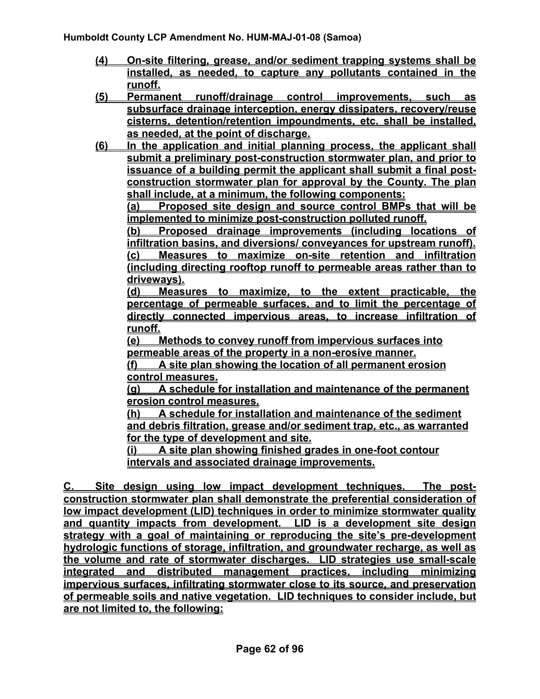- **(4) On-site filtering, grease, and/or sediment trapping systems shall be installed, as needed, to capture any pollutants contained in the runoff.**
- **(5) Permanent runoff/drainage control improvements, such as subsurface drainage interception, energy dissipaters, recovery/reuse cisterns, detention/retention impoundments, etc. shall be installed, as needed, at the point of discharge.**
- **(6) In the application and initial planning process, the applicant shall submit a preliminary post-construction stormwater plan, and prior to issuance of a building permit the applicant shall submit a final postconstruction stormwater plan for approval by the County. The plan shall include, at a minimum, the following components:**

**(a) Proposed site design and source control BMPs that will be implemented to minimize post-construction polluted runoff.** 

**(b) Proposed drainage improvements (including locations of infiltration basins, and diversions/ conveyances for upstream runoff). (c) Measures to maximize on-site retention and infiltration (including directing rooftop runoff to permeable areas rather than to driveways).**

**(d) Measures to maximize, to the extent practicable, the percentage of permeable surfaces, and to limit the percentage of directly connected impervious areas, to increase infiltration of runoff.**

**(e) Methods to convey runoff from impervious surfaces into permeable areas of the property in a non-erosive manner.**

**(f) A site plan showing the location of all permanent erosion control measures.**

**(g) A schedule for installation and maintenance of the permanent erosion control measures.**

**(h) A schedule for installation and maintenance of the sediment and debris filtration, grease and/or sediment trap, etc., as warranted for the type of development and site.**

**(i) A site plan showing finished grades in one-foot contour intervals and associated drainage improvements.**

**C. Site design using low impact development techniques. The postconstruction stormwater plan shall demonstrate the preferential consideration of low impact development (LID) techniques in order to minimize stormwater quality and quantity impacts from development. LID is a development site design strategy with a goal of maintaining or reproducing the site's pre-development hydrologic functions of storage, infiltration, and groundwater recharge, as well as the volume and rate of stormwater discharges. LID strategies use small-scale integrated and distributed management practices, including minimizing impervious surfaces, infiltrating stormwater close to its source, and preservation of permeable soils and native vegetation. LID techniques to consider include, but are not limited to, the following:**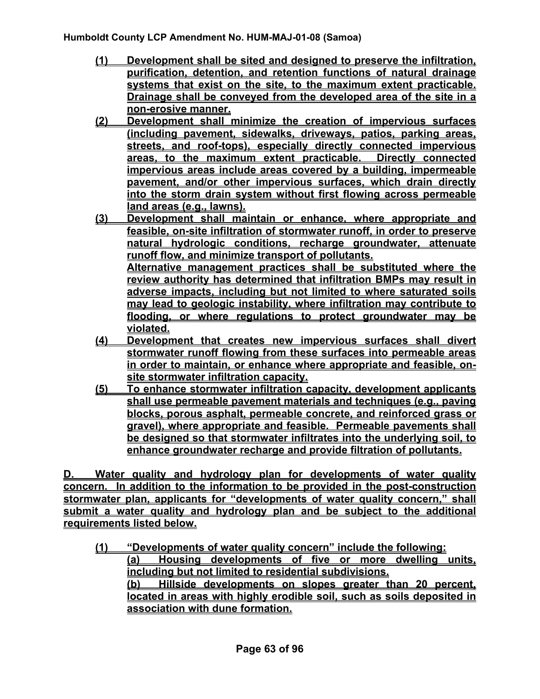- **(1) Development shall be sited and designed to preserve the infiltration, purification, detention, and retention functions of natural drainage systems that exist on the site, to the maximum extent practicable. Drainage shall be conveyed from the developed area of the site in a non-erosive manner.**
- **(2) Development shall minimize the creation of impervious surfaces (including pavement, sidewalks, driveways, patios, parking areas, streets, and roof-tops), especially directly connected impervious areas, to the maximum extent practicable. Directly connected impervious areas include areas covered by a building, impermeable pavement, and/or other impervious surfaces, which drain directly into the storm drain system without first flowing across permeable land areas (e.g., lawns).**
- **(3) Development shall maintain or enhance, where appropriate and feasible, on-site infiltration of stormwater runoff, in order to preserve natural hydrologic conditions, recharge groundwater, attenuate runoff flow, and minimize transport of pollutants. Alternative management practices shall be substituted where the review authority has determined that infiltration BMPs may result in adverse impacts, including but not limited to where saturated soils may lead to geologic instability, where infiltration may contribute to**
- **violated. (4) Development that creates new impervious surfaces shall divert stormwater runoff flowing from these surfaces into permeable areas in order to maintain, or enhance where appropriate and feasible, onsite stormwater infiltration capacity.**

**flooding, or where regulations to protect groundwater may be** 

**(5) To enhance stormwater infiltration capacity, development applicants shall use permeable pavement materials and techniques (e.g., paving blocks, porous asphalt, permeable concrete, and reinforced grass or gravel), where appropriate and feasible. Permeable pavements shall be designed so that stormwater infiltrates into the underlying soil, to enhance groundwater recharge and provide filtration of pollutants.**

**D. Water quality and hydrology plan for developments of water quality concern. In addition to the information to be provided in the post-construction stormwater plan, applicants for "developments of water quality concern," shall submit a water quality and hydrology plan and be subject to the additional requirements listed below.** 

**(1) "Developments of water quality concern" include the following: (a) Housing developments of five or more dwelling units, including but not limited to residential subdivisions. (b) Hillside developments on slopes greater than 20 percent, located in areas with highly erodible soil, such as soils deposited in association with dune formation.**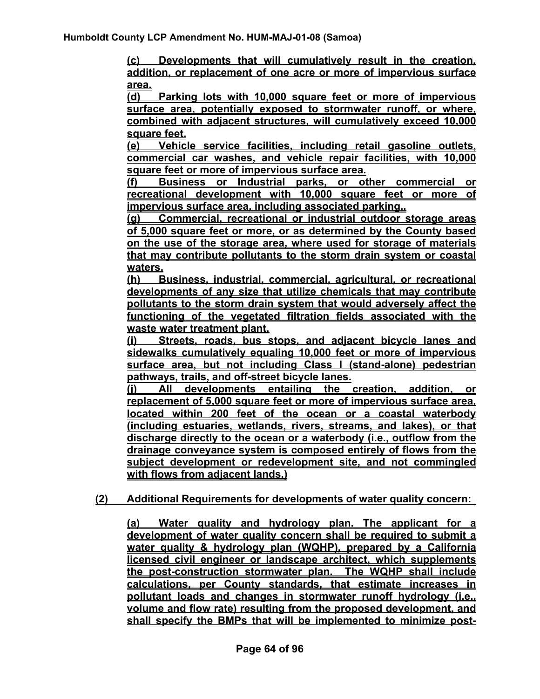**(c) Developments that will cumulatively result in the creation, addition, or replacement of one acre or more of impervious surface area.** 

**(d) Parking lots with 10,000 square feet or more of impervious surface area, potentially exposed to stormwater runoff, or where, combined with adjacent structures, will cumulatively exceed 10,000 square feet.** 

**(e) Vehicle service facilities, including retail gasoline outlets, commercial car washes, and vehicle repair facilities, with 10,000 square feet or more of impervious surface area.**

**(f) Business or Industrial parks, or other commercial or recreational development with 10,000 square feet or more of impervious surface area, including associated parking..**

**(g) Commercial, recreational or industrial outdoor storage areas of 5,000 square feet or more, or as determined by the County based on the use of the storage area, where used for storage of materials that may contribute pollutants to the storm drain system or coastal waters.**

**(h) Business, industrial, commercial, agricultural, or recreational developments of any size that utilize chemicals that may contribute pollutants to the storm drain system that would adversely affect the functioning of the vegetated filtration fields associated with the waste water treatment plant.**

**(i) Streets, roads, bus stops, and adjacent bicycle lanes and sidewalks cumulatively equaling 10,000 feet or more of impervious surface area, but not including Class I (stand-alone) pedestrian pathways, trails, and off-street bicycle lanes.**

**(j) All developments entailing the creation, addition, or replacement of 5,000 square feet or more of impervious surface area, located within 200 feet of the ocean or a coastal waterbody (including estuaries, wetlands, rivers, streams, and lakes), or that discharge directly to the ocean or a waterbody (i.e., outflow from the drainage conveyance system is composed entirely of flows from the subject development or redevelopment site, and not commingled with flows from adjacent lands.)**

#### **(2) Additional Requirements for developments of water quality concern:**

**(a) Water quality and hydrology plan. The applicant for a development of water quality concern shall be required to submit a water quality & hydrology plan (WQHP), prepared by a California licensed civil engineer or landscape architect, which supplements the post-construction stormwater plan. The WQHP shall include calculations, per County standards, that estimate increases in pollutant loads and changes in stormwater runoff hydrology (i.e., volume and flow rate) resulting from the proposed development, and shall specify the BMPs that will be implemented to minimize post-**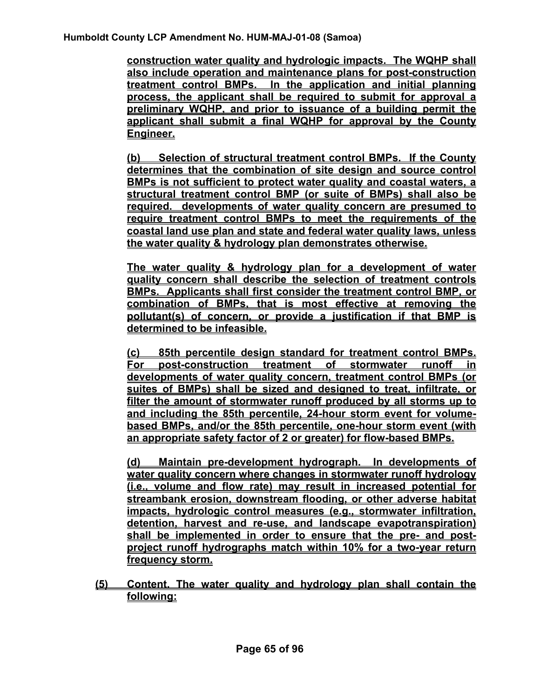**construction water quality and hydrologic impacts. The WQHP shall also include operation and maintenance plans for post-construction treatment control BMPs. In the application and initial planning process, the applicant shall be required to submit for approval a preliminary WQHP, and prior to issuance of a building permit the applicant shall submit a final WQHP for approval by the County Engineer.**

**(b) Selection of structural treatment control BMPs. If the County determines that the combination of site design and source control BMPs is not sufficient to protect water quality and coastal waters, a structural treatment control BMP (or suite of BMPs) shall also be required. developments of water quality concern are presumed to require treatment control BMPs to meet the requirements of the coastal land use plan and state and federal water quality laws, unless the water quality & hydrology plan demonstrates otherwise.** 

**The water quality & hydrology plan for a development of water quality concern shall describe the selection of treatment controls BMPs. Applicants shall first consider the treatment control BMP, or combination of BMPs, that is most effective at removing the pollutant(s) of concern, or provide a justification if that BMP is determined to be infeasible.**

**(c) 85th percentile design standard for treatment control BMPs. For post-construction treatment of stormwater runoff in developments of water quality concern, treatment control BMPs (or suites of BMPs) shall be sized and designed to treat, infiltrate, or filter the amount of stormwater runoff produced by all storms up to and including the 85th percentile, 24-hour storm event for volumebased BMPs, and/or the 85th percentile, one-hour storm event (with an appropriate safety factor of 2 or greater) for flow-based BMPs.**

**(d) Maintain pre-development hydrograph. In developments of water quality concern where changes in stormwater runoff hydrology (i.e., volume and flow rate) may result in increased potential for streambank erosion, downstream flooding, or other adverse habitat impacts, hydrologic control measures (e.g., stormwater infiltration, detention, harvest and re-use, and landscape evapotranspiration) shall be implemented in order to ensure that the pre- and postproject runoff hydrographs match within 10% for a two-year return frequency storm.**

**(5) Content. The water quality and hydrology plan shall contain the following:**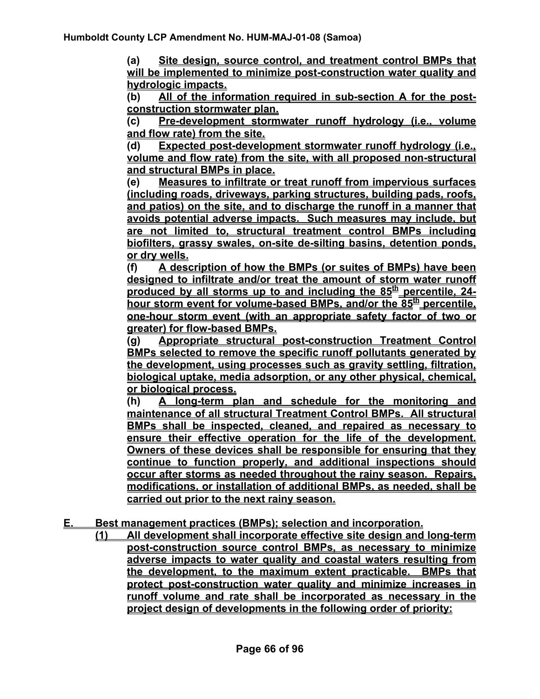**(a) Site design, source control, and treatment control BMPs that will be implemented to minimize post-construction water quality and hydrologic impacts.**

**(b) All of the information required in sub-section A for the postconstruction stormwater plan.**

**(c) Pre-development stormwater runoff hydrology (i.e., volume and flow rate) from the site.**

**(d) Expected post-development stormwater runoff hydrology (i.e., volume and flow rate) from the site, with all proposed non-structural and structural BMPs in place.**

**(e) Measures to infiltrate or treat runoff from impervious surfaces (including roads, driveways, parking structures, building pads, roofs, and patios) on the site, and to discharge the runoff in a manner that avoids potential adverse impacts. Such measures may include, but are not limited to, structural treatment control BMPs including biofilters, grassy swales, on-site de-silting basins, detention ponds, or dry wells.**

**(f) A description of how the BMPs (or suites of BMPs) have been designed to infiltrate and/or treat the amount of storm water runoff produced by all storms up to and including the 85<sup>th</sup> percentile, 24**hour storm event for volume-based BMPs, and/or the 85<sup>th</sup> percentile, **one-hour storm event (with an appropriate safety factor of two or greater) for flow-based BMPs.** 

**(g) Appropriate structural post-construction Treatment Control BMPs selected to remove the specific runoff pollutants generated by the development, using processes such as gravity settling, filtration, biological uptake, media adsorption, or any other physical, chemical, or biological process.** 

**(h) A long-term plan and schedule for the monitoring and maintenance of all structural Treatment Control BMPs. All structural BMPs shall be inspected, cleaned, and repaired as necessary to ensure their effective operation for the life of the development. Owners of these devices shall be responsible for ensuring that they continue to function properly, and additional inspections should occur after storms as needed throughout the rainy season. Repairs, modifications, or installation of additional BMPs, as needed, shall be carried out prior to the next rainy season.**

**E. Best management practices (BMPs); selection and incorporation.** 

**(1) All development shall incorporate effective site design and long-term post-construction source control BMPs, as necessary to minimize adverse impacts to water quality and coastal waters resulting from the development, to the maximum extent practicable. BMPs that protect post-construction water quality and minimize increases in runoff volume and rate shall be incorporated as necessary in the project design of developments in the following order of priority:**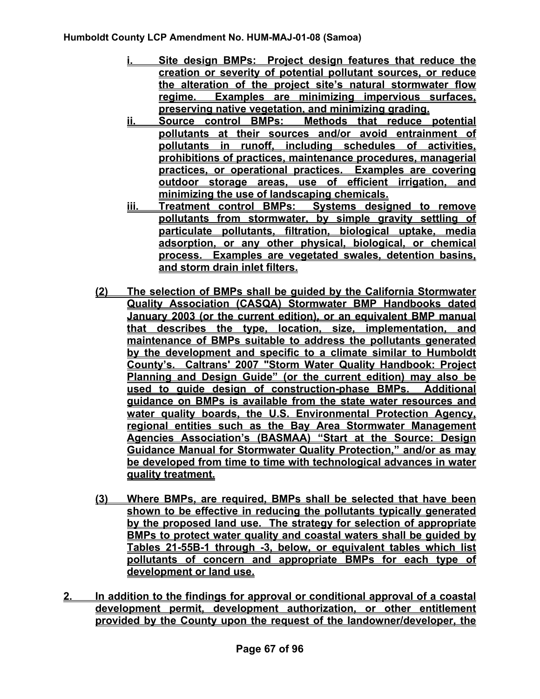- **i. Site design BMPs: Project design features that reduce the creation or severity of potential pollutant sources, or reduce the alteration of the project site's natural stormwater flow regime. Examples are minimizing impervious surfaces, preserving native vegetation, and minimizing grading.**
- **ii. Source control BMPs: Methods that reduce potential pollutants at their sources and/or avoid entrainment of pollutants in runoff, including schedules of activities, prohibitions of practices, maintenance procedures, managerial practices, or operational practices. Examples are covering outdoor storage areas, use of efficient irrigation, and minimizing the use of landscaping chemicals.**
- **iii. Treatment control BMPs: Systems designed to remove pollutants from stormwater, by simple gravity settling of particulate pollutants, filtration, biological uptake, media adsorption, or any other physical, biological, or chemical process. Examples are vegetated swales, detention basins, and storm drain inlet filters.**
- **(2) The selection of BMPs shall be guided by the California Stormwater Quality Association (CASQA) Stormwater BMP Handbooks dated January 2003 (or the current edition), or an equivalent BMP manual that describes the type, location, size, implementation, and maintenance of BMPs suitable to address the pollutants generated by the development and specific to a climate similar to Humboldt County's. Caltrans' 2007 "Storm Water Quality Handbook: Project Planning and Design Guide" (or the current edition) may also be used to guide design of construction-phase BMPs. Additional guidance on BMPs is available from the state water resources and water quality boards, the U.S. Environmental Protection Agency, regional entities such as the Bay Area Stormwater Management Agencies Association's (BASMAA) "Start at the Source: Design Guidance Manual for Stormwater Quality Protection," and/or as may be developed from time to time with technological advances in water quality treatment.**
- **(3) Where BMPs, are required, BMPs shall be selected that have been shown to be effective in reducing the pollutants typically generated by the proposed land use. The strategy for selection of appropriate BMPs to protect water quality and coastal waters shall be guided by Tables 21-55B-1 through -3, below, or equivalent tables which list pollutants of concern and appropriate BMPs for each type of development or land use.**
- **2. In addition to the findings for approval or conditional approval of a coastal development permit, development authorization, or other entitlement provided by the County upon the request of the landowner/developer, the**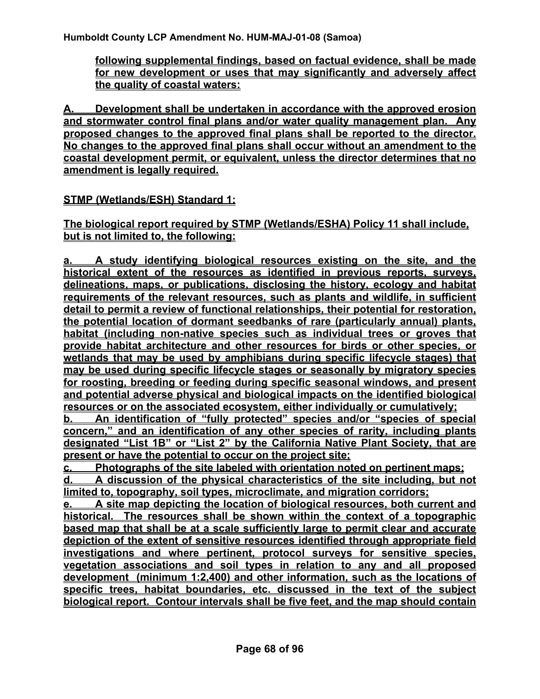**following supplemental findings, based on factual evidence, shall be made for new development or uses that may significantly and adversely affect the quality of coastal waters:**

**A. Development shall be undertaken in accordance with the approved erosion and stormwater control final plans and/or water quality management plan. Any proposed changes to the approved final plans shall be reported to the director. No changes to the approved final plans shall occur without an amendment to the coastal development permit, or equivalent, unless the director determines that no amendment is legally required.**

**STMP (Wetlands/ESH) Standard 1:**

**The biological report required by STMP (Wetlands/ESHA) Policy 11 shall include, but is not limited to, the following:**

**a. A study identifying biological resources existing on the site, and the historical extent of the resources as identified in previous reports, surveys, delineations, maps, or publications, disclosing the history, ecology and habitat requirements of the relevant resources, such as plants and wildlife, in sufficient detail to permit a review of functional relationships, their potential for restoration, the potential location of dormant seedbanks of rare (particularly annual) plants, habitat (including non-native species such as individual trees or groves that provide habitat architecture and other resources for birds or other species, or wetlands that may be used by amphibians during specific lifecycle stages) that may be used during specific lifecycle stages or seasonally by migratory species for roosting, breeding or feeding during specific seasonal windows, and present and potential adverse physical and biological impacts on the identified biological resources or on the associated ecosystem, either individually or cumulatively;**

**b. An identification of "fully protected" species and/or "species of special concern," and an identification of any other species of rarity, including plants designated "List 1B" or "List 2" by the California Native Plant Society, that are present or have the potential to occur on the project site;**

**c. Photographs of the site labeled with orientation noted on pertinent maps; d. A discussion of the physical characteristics of the site including, but not limited to, topography, soil types, microclimate, and migration corridors;**

**e. A site map depicting the location of biological resources, both current and historical. The resources shall be shown within the context of a topographic based map that shall be at a scale sufficiently large to permit clear and accurate depiction of the extent of sensitive resources identified through appropriate field investigations and where pertinent, protocol surveys for sensitive species, vegetation associations and soil types in relation to any and all proposed development (minimum 1:2,400) and other information, such as the locations of specific trees, habitat boundaries, etc. discussed in the text of the subject biological report. Contour intervals shall be five feet, and the map should contain**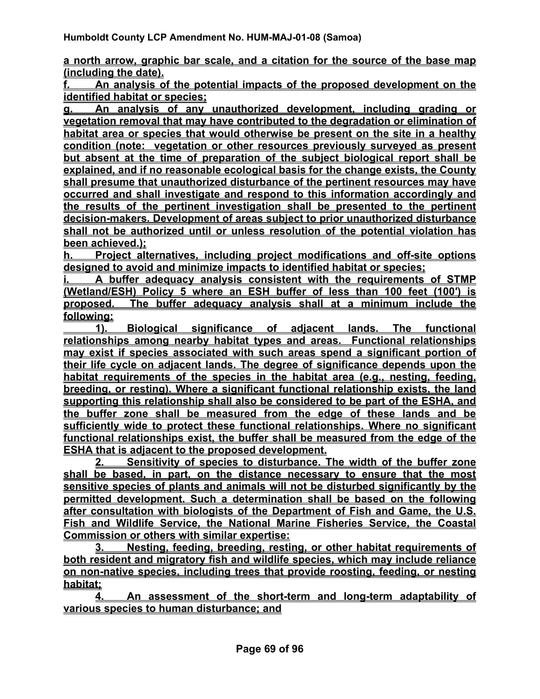**a north arrow, graphic bar scale, and a citation for the source of the base map (including the date).**

**f. An analysis of the potential impacts of the proposed development on the identified habitat or species;**

**g. An analysis of any unauthorized development, including grading or vegetation removal that may have contributed to the degradation or elimination of habitat area or species that would otherwise be present on the site in a healthy condition (note: vegetation or other resources previously surveyed as present but absent at the time of preparation of the subject biological report shall be explained, and if no reasonable ecological basis for the change exists, the County shall presume that unauthorized disturbance of the pertinent resources may have occurred and shall investigate and respond to this information accordingly and the results of the pertinent investigation shall be presented to the pertinent decision-makers. Development of areas subject to prior unauthorized disturbance shall not be authorized until or unless resolution of the potential violation has been achieved.);**

**h. Project alternatives, including project modifications and off-site options designed to avoid and minimize impacts to identified habitat or species;**

**i. A buffer adequacy analysis consistent with the requirements of STMP (Wetland/ESH) Policy 5 where an ESH buffer of less than 100 feet (100′) is proposed. The buffer adequacy analysis shall at a minimum include the following:**

 **1). Biological significance of adjacent lands. The functional relationships among nearby habitat types and areas. Functional relationships may exist if species associated with such areas spend a significant portion of their life cycle on adjacent lands. The degree of significance depends upon the habitat requirements of the species in the habitat area (e.g., nesting, feeding, breeding, or resting). Where a significant functional relationship exists, the land supporting this relationship shall also be considered to be part of the ESHA, and the buffer zone shall be measured from the edge of these lands and be sufficiently wide to protect these functional relationships. Where no significant functional relationships exist, the buffer shall be measured from the edge of the ESHA that is adjacent to the proposed development.**

**2. Sensitivity of species to disturbance. The width of the buffer zone shall be based, in part, on the distance necessary to ensure that the most sensitive species of plants and animals will not be disturbed significantly by the permitted development. Such a determination shall be based on the following after consultation with biologists of the Department of Fish and Game, the U.S. Fish and Wildlife Service, the National Marine Fisheries Service, the Coastal Commission or others with similar expertise:**

**3. Nesting, feeding, breeding, resting, or other habitat requirements of both resident and migratory fish and wildlife species, which may include reliance on non-native species, including trees that provide roosting, feeding, or nesting habitat;**

**4. An assessment of the short-term and long-term adaptability of various species to human disturbance; and**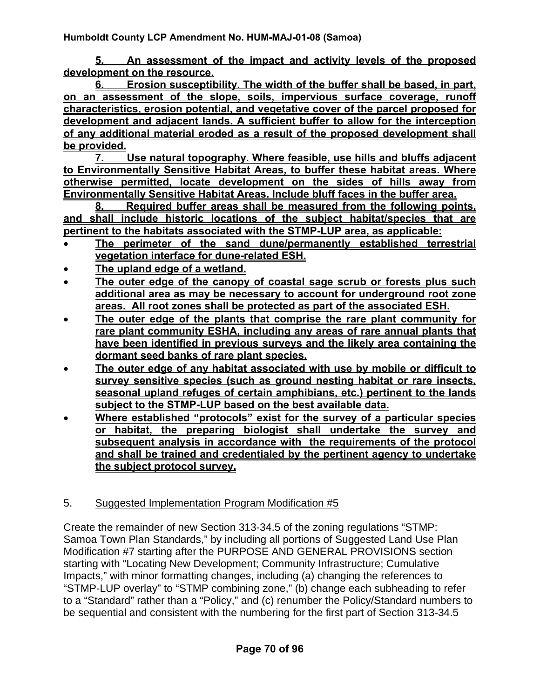**5. An assessment of the impact and activity levels of the proposed development on the resource.**

**6. Erosion susceptibility. The width of the buffer shall be based, in part, on an assessment of the slope, soils, impervious surface coverage, runoff characteristics, erosion potential, and vegetative cover of the parcel proposed for development and adjacent lands. A sufficient buffer to allow for the interception of any additional material eroded as a result of the proposed development shall be provided.**

**7. Use natural topography. Where feasible, use hills and bluffs adjacent to Environmentally Sensitive Habitat Areas, to buffer these habitat areas. Where otherwise permitted, locate development on the sides of hills away from Environmentally Sensitive Habitat Areas. Include bluff faces in the buffer area.**

**8. Required buffer areas shall be measured from the following points, and shall include historic locations of the subject habitat/species that are pertinent to the habitats associated with the STMP-LUP area, as applicable:**

- **The perimeter of the sand dune/permanently established terrestrial vegetation interface for dune-related ESH.**
- **The upland edge of a wetland.**
- **The outer edge of the canopy of coastal sage scrub or forests plus such additional area as may be necessary to account for underground root zone areas. All root zones shall be protected as part of the associated ESH.**
- **The outer edge of the plants that comprise the rare plant community for rare plant community ESHA, including any areas of rare annual plants that have been identified in previous surveys and the likely area containing the dormant seed banks of rare plant species.**
- **The outer edge of any habitat associated with use by mobile or difficult to survey sensitive species (such as ground nesting habitat or rare insects, seasonal upland refuges of certain amphibians, etc.) pertinent to the lands subject to the STMP-LUP based on the best available data.**
- **Where established "protocols" exist for the survey of a particular species or habitat, the preparing biologist shall undertake the survey and subsequent analysis in accordance with the requirements of the protocol and shall be trained and credentialed by the pertinent agency to undertake the subject protocol survey.**

## 5. Suggested Implementation Program Modification #5

Create the remainder of new Section 313-34.5 of the zoning regulations "STMP: Samoa Town Plan Standards," by including all portions of Suggested Land Use Plan Modification #7 starting after the PURPOSE AND GENERAL PROVISIONS section starting with "Locating New Development; Community Infrastructure; Cumulative Impacts," with minor formatting changes, including (a) changing the references to "STMP-LUP overlay" to "STMP combining zone," (b) change each subheading to refer to a "Standard" rather than a "Policy," and (c) renumber the Policy/Standard numbers to be sequential and consistent with the numbering for the first part of Section 313-34.5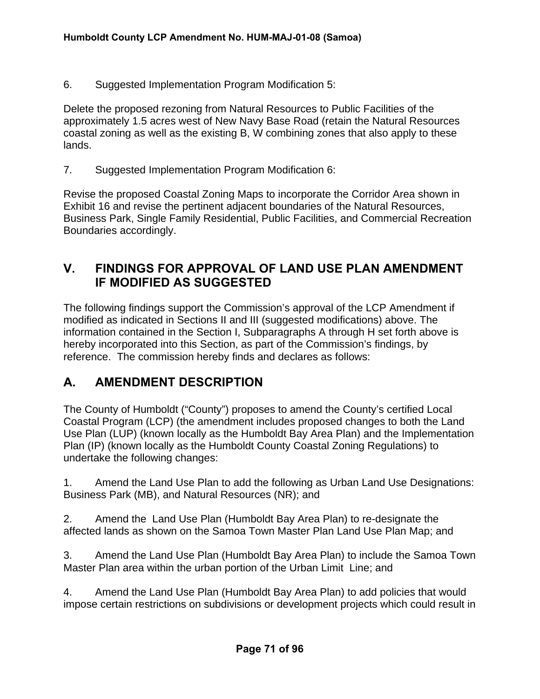6. Suggested Implementation Program Modification 5:

Delete the proposed rezoning from Natural Resources to Public Facilities of the approximately 1.5 acres west of New Navy Base Road (retain the Natural Resources coastal zoning as well as the existing B, W combining zones that also apply to these lands.

7. Suggested Implementation Program Modification 6:

Revise the proposed Coastal Zoning Maps to incorporate the Corridor Area shown in Exhibit 16 and revise the pertinent adjacent boundaries of the Natural Resources, Business Park, Single Family Residential, Public Facilities, and Commercial Recreation Boundaries accordingly.

## **V. FINDINGS FOR APPROVAL OF LAND USE PLAN AMENDMENT IF MODIFIED AS SUGGESTED**

The following findings support the Commission's approval of the LCP Amendment if modified as indicated in Sections II and III (suggested modifications) above. The information contained in the Section I, Subparagraphs A through H set forth above is hereby incorporated into this Section, as part of the Commission's findings, by reference. The commission hereby finds and declares as follows:

## **A. AMENDMENT DESCRIPTION**

The County of Humboldt ("County") proposes to amend the County's certified Local Coastal Program (LCP) (the amendment includes proposed changes to both the Land Use Plan (LUP) (known locally as the Humboldt Bay Area Plan) and the Implementation Plan (IP) (known locally as the Humboldt County Coastal Zoning Regulations) to undertake the following changes:

1. Amend the Land Use Plan to add the following as Urban Land Use Designations: Business Park (MB), and Natural Resources (NR); and

2. Amend the Land Use Plan (Humboldt Bay Area Plan) to re-designate the affected lands as shown on the Samoa Town Master Plan Land Use Plan Map; and

3. Amend the Land Use Plan (Humboldt Bay Area Plan) to include the Samoa Town Master Plan area within the urban portion of the Urban Limit Line; and

4. Amend the Land Use Plan (Humboldt Bay Area Plan) to add policies that would impose certain restrictions on subdivisions or development projects which could result in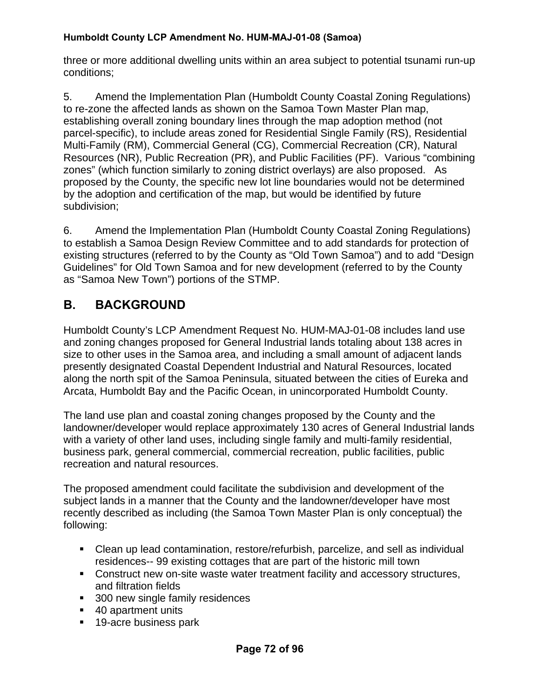three or more additional dwelling units within an area subject to potential tsunami run-up conditions;

5. Amend the Implementation Plan (Humboldt County Coastal Zoning Regulations) to re-zone the affected lands as shown on the Samoa Town Master Plan map, establishing overall zoning boundary lines through the map adoption method (not parcel-specific), to include areas zoned for Residential Single Family (RS), Residential Multi-Family (RM), Commercial General (CG), Commercial Recreation (CR), Natural Resources (NR), Public Recreation (PR), and Public Facilities (PF). Various "combining zones" (which function similarly to zoning district overlays) are also proposed. As proposed by the County, the specific new lot line boundaries would not be determined by the adoption and certification of the map, but would be identified by future subdivision;

6. Amend the Implementation Plan (Humboldt County Coastal Zoning Regulations) to establish a Samoa Design Review Committee and to add standards for protection of existing structures (referred to by the County as "Old Town Samoa") and to add "Design Guidelines" for Old Town Samoa and for new development (referred to by the County as "Samoa New Town") portions of the STMP.

# **B. BACKGROUND**

Humboldt County's LCP Amendment Request No. HUM-MAJ-01-08 includes land use and zoning changes proposed for General Industrial lands totaling about 138 acres in size to other uses in the Samoa area, and including a small amount of adjacent lands presently designated Coastal Dependent Industrial and Natural Resources, located along the north spit of the Samoa Peninsula, situated between the cities of Eureka and Arcata, Humboldt Bay and the Pacific Ocean, in unincorporated Humboldt County.

The land use plan and coastal zoning changes proposed by the County and the landowner/developer would replace approximately 130 acres of General Industrial lands with a variety of other land uses, including single family and multi-family residential, business park, general commercial, commercial recreation, public facilities, public recreation and natural resources.

The proposed amendment could facilitate the subdivision and development of the subject lands in a manner that the County and the landowner/developer have most recently described as including (the Samoa Town Master Plan is only conceptual) the following:

- Clean up lead contamination, restore/refurbish, parcelize, and sell as individual residences-- 99 existing cottages that are part of the historic mill town
- Construct new on-site waste water treatment facility and accessory structures, and filtration fields
- 300 new single family residences
- 40 apartment units
- 19-acre business park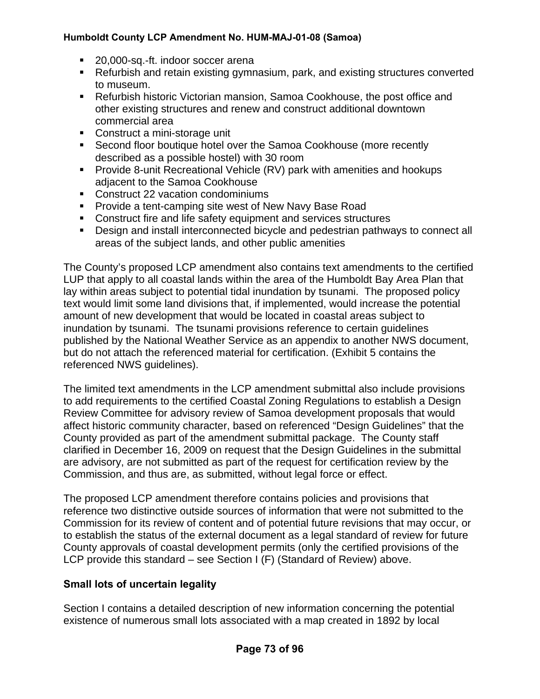- 20,000-sq.-ft. indoor soccer arena
- Refurbish and retain existing gymnasium, park, and existing structures converted to museum.
- Refurbish historic Victorian mansion, Samoa Cookhouse, the post office and other existing structures and renew and construct additional downtown commercial area
- Construct a mini-storage unit
- **Second floor boutique hotel over the Samoa Cookhouse (more recently** described as a possible hostel) with 30 room
- **Provide 8-unit Recreational Vehicle (RV) park with amenities and hookups** adjacent to the Samoa Cookhouse
- **Construct 22 vacation condominiums**
- **Provide a tent-camping site west of New Navy Base Road**
- **Construct fire and life safety equipment and services structures**
- **Design and install interconnected bicycle and pedestrian pathways to connect all** areas of the subject lands, and other public amenities

The County's proposed LCP amendment also contains text amendments to the certified LUP that apply to all coastal lands within the area of the Humboldt Bay Area Plan that lay within areas subject to potential tidal inundation by tsunami. The proposed policy text would limit some land divisions that, if implemented, would increase the potential amount of new development that would be located in coastal areas subject to inundation by tsunami. The tsunami provisions reference to certain guidelines published by the National Weather Service as an appendix to another NWS document, but do not attach the referenced material for certification. (Exhibit 5 contains the referenced NWS guidelines).

The limited text amendments in the LCP amendment submittal also include provisions to add requirements to the certified Coastal Zoning Regulations to establish a Design Review Committee for advisory review of Samoa development proposals that would affect historic community character, based on referenced "Design Guidelines" that the County provided as part of the amendment submittal package. The County staff clarified in December 16, 2009 on request that the Design Guidelines in the submittal are advisory, are not submitted as part of the request for certification review by the Commission, and thus are, as submitted, without legal force or effect.

The proposed LCP amendment therefore contains policies and provisions that reference two distinctive outside sources of information that were not submitted to the Commission for its review of content and of potential future revisions that may occur, or to establish the status of the external document as a legal standard of review for future County approvals of coastal development permits (only the certified provisions of the LCP provide this standard – see Section I (F) (Standard of Review) above.

## **Small lots of uncertain legality**

Section I contains a detailed description of new information concerning the potential existence of numerous small lots associated with a map created in 1892 by local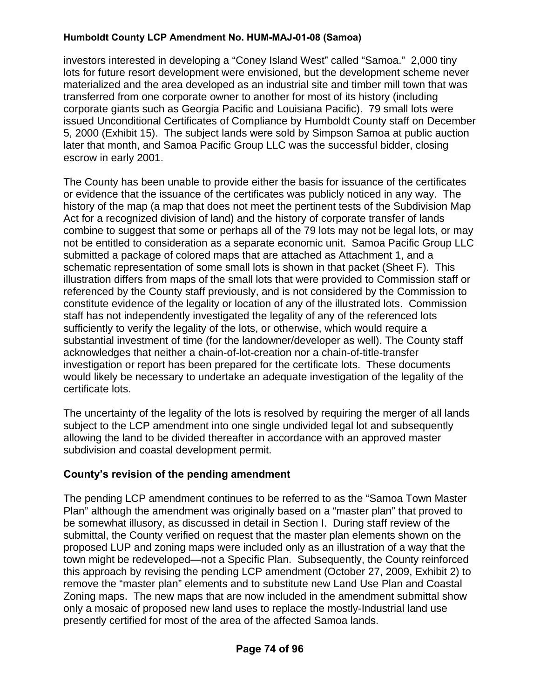investors interested in developing a "Coney Island West" called "Samoa." 2,000 tiny lots for future resort development were envisioned, but the development scheme never materialized and the area developed as an industrial site and timber mill town that was transferred from one corporate owner to another for most of its history (including corporate giants such as Georgia Pacific and Louisiana Pacific). 79 small lots were issued Unconditional Certificates of Compliance by Humboldt County staff on December 5, 2000 (Exhibit 15). The subject lands were sold by Simpson Samoa at public auction later that month, and Samoa Pacific Group LLC was the successful bidder, closing escrow in early 2001.

The County has been unable to provide either the basis for issuance of the certificates or evidence that the issuance of the certificates was publicly noticed in any way. The history of the map (a map that does not meet the pertinent tests of the Subdivision Map Act for a recognized division of land) and the history of corporate transfer of lands combine to suggest that some or perhaps all of the 79 lots may not be legal lots, or may not be entitled to consideration as a separate economic unit. Samoa Pacific Group LLC submitted a package of colored maps that are attached as Attachment 1, and a schematic representation of some small lots is shown in that packet (Sheet F). This illustration differs from maps of the small lots that were provided to Commission staff or referenced by the County staff previously, and is not considered by the Commission to constitute evidence of the legality or location of any of the illustrated lots. Commission staff has not independently investigated the legality of any of the referenced lots sufficiently to verify the legality of the lots, or otherwise, which would require a substantial investment of time (for the landowner/developer as well). The County staff acknowledges that neither a chain-of-lot-creation nor a chain-of-title-transfer investigation or report has been prepared for the certificate lots. These documents would likely be necessary to undertake an adequate investigation of the legality of the certificate lots.

The uncertainty of the legality of the lots is resolved by requiring the merger of all lands subject to the LCP amendment into one single undivided legal lot and subsequently allowing the land to be divided thereafter in accordance with an approved master subdivision and coastal development permit.

## **County's revision of the pending amendment**

The pending LCP amendment continues to be referred to as the "Samoa Town Master Plan" although the amendment was originally based on a "master plan" that proved to be somewhat illusory, as discussed in detail in Section I. During staff review of the submittal, the County verified on request that the master plan elements shown on the proposed LUP and zoning maps were included only as an illustration of a way that the town might be redeveloped—not a Specific Plan. Subsequently, the County reinforced this approach by revising the pending LCP amendment (October 27, 2009, Exhibit 2) to remove the "master plan" elements and to substitute new Land Use Plan and Coastal Zoning maps. The new maps that are now included in the amendment submittal show only a mosaic of proposed new land uses to replace the mostly-Industrial land use presently certified for most of the area of the affected Samoa lands.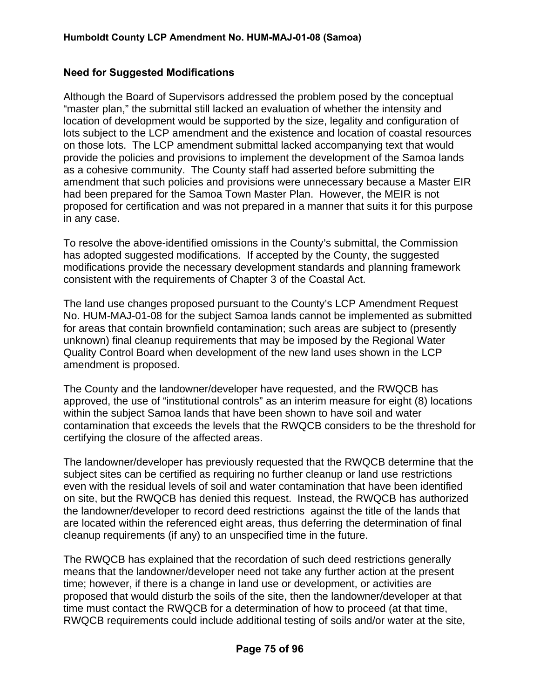## **Need for Suggested Modifications**

Although the Board of Supervisors addressed the problem posed by the conceptual "master plan," the submittal still lacked an evaluation of whether the intensity and location of development would be supported by the size, legality and configuration of lots subject to the LCP amendment and the existence and location of coastal resources on those lots. The LCP amendment submittal lacked accompanying text that would provide the policies and provisions to implement the development of the Samoa lands as a cohesive community. The County staff had asserted before submitting the amendment that such policies and provisions were unnecessary because a Master EIR had been prepared for the Samoa Town Master Plan. However, the MEIR is not proposed for certification and was not prepared in a manner that suits it for this purpose in any case.

To resolve the above-identified omissions in the County's submittal, the Commission has adopted suggested modifications. If accepted by the County, the suggested modifications provide the necessary development standards and planning framework consistent with the requirements of Chapter 3 of the Coastal Act.

The land use changes proposed pursuant to the County's LCP Amendment Request No. HUM-MAJ-01-08 for the subject Samoa lands cannot be implemented as submitted for areas that contain brownfield contamination; such areas are subject to (presently unknown) final cleanup requirements that may be imposed by the Regional Water Quality Control Board when development of the new land uses shown in the LCP amendment is proposed.

The County and the landowner/developer have requested, and the RWQCB has approved, the use of "institutional controls" as an interim measure for eight (8) locations within the subject Samoa lands that have been shown to have soil and water contamination that exceeds the levels that the RWQCB considers to be the threshold for certifying the closure of the affected areas.

The landowner/developer has previously requested that the RWQCB determine that the subject sites can be certified as requiring no further cleanup or land use restrictions even with the residual levels of soil and water contamination that have been identified on site, but the RWQCB has denied this request. Instead, the RWQCB has authorized the landowner/developer to record deed restrictions against the title of the lands that are located within the referenced eight areas, thus deferring the determination of final cleanup requirements (if any) to an unspecified time in the future.

The RWQCB has explained that the recordation of such deed restrictions generally means that the landowner/developer need not take any further action at the present time; however, if there is a change in land use or development, or activities are proposed that would disturb the soils of the site, then the landowner/developer at that time must contact the RWQCB for a determination of how to proceed (at that time, RWQCB requirements could include additional testing of soils and/or water at the site,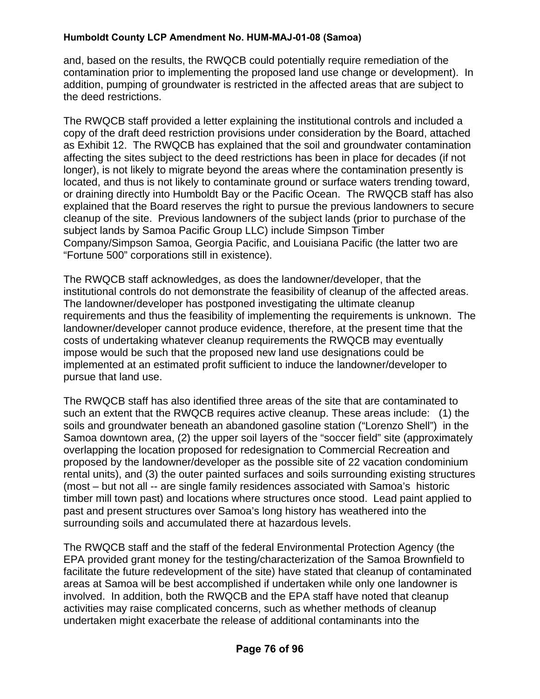and, based on the results, the RWQCB could potentially require remediation of the contamination prior to implementing the proposed land use change or development). In addition, pumping of groundwater is restricted in the affected areas that are subject to the deed restrictions.

The RWQCB staff provided a letter explaining the institutional controls and included a copy of the draft deed restriction provisions under consideration by the Board, attached as Exhibit 12. The RWQCB has explained that the soil and groundwater contamination affecting the sites subject to the deed restrictions has been in place for decades (if not longer), is not likely to migrate beyond the areas where the contamination presently is located, and thus is not likely to contaminate ground or surface waters trending toward, or draining directly into Humboldt Bay or the Pacific Ocean. The RWQCB staff has also explained that the Board reserves the right to pursue the previous landowners to secure cleanup of the site. Previous landowners of the subject lands (prior to purchase of the subject lands by Samoa Pacific Group LLC) include Simpson Timber Company/Simpson Samoa, Georgia Pacific, and Louisiana Pacific (the latter two are "Fortune 500" corporations still in existence).

The RWQCB staff acknowledges, as does the landowner/developer, that the institutional controls do not demonstrate the feasibility of cleanup of the affected areas. The landowner/developer has postponed investigating the ultimate cleanup requirements and thus the feasibility of implementing the requirements is unknown. The landowner/developer cannot produce evidence, therefore, at the present time that the costs of undertaking whatever cleanup requirements the RWQCB may eventually impose would be such that the proposed new land use designations could be implemented at an estimated profit sufficient to induce the landowner/developer to pursue that land use.

The RWQCB staff has also identified three areas of the site that are contaminated to such an extent that the RWQCB requires active cleanup. These areas include: (1) the soils and groundwater beneath an abandoned gasoline station ("Lorenzo Shell") in the Samoa downtown area, (2) the upper soil layers of the "soccer field" site (approximately overlapping the location proposed for redesignation to Commercial Recreation and proposed by the landowner/developer as the possible site of 22 vacation condominium rental units), and (3) the outer painted surfaces and soils surrounding existing structures (most – but not all -- are single family residences associated with Samoa's historic timber mill town past) and locations where structures once stood. Lead paint applied to past and present structures over Samoa's long history has weathered into the surrounding soils and accumulated there at hazardous levels.

The RWQCB staff and the staff of the federal Environmental Protection Agency (the EPA provided grant money for the testing/characterization of the Samoa Brownfield to facilitate the future redevelopment of the site) have stated that cleanup of contaminated areas at Samoa will be best accomplished if undertaken while only one landowner is involved. In addition, both the RWQCB and the EPA staff have noted that cleanup activities may raise complicated concerns, such as whether methods of cleanup undertaken might exacerbate the release of additional contaminants into the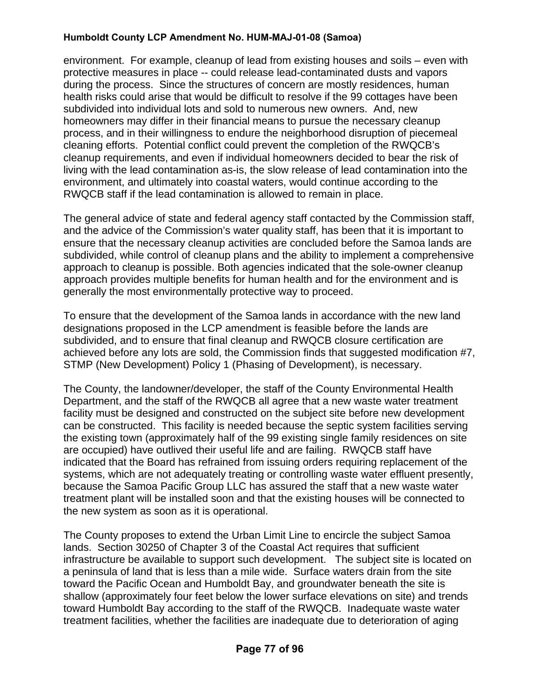environment. For example, cleanup of lead from existing houses and soils – even with protective measures in place -- could release lead-contaminated dusts and vapors during the process. Since the structures of concern are mostly residences, human health risks could arise that would be difficult to resolve if the 99 cottages have been subdivided into individual lots and sold to numerous new owners. And, new homeowners may differ in their financial means to pursue the necessary cleanup process, and in their willingness to endure the neighborhood disruption of piecemeal cleaning efforts. Potential conflict could prevent the completion of the RWQCB's cleanup requirements, and even if individual homeowners decided to bear the risk of living with the lead contamination as-is, the slow release of lead contamination into the environment, and ultimately into coastal waters, would continue according to the RWQCB staff if the lead contamination is allowed to remain in place.

The general advice of state and federal agency staff contacted by the Commission staff, and the advice of the Commission's water quality staff, has been that it is important to ensure that the necessary cleanup activities are concluded before the Samoa lands are subdivided, while control of cleanup plans and the ability to implement a comprehensive approach to cleanup is possible. Both agencies indicated that the sole-owner cleanup approach provides multiple benefits for human health and for the environment and is generally the most environmentally protective way to proceed.

To ensure that the development of the Samoa lands in accordance with the new land designations proposed in the LCP amendment is feasible before the lands are subdivided, and to ensure that final cleanup and RWQCB closure certification are achieved before any lots are sold, the Commission finds that suggested modification #7, STMP (New Development) Policy 1 (Phasing of Development), is necessary.

The County, the landowner/developer, the staff of the County Environmental Health Department, and the staff of the RWQCB all agree that a new waste water treatment facility must be designed and constructed on the subject site before new development can be constructed. This facility is needed because the septic system facilities serving the existing town (approximately half of the 99 existing single family residences on site are occupied) have outlived their useful life and are failing. RWQCB staff have indicated that the Board has refrained from issuing orders requiring replacement of the systems, which are not adequately treating or controlling waste water effluent presently, because the Samoa Pacific Group LLC has assured the staff that a new waste water treatment plant will be installed soon and that the existing houses will be connected to the new system as soon as it is operational.

The County proposes to extend the Urban Limit Line to encircle the subject Samoa lands. Section 30250 of Chapter 3 of the Coastal Act requires that sufficient infrastructure be available to support such development. The subject site is located on a peninsula of land that is less than a mile wide. Surface waters drain from the site toward the Pacific Ocean and Humboldt Bay, and groundwater beneath the site is shallow (approximately four feet below the lower surface elevations on site) and trends toward Humboldt Bay according to the staff of the RWQCB. Inadequate waste water treatment facilities, whether the facilities are inadequate due to deterioration of aging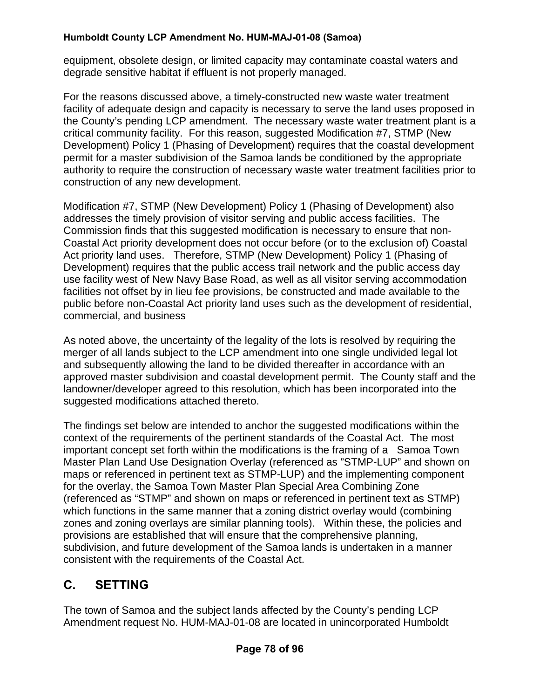equipment, obsolete design, or limited capacity may contaminate coastal waters and degrade sensitive habitat if effluent is not properly managed.

For the reasons discussed above, a timely-constructed new waste water treatment facility of adequate design and capacity is necessary to serve the land uses proposed in the County's pending LCP amendment. The necessary waste water treatment plant is a critical community facility. For this reason, suggested Modification #7, STMP (New Development) Policy 1 (Phasing of Development) requires that the coastal development permit for a master subdivision of the Samoa lands be conditioned by the appropriate authority to require the construction of necessary waste water treatment facilities prior to construction of any new development.

Modification #7, STMP (New Development) Policy 1 (Phasing of Development) also addresses the timely provision of visitor serving and public access facilities. The Commission finds that this suggested modification is necessary to ensure that non-Coastal Act priority development does not occur before (or to the exclusion of) Coastal Act priority land uses. Therefore, STMP (New Development) Policy 1 (Phasing of Development) requires that the public access trail network and the public access day use facility west of New Navy Base Road, as well as all visitor serving accommodation facilities not offset by in lieu fee provisions, be constructed and made available to the public before non-Coastal Act priority land uses such as the development of residential, commercial, and business

As noted above, the uncertainty of the legality of the lots is resolved by requiring the merger of all lands subject to the LCP amendment into one single undivided legal lot and subsequently allowing the land to be divided thereafter in accordance with an approved master subdivision and coastal development permit. The County staff and the landowner/developer agreed to this resolution, which has been incorporated into the suggested modifications attached thereto.

The findings set below are intended to anchor the suggested modifications within the context of the requirements of the pertinent standards of the Coastal Act. The most important concept set forth within the modifications is the framing of a Samoa Town Master Plan Land Use Designation Overlay (referenced as "STMP-LUP" and shown on maps or referenced in pertinent text as STMP-LUP) and the implementing component for the overlay, the Samoa Town Master Plan Special Area Combining Zone (referenced as "STMP" and shown on maps or referenced in pertinent text as STMP) which functions in the same manner that a zoning district overlay would (combining zones and zoning overlays are similar planning tools). Within these, the policies and provisions are established that will ensure that the comprehensive planning, subdivision, and future development of the Samoa lands is undertaken in a manner consistent with the requirements of the Coastal Act.

# **C. SETTING**

The town of Samoa and the subject lands affected by the County's pending LCP Amendment request No. HUM-MAJ-01-08 are located in unincorporated Humboldt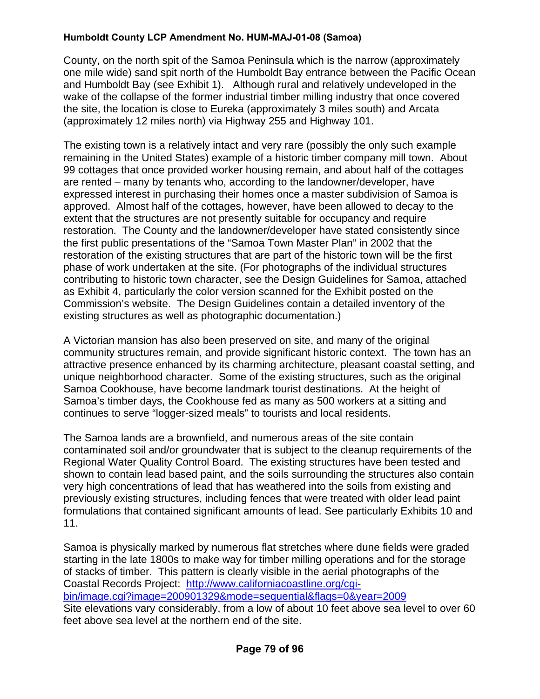County, on the north spit of the Samoa Peninsula which is the narrow (approximately one mile wide) sand spit north of the Humboldt Bay entrance between the Pacific Ocean and Humboldt Bay (see Exhibit 1). Although rural and relatively undeveloped in the wake of the collapse of the former industrial timber milling industry that once covered the site, the location is close to Eureka (approximately 3 miles south) and Arcata (approximately 12 miles north) via Highway 255 and Highway 101.

The existing town is a relatively intact and very rare (possibly the only such example remaining in the United States) example of a historic timber company mill town. About 99 cottages that once provided worker housing remain, and about half of the cottages are rented – many by tenants who, according to the landowner/developer, have expressed interest in purchasing their homes once a master subdivision of Samoa is approved. Almost half of the cottages, however, have been allowed to decay to the extent that the structures are not presently suitable for occupancy and require restoration. The County and the landowner/developer have stated consistently since the first public presentations of the "Samoa Town Master Plan" in 2002 that the restoration of the existing structures that are part of the historic town will be the first phase of work undertaken at the site. (For photographs of the individual structures contributing to historic town character, see the Design Guidelines for Samoa, attached as Exhibit 4, particularly the color version scanned for the Exhibit posted on the Commission's website. The Design Guidelines contain a detailed inventory of the existing structures as well as photographic documentation.)

A Victorian mansion has also been preserved on site, and many of the original community structures remain, and provide significant historic context. The town has an attractive presence enhanced by its charming architecture, pleasant coastal setting, and unique neighborhood character. Some of the existing structures, such as the original Samoa Cookhouse, have become landmark tourist destinations. At the height of Samoa's timber days, the Cookhouse fed as many as 500 workers at a sitting and continues to serve "logger-sized meals" to tourists and local residents.

The Samoa lands are a brownfield, and numerous areas of the site contain contaminated soil and/or groundwater that is subject to the cleanup requirements of the Regional Water Quality Control Board. The existing structures have been tested and shown to contain lead based paint, and the soils surrounding the structures also contain very high concentrations of lead that has weathered into the soils from existing and previously existing structures, including fences that were treated with older lead paint formulations that contained significant amounts of lead. See particularly Exhibits 10 and 11.

Samoa is physically marked by numerous flat stretches where dune fields were graded starting in the late 1800s to make way for timber milling operations and for the storage of stacks of timber. This pattern is clearly visible in the aerial photographs of the Coastal Records Project: [http://www.californiacoastline.org/cgi](http://www.californiacoastline.org/cgi-bin/image.cgi?image=200901329&mode=sequential&flags=0&year=2009)[bin/image.cgi?image=200901329&mode=sequential&flags=0&year=2009](http://www.californiacoastline.org/cgi-bin/image.cgi?image=200901329&mode=sequential&flags=0&year=2009)  Site elevations vary considerably, from a low of about 10 feet above sea level to over 60 feet above sea level at the northern end of the site.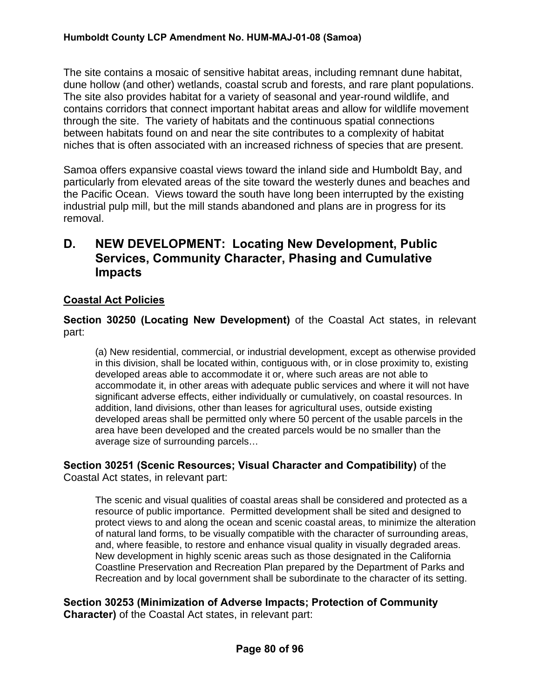The site contains a mosaic of sensitive habitat areas, including remnant dune habitat, dune hollow (and other) wetlands, coastal scrub and forests, and rare plant populations. The site also provides habitat for a variety of seasonal and year-round wildlife, and contains corridors that connect important habitat areas and allow for wildlife movement through the site. The variety of habitats and the continuous spatial connections between habitats found on and near the site contributes to a complexity of habitat niches that is often associated with an increased richness of species that are present.

Samoa offers expansive coastal views toward the inland side and Humboldt Bay, and particularly from elevated areas of the site toward the westerly dunes and beaches and the Pacific Ocean. Views toward the south have long been interrupted by the existing industrial pulp mill, but the mill stands abandoned and plans are in progress for its removal.

## **D. NEW DEVELOPMENT: Locating New Development, Public Services, Community Character, Phasing and Cumulative Impacts**

## **Coastal Act Policies**

**Section 30250 (Locating New Development)** of the Coastal Act states, in relevant part:

(a) New residential, commercial, or industrial development, except as otherwise provided in this division, shall be located within, contiguous with, or in close proximity to, existing developed areas able to accommodate it or, where such areas are not able to accommodate it, in other areas with adequate public services and where it will not have significant adverse effects, either individually or cumulatively, on coastal resources. In addition, land divisions, other than leases for agricultural uses, outside existing developed areas shall be permitted only where 50 percent of the usable parcels in the area have been developed and the created parcels would be no smaller than the average size of surrounding parcels…

#### **Section 30251 (Scenic Resources; Visual Character and Compatibility)** of the Coastal Act states, in relevant part:

The scenic and visual qualities of coastal areas shall be considered and protected as a resource of public importance. Permitted development shall be sited and designed to protect views to and along the ocean and scenic coastal areas, to minimize the alteration of natural land forms, to be visually compatible with the character of surrounding areas, and, where feasible, to restore and enhance visual quality in visually degraded areas. New development in highly scenic areas such as those designated in the California Coastline Preservation and Recreation Plan prepared by the Department of Parks and Recreation and by local government shall be subordinate to the character of its setting.

**Section 30253 (Minimization of Adverse Impacts; Protection of Community Character)** of the Coastal Act states, in relevant part: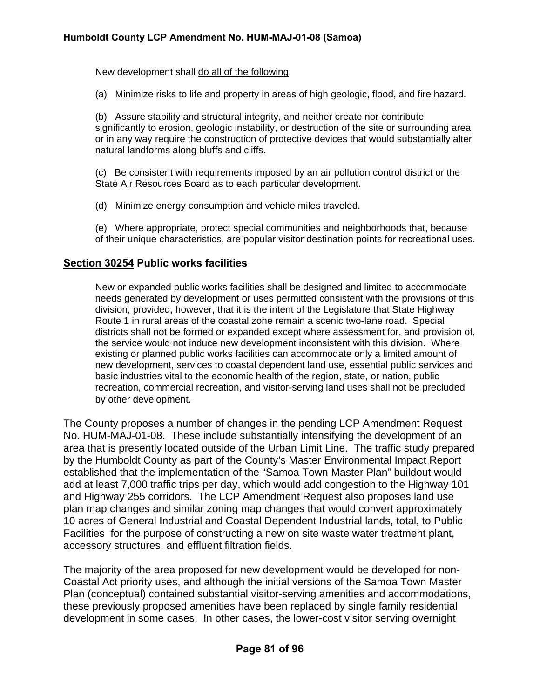New development shall do all of the following:

(a) Minimize risks to life and property in areas of high geologic, flood, and fire hazard.

(b) Assure stability and structural integrity, and neither create nor contribute significantly to erosion, geologic instability, or destruction of the site or surrounding area or in any way require the construction of protective devices that would substantially alter natural landforms along bluffs and cliffs.

(c) Be consistent with requirements imposed by an air pollution control district or the State Air Resources Board as to each particular development.

(d) Minimize energy consumption and vehicle miles traveled.

(e) Where appropriate, protect special communities and neighborhoods that, because of their unique characteristics, are popular visitor destination points for recreational uses.

#### **Section 30254 Public works facilities**

New or expanded public works facilities shall be designed and limited to accommodate needs generated by development or uses permitted consistent with the provisions of this division; provided, however, that it is the intent of the Legislature that State Highway Route 1 in rural areas of the coastal zone remain a scenic two-lane road. Special districts shall not be formed or expanded except where assessment for, and provision of, the service would not induce new development inconsistent with this division. Where existing or planned public works facilities can accommodate only a limited amount of new development, services to coastal dependent land use, essential public services and basic industries vital to the economic health of the region, state, or nation, public recreation, commercial recreation, and visitor-serving land uses shall not be precluded by other development.

The County proposes a number of changes in the pending LCP Amendment Request No. HUM-MAJ-01-08. These include substantially intensifying the development of an area that is presently located outside of the Urban Limit Line. The traffic study prepared by the Humboldt County as part of the County's Master Environmental Impact Report established that the implementation of the "Samoa Town Master Plan" buildout would add at least 7,000 traffic trips per day, which would add congestion to the Highway 101 and Highway 255 corridors. The LCP Amendment Request also proposes land use plan map changes and similar zoning map changes that would convert approximately 10 acres of General Industrial and Coastal Dependent Industrial lands, total, to Public Facilities for the purpose of constructing a new on site waste water treatment plant, accessory structures, and effluent filtration fields.

The majority of the area proposed for new development would be developed for non-Coastal Act priority uses, and although the initial versions of the Samoa Town Master Plan (conceptual) contained substantial visitor-serving amenities and accommodations, these previously proposed amenities have been replaced by single family residential development in some cases. In other cases, the lower-cost visitor serving overnight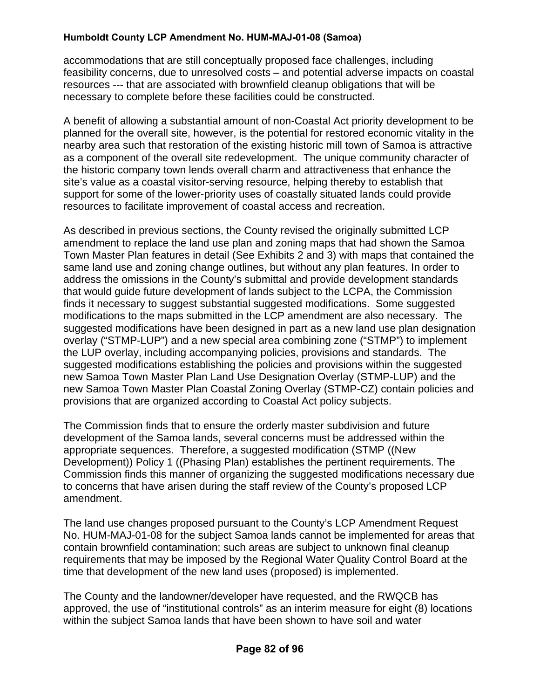accommodations that are still conceptually proposed face challenges, including feasibility concerns, due to unresolved costs – and potential adverse impacts on coastal resources --- that are associated with brownfield cleanup obligations that will be necessary to complete before these facilities could be constructed.

A benefit of allowing a substantial amount of non-Coastal Act priority development to be planned for the overall site, however, is the potential for restored economic vitality in the nearby area such that restoration of the existing historic mill town of Samoa is attractive as a component of the overall site redevelopment. The unique community character of the historic company town lends overall charm and attractiveness that enhance the site's value as a coastal visitor-serving resource, helping thereby to establish that support for some of the lower-priority uses of coastally situated lands could provide resources to facilitate improvement of coastal access and recreation.

As described in previous sections, the County revised the originally submitted LCP amendment to replace the land use plan and zoning maps that had shown the Samoa Town Master Plan features in detail (See Exhibits 2 and 3) with maps that contained the same land use and zoning change outlines, but without any plan features. In order to address the omissions in the County's submittal and provide development standards that would guide future development of lands subject to the LCPA, the Commission finds it necessary to suggest substantial suggested modifications. Some suggested modifications to the maps submitted in the LCP amendment are also necessary. The suggested modifications have been designed in part as a new land use plan designation overlay ("STMP-LUP") and a new special area combining zone ("STMP") to implement the LUP overlay, including accompanying policies, provisions and standards. The suggested modifications establishing the policies and provisions within the suggested new Samoa Town Master Plan Land Use Designation Overlay (STMP-LUP) and the new Samoa Town Master Plan Coastal Zoning Overlay (STMP-CZ) contain policies and provisions that are organized according to Coastal Act policy subjects.

The Commission finds that to ensure the orderly master subdivision and future development of the Samoa lands, several concerns must be addressed within the appropriate sequences. Therefore, a suggested modification (STMP ((New Development)) Policy 1 ((Phasing Plan) establishes the pertinent requirements. The Commission finds this manner of organizing the suggested modifications necessary due to concerns that have arisen during the staff review of the County's proposed LCP amendment.

The land use changes proposed pursuant to the County's LCP Amendment Request No. HUM-MAJ-01-08 for the subject Samoa lands cannot be implemented for areas that contain brownfield contamination; such areas are subject to unknown final cleanup requirements that may be imposed by the Regional Water Quality Control Board at the time that development of the new land uses (proposed) is implemented.

The County and the landowner/developer have requested, and the RWQCB has approved, the use of "institutional controls" as an interim measure for eight (8) locations within the subject Samoa lands that have been shown to have soil and water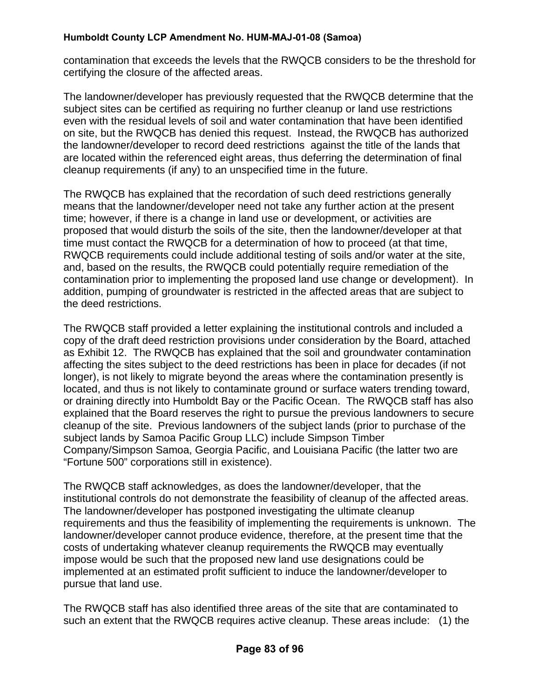contamination that exceeds the levels that the RWQCB considers to be the threshold for certifying the closure of the affected areas.

The landowner/developer has previously requested that the RWQCB determine that the subject sites can be certified as requiring no further cleanup or land use restrictions even with the residual levels of soil and water contamination that have been identified on site, but the RWQCB has denied this request. Instead, the RWQCB has authorized the landowner/developer to record deed restrictions against the title of the lands that are located within the referenced eight areas, thus deferring the determination of final cleanup requirements (if any) to an unspecified time in the future.

The RWQCB has explained that the recordation of such deed restrictions generally means that the landowner/developer need not take any further action at the present time; however, if there is a change in land use or development, or activities are proposed that would disturb the soils of the site, then the landowner/developer at that time must contact the RWQCB for a determination of how to proceed (at that time, RWQCB requirements could include additional testing of soils and/or water at the site, and, based on the results, the RWQCB could potentially require remediation of the contamination prior to implementing the proposed land use change or development). In addition, pumping of groundwater is restricted in the affected areas that are subject to the deed restrictions.

The RWQCB staff provided a letter explaining the institutional controls and included a copy of the draft deed restriction provisions under consideration by the Board, attached as Exhibit 12. The RWQCB has explained that the soil and groundwater contamination affecting the sites subject to the deed restrictions has been in place for decades (if not longer), is not likely to migrate beyond the areas where the contamination presently is located, and thus is not likely to contaminate ground or surface waters trending toward, or draining directly into Humboldt Bay or the Pacific Ocean. The RWQCB staff has also explained that the Board reserves the right to pursue the previous landowners to secure cleanup of the site. Previous landowners of the subject lands (prior to purchase of the subject lands by Samoa Pacific Group LLC) include Simpson Timber Company/Simpson Samoa, Georgia Pacific, and Louisiana Pacific (the latter two are "Fortune 500" corporations still in existence).

The RWQCB staff acknowledges, as does the landowner/developer, that the institutional controls do not demonstrate the feasibility of cleanup of the affected areas. The landowner/developer has postponed investigating the ultimate cleanup requirements and thus the feasibility of implementing the requirements is unknown. The landowner/developer cannot produce evidence, therefore, at the present time that the costs of undertaking whatever cleanup requirements the RWQCB may eventually impose would be such that the proposed new land use designations could be implemented at an estimated profit sufficient to induce the landowner/developer to pursue that land use.

The RWQCB staff has also identified three areas of the site that are contaminated to such an extent that the RWQCB requires active cleanup. These areas include: (1) the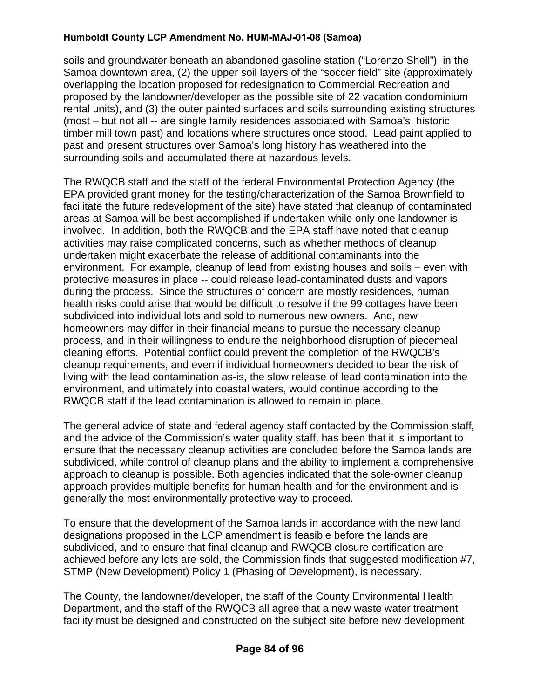soils and groundwater beneath an abandoned gasoline station ("Lorenzo Shell") in the Samoa downtown area, (2) the upper soil layers of the "soccer field" site (approximately overlapping the location proposed for redesignation to Commercial Recreation and proposed by the landowner/developer as the possible site of 22 vacation condominium rental units), and (3) the outer painted surfaces and soils surrounding existing structures (most – but not all -- are single family residences associated with Samoa's historic timber mill town past) and locations where structures once stood. Lead paint applied to past and present structures over Samoa's long history has weathered into the surrounding soils and accumulated there at hazardous levels.

The RWQCB staff and the staff of the federal Environmental Protection Agency (the EPA provided grant money for the testing/characterization of the Samoa Brownfield to facilitate the future redevelopment of the site) have stated that cleanup of contaminated areas at Samoa will be best accomplished if undertaken while only one landowner is involved. In addition, both the RWQCB and the EPA staff have noted that cleanup activities may raise complicated concerns, such as whether methods of cleanup undertaken might exacerbate the release of additional contaminants into the environment. For example, cleanup of lead from existing houses and soils – even with protective measures in place -- could release lead-contaminated dusts and vapors during the process. Since the structures of concern are mostly residences, human health risks could arise that would be difficult to resolve if the 99 cottages have been subdivided into individual lots and sold to numerous new owners. And, new homeowners may differ in their financial means to pursue the necessary cleanup process, and in their willingness to endure the neighborhood disruption of piecemeal cleaning efforts. Potential conflict could prevent the completion of the RWQCB's cleanup requirements, and even if individual homeowners decided to bear the risk of living with the lead contamination as-is, the slow release of lead contamination into the environment, and ultimately into coastal waters, would continue according to the RWQCB staff if the lead contamination is allowed to remain in place.

The general advice of state and federal agency staff contacted by the Commission staff, and the advice of the Commission's water quality staff, has been that it is important to ensure that the necessary cleanup activities are concluded before the Samoa lands are subdivided, while control of cleanup plans and the ability to implement a comprehensive approach to cleanup is possible. Both agencies indicated that the sole-owner cleanup approach provides multiple benefits for human health and for the environment and is generally the most environmentally protective way to proceed.

To ensure that the development of the Samoa lands in accordance with the new land designations proposed in the LCP amendment is feasible before the lands are subdivided, and to ensure that final cleanup and RWQCB closure certification are achieved before any lots are sold, the Commission finds that suggested modification #7, STMP (New Development) Policy 1 (Phasing of Development), is necessary.

The County, the landowner/developer, the staff of the County Environmental Health Department, and the staff of the RWQCB all agree that a new waste water treatment facility must be designed and constructed on the subject site before new development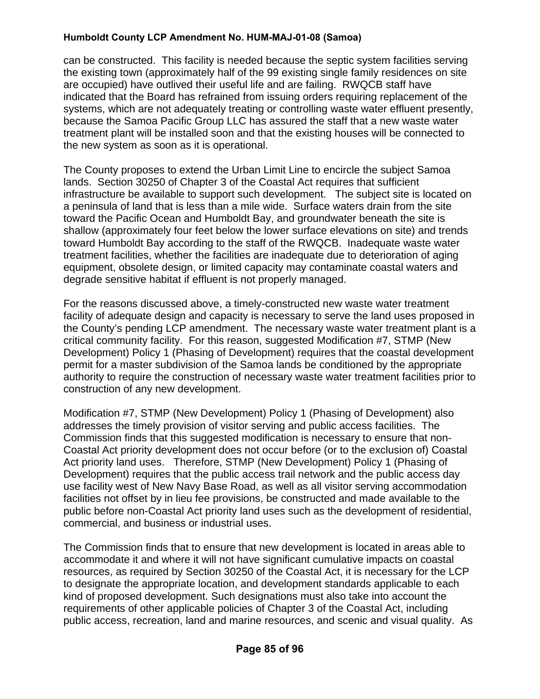can be constructed. This facility is needed because the septic system facilities serving the existing town (approximately half of the 99 existing single family residences on site are occupied) have outlived their useful life and are failing. RWQCB staff have indicated that the Board has refrained from issuing orders requiring replacement of the systems, which are not adequately treating or controlling waste water effluent presently, because the Samoa Pacific Group LLC has assured the staff that a new waste water treatment plant will be installed soon and that the existing houses will be connected to the new system as soon as it is operational.

The County proposes to extend the Urban Limit Line to encircle the subject Samoa lands. Section 30250 of Chapter 3 of the Coastal Act requires that sufficient infrastructure be available to support such development. The subject site is located on a peninsula of land that is less than a mile wide. Surface waters drain from the site toward the Pacific Ocean and Humboldt Bay, and groundwater beneath the site is shallow (approximately four feet below the lower surface elevations on site) and trends toward Humboldt Bay according to the staff of the RWQCB. Inadequate waste water treatment facilities, whether the facilities are inadequate due to deterioration of aging equipment, obsolete design, or limited capacity may contaminate coastal waters and degrade sensitive habitat if effluent is not properly managed.

For the reasons discussed above, a timely-constructed new waste water treatment facility of adequate design and capacity is necessary to serve the land uses proposed in the County's pending LCP amendment. The necessary waste water treatment plant is a critical community facility. For this reason, suggested Modification #7, STMP (New Development) Policy 1 (Phasing of Development) requires that the coastal development permit for a master subdivision of the Samoa lands be conditioned by the appropriate authority to require the construction of necessary waste water treatment facilities prior to construction of any new development.

Modification #7, STMP (New Development) Policy 1 (Phasing of Development) also addresses the timely provision of visitor serving and public access facilities. The Commission finds that this suggested modification is necessary to ensure that non-Coastal Act priority development does not occur before (or to the exclusion of) Coastal Act priority land uses. Therefore, STMP (New Development) Policy 1 (Phasing of Development) requires that the public access trail network and the public access day use facility west of New Navy Base Road, as well as all visitor serving accommodation facilities not offset by in lieu fee provisions, be constructed and made available to the public before non-Coastal Act priority land uses such as the development of residential, commercial, and business or industrial uses.

The Commission finds that to ensure that new development is located in areas able to accommodate it and where it will not have significant cumulative impacts on coastal resources, as required by Section 30250 of the Coastal Act, it is necessary for the LCP to designate the appropriate location, and development standards applicable to each kind of proposed development. Such designations must also take into account the requirements of other applicable policies of Chapter 3 of the Coastal Act, including public access, recreation, land and marine resources, and scenic and visual quality. As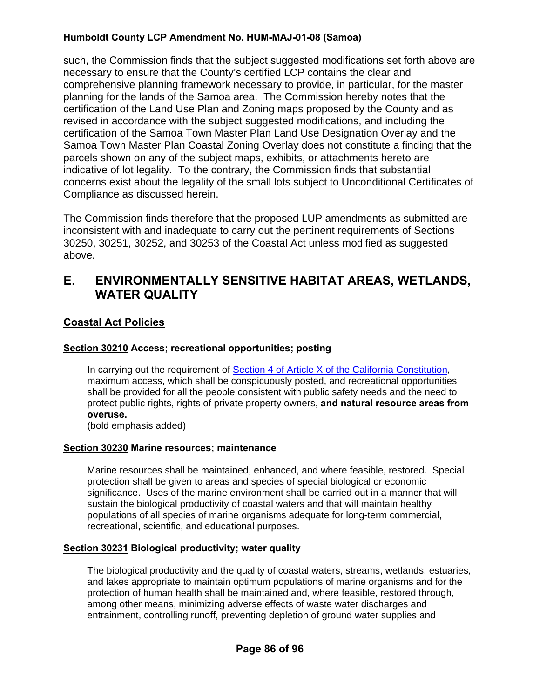such, the Commission finds that the subject suggested modifications set forth above are necessary to ensure that the County's certified LCP contains the clear and comprehensive planning framework necessary to provide, in particular, for the master planning for the lands of the Samoa area. The Commission hereby notes that the certification of the Land Use Plan and Zoning maps proposed by the County and as revised in accordance with the subject suggested modifications, and including the certification of the Samoa Town Master Plan Land Use Designation Overlay and the Samoa Town Master Plan Coastal Zoning Overlay does not constitute a finding that the parcels shown on any of the subject maps, exhibits, or attachments hereto are indicative of lot legality. To the contrary, the Commission finds that substantial concerns exist about the legality of the small lots subject to Unconditional Certificates of Compliance as discussed herein.

The Commission finds therefore that the proposed LUP amendments as submitted are inconsistent with and inadequate to carry out the pertinent requirements of Sections 30250, 30251, 30252, and 30253 of the Coastal Act unless modified as suggested above.

# **E. ENVIRONMENTALLY SENSITIVE HABITAT AREAS, WETLANDS, WATER QUALITY**

## **Coastal Act Policies**

## **Section 30210 Access; recreational opportunities; posting**

In carrying out the requirement of [Section 4 of Article X of the California Constitution](http://www.leginfo.ca.gov/calaw.html), maximum access, which shall be conspicuously posted, and recreational opportunities shall be provided for all the people consistent with public safety needs and the need to protect public rights, rights of private property owners, **and natural resource areas from overuse.** 

(bold emphasis added)

#### **Section 30230 Marine resources; maintenance**

 Marine resources shall be maintained, enhanced, and where feasible, restored. Special protection shall be given to areas and species of special biological or economic significance. Uses of the marine environment shall be carried out in a manner that will sustain the biological productivity of coastal waters and that will maintain healthy populations of all species of marine organisms adequate for long-term commercial, recreational, scientific, and educational purposes.

## **Section 30231 Biological productivity; water quality**

 The biological productivity and the quality of coastal waters, streams, wetlands, estuaries, and lakes appropriate to maintain optimum populations of marine organisms and for the protection of human health shall be maintained and, where feasible, restored through, among other means, minimizing adverse effects of waste water discharges and entrainment, controlling runoff, preventing depletion of ground water supplies and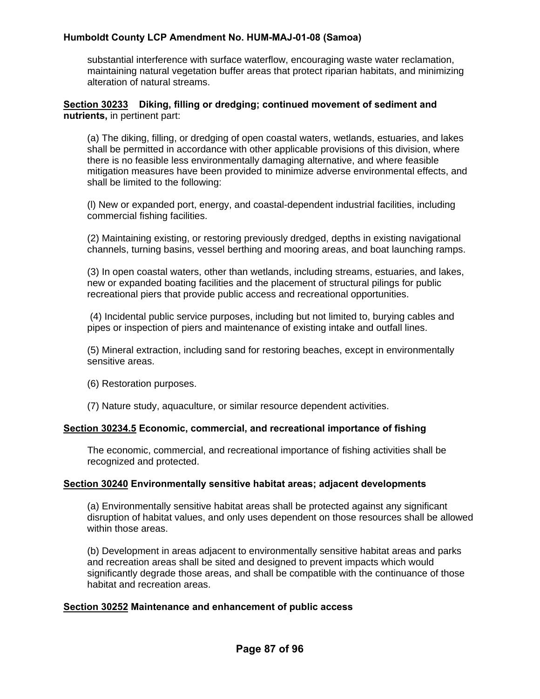substantial interference with surface waterflow, encouraging waste water reclamation, maintaining natural vegetation buffer areas that protect riparian habitats, and minimizing alteration of natural streams.

#### **Section 30233 Diking, filling or dredging; continued movement of sediment and nutrients,** in pertinent part:

(a) The diking, filling, or dredging of open coastal waters, wetlands, estuaries, and lakes shall be permitted in accordance with other applicable provisions of this division, where there is no feasible less environmentally damaging alternative, and where feasible mitigation measures have been provided to minimize adverse environmental effects, and shall be limited to the following:

(l) New or expanded port, energy, and coastal-dependent industrial facilities, including commercial fishing facilities.

(2) Maintaining existing, or restoring previously dredged, depths in existing navigational channels, turning basins, vessel berthing and mooring areas, and boat launching ramps.

(3) In open coastal waters, other than wetlands, including streams, estuaries, and lakes, new or expanded boating facilities and the placement of structural pilings for public recreational piers that provide public access and recreational opportunities.

 (4) Incidental public service purposes, including but not limited to, burying cables and pipes or inspection of piers and maintenance of existing intake and outfall lines.

(5) Mineral extraction, including sand for restoring beaches, except in environmentally sensitive areas.

(6) Restoration purposes.

(7) Nature study, aquaculture, or similar resource dependent activities.

#### **Section 30234.5 Economic, commercial, and recreational importance of fishing**

The economic, commercial, and recreational importance of fishing activities shall be recognized and protected.

#### **Section 30240 Environmentally sensitive habitat areas; adjacent developments**

(a) Environmentally sensitive habitat areas shall be protected against any significant disruption of habitat values, and only uses dependent on those resources shall be allowed within those areas.

(b) Development in areas adjacent to environmentally sensitive habitat areas and parks and recreation areas shall be sited and designed to prevent impacts which would significantly degrade those areas, and shall be compatible with the continuance of those habitat and recreation areas.

#### **Section 30252 Maintenance and enhancement of public access**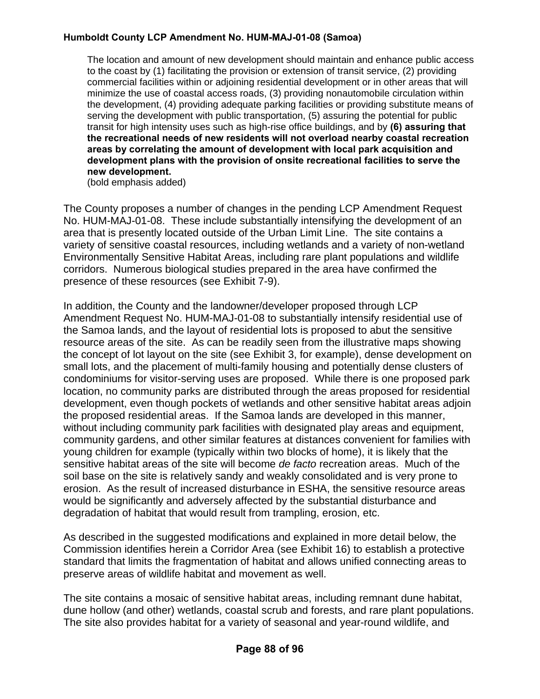The location and amount of new development should maintain and enhance public access to the coast by (1) facilitating the provision or extension of transit service, (2) providing commercial facilities within or adjoining residential development or in other areas that will minimize the use of coastal access roads, (3) providing nonautomobile circulation within the development, (4) providing adequate parking facilities or providing substitute means of serving the development with public transportation, (5) assuring the potential for public transit for high intensity uses such as high-rise office buildings, and by **(6) assuring that the recreational needs of new residents will not overload nearby coastal recreation areas by correlating the amount of development with local park acquisition and development plans with the provision of onsite recreational facilities to serve the new development.**

(bold emphasis added)

The County proposes a number of changes in the pending LCP Amendment Request No. HUM-MAJ-01-08. These include substantially intensifying the development of an area that is presently located outside of the Urban Limit Line. The site contains a variety of sensitive coastal resources, including wetlands and a variety of non-wetland Environmentally Sensitive Habitat Areas, including rare plant populations and wildlife corridors. Numerous biological studies prepared in the area have confirmed the presence of these resources (see Exhibit 7-9).

In addition, the County and the landowner/developer proposed through LCP Amendment Request No. HUM-MAJ-01-08 to substantially intensify residential use of the Samoa lands, and the layout of residential lots is proposed to abut the sensitive resource areas of the site. As can be readily seen from the illustrative maps showing the concept of lot layout on the site (see Exhibit 3, for example), dense development on small lots, and the placement of multi-family housing and potentially dense clusters of condominiums for visitor-serving uses are proposed. While there is one proposed park location, no community parks are distributed through the areas proposed for residential development, even though pockets of wetlands and other sensitive habitat areas adjoin the proposed residential areas. If the Samoa lands are developed in this manner, without including community park facilities with designated play areas and equipment, community gardens, and other similar features at distances convenient for families with young children for example (typically within two blocks of home), it is likely that the sensitive habitat areas of the site will become *de facto* recreation areas. Much of the soil base on the site is relatively sandy and weakly consolidated and is very prone to erosion. As the result of increased disturbance in ESHA, the sensitive resource areas would be significantly and adversely affected by the substantial disturbance and degradation of habitat that would result from trampling, erosion, etc.

As described in the suggested modifications and explained in more detail below, the Commission identifies herein a Corridor Area (see Exhibit 16) to establish a protective standard that limits the fragmentation of habitat and allows unified connecting areas to preserve areas of wildlife habitat and movement as well.

The site contains a mosaic of sensitive habitat areas, including remnant dune habitat, dune hollow (and other) wetlands, coastal scrub and forests, and rare plant populations. The site also provides habitat for a variety of seasonal and year-round wildlife, and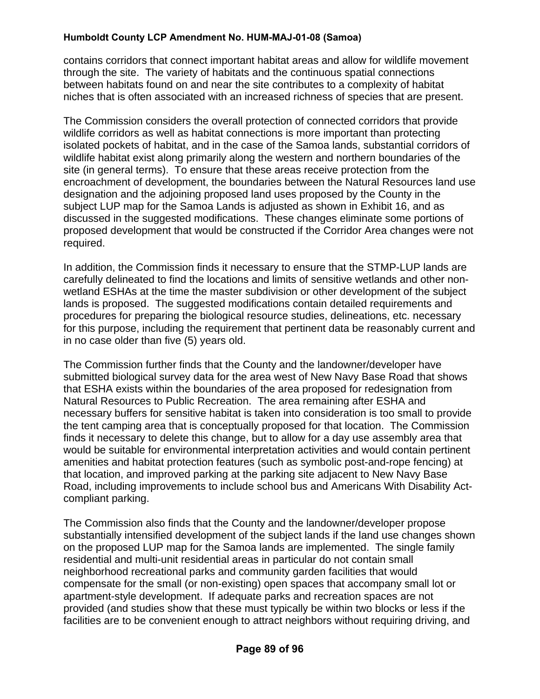contains corridors that connect important habitat areas and allow for wildlife movement through the site. The variety of habitats and the continuous spatial connections between habitats found on and near the site contributes to a complexity of habitat niches that is often associated with an increased richness of species that are present.

The Commission considers the overall protection of connected corridors that provide wildlife corridors as well as habitat connections is more important than protecting isolated pockets of habitat, and in the case of the Samoa lands, substantial corridors of wildlife habitat exist along primarily along the western and northern boundaries of the site (in general terms). To ensure that these areas receive protection from the encroachment of development, the boundaries between the Natural Resources land use designation and the adjoining proposed land uses proposed by the County in the subject LUP map for the Samoa Lands is adjusted as shown in Exhibit 16, and as discussed in the suggested modifications. These changes eliminate some portions of proposed development that would be constructed if the Corridor Area changes were not required.

In addition, the Commission finds it necessary to ensure that the STMP-LUP lands are carefully delineated to find the locations and limits of sensitive wetlands and other nonwetland ESHAs at the time the master subdivision or other development of the subject lands is proposed. The suggested modifications contain detailed requirements and procedures for preparing the biological resource studies, delineations, etc. necessary for this purpose, including the requirement that pertinent data be reasonably current and in no case older than five (5) years old.

The Commission further finds that the County and the landowner/developer have submitted biological survey data for the area west of New Navy Base Road that shows that ESHA exists within the boundaries of the area proposed for redesignation from Natural Resources to Public Recreation. The area remaining after ESHA and necessary buffers for sensitive habitat is taken into consideration is too small to provide the tent camping area that is conceptually proposed for that location. The Commission finds it necessary to delete this change, but to allow for a day use assembly area that would be suitable for environmental interpretation activities and would contain pertinent amenities and habitat protection features (such as symbolic post-and-rope fencing) at that location, and improved parking at the parking site adjacent to New Navy Base Road, including improvements to include school bus and Americans With Disability Actcompliant parking.

The Commission also finds that the County and the landowner/developer propose substantially intensified development of the subject lands if the land use changes shown on the proposed LUP map for the Samoa lands are implemented. The single family residential and multi-unit residential areas in particular do not contain small neighborhood recreational parks and community garden facilities that would compensate for the small (or non-existing) open spaces that accompany small lot or apartment-style development. If adequate parks and recreation spaces are not provided (and studies show that these must typically be within two blocks or less if the facilities are to be convenient enough to attract neighbors without requiring driving, and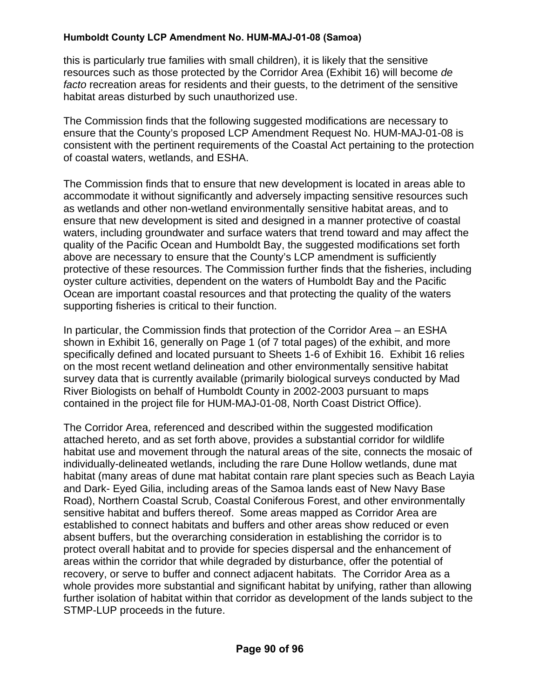this is particularly true families with small children), it is likely that the sensitive resources such as those protected by the Corridor Area (Exhibit 16) will become *de facto* recreation areas for residents and their guests, to the detriment of the sensitive habitat areas disturbed by such unauthorized use.

The Commission finds that the following suggested modifications are necessary to ensure that the County's proposed LCP Amendment Request No. HUM-MAJ-01-08 is consistent with the pertinent requirements of the Coastal Act pertaining to the protection of coastal waters, wetlands, and ESHA.

The Commission finds that to ensure that new development is located in areas able to accommodate it without significantly and adversely impacting sensitive resources such as wetlands and other non-wetland environmentally sensitive habitat areas, and to ensure that new development is sited and designed in a manner protective of coastal waters, including groundwater and surface waters that trend toward and may affect the quality of the Pacific Ocean and Humboldt Bay, the suggested modifications set forth above are necessary to ensure that the County's LCP amendment is sufficiently protective of these resources. The Commission further finds that the fisheries, including oyster culture activities, dependent on the waters of Humboldt Bay and the Pacific Ocean are important coastal resources and that protecting the quality of the waters supporting fisheries is critical to their function.

In particular, the Commission finds that protection of the Corridor Area – an ESHA shown in Exhibit 16, generally on Page 1 (of 7 total pages) of the exhibit, and more specifically defined and located pursuant to Sheets 1-6 of Exhibit 16. Exhibit 16 relies on the most recent wetland delineation and other environmentally sensitive habitat survey data that is currently available (primarily biological surveys conducted by Mad River Biologists on behalf of Humboldt County in 2002-2003 pursuant to maps contained in the project file for HUM-MAJ-01-08, North Coast District Office).

The Corridor Area, referenced and described within the suggested modification attached hereto, and as set forth above, provides a substantial corridor for wildlife habitat use and movement through the natural areas of the site, connects the mosaic of individually-delineated wetlands, including the rare Dune Hollow wetlands, dune mat habitat (many areas of dune mat habitat contain rare plant species such as Beach Layia and Dark- Eyed Gilia, including areas of the Samoa lands east of New Navy Base Road), Northern Coastal Scrub, Coastal Coniferous Forest, and other environmentally sensitive habitat and buffers thereof. Some areas mapped as Corridor Area are established to connect habitats and buffers and other areas show reduced or even absent buffers, but the overarching consideration in establishing the corridor is to protect overall habitat and to provide for species dispersal and the enhancement of areas within the corridor that while degraded by disturbance, offer the potential of recovery, or serve to buffer and connect adjacent habitats. The Corridor Area as a whole provides more substantial and significant habitat by unifying, rather than allowing further isolation of habitat within that corridor as development of the lands subject to the STMP-LUP proceeds in the future.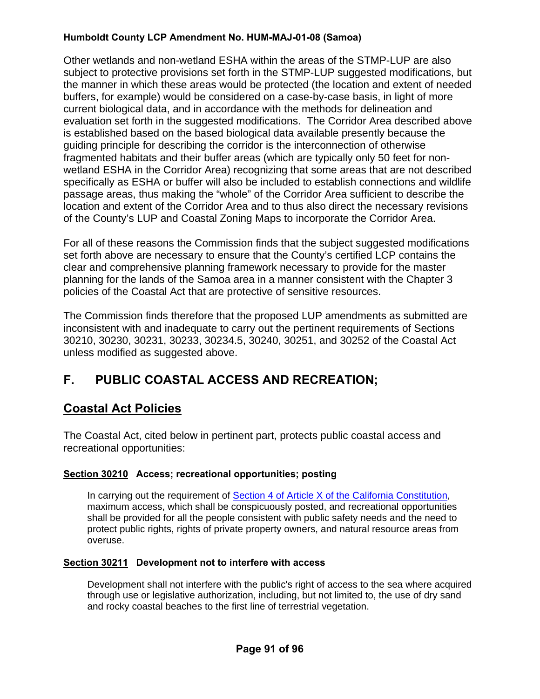Other wetlands and non-wetland ESHA within the areas of the STMP-LUP are also subject to protective provisions set forth in the STMP-LUP suggested modifications, but the manner in which these areas would be protected (the location and extent of needed buffers, for example) would be considered on a case-by-case basis, in light of more current biological data, and in accordance with the methods for delineation and evaluation set forth in the suggested modifications. The Corridor Area described above is established based on the based biological data available presently because the guiding principle for describing the corridor is the interconnection of otherwise fragmented habitats and their buffer areas (which are typically only 50 feet for nonwetland ESHA in the Corridor Area) recognizing that some areas that are not described specifically as ESHA or buffer will also be included to establish connections and wildlife passage areas, thus making the "whole" of the Corridor Area sufficient to describe the location and extent of the Corridor Area and to thus also direct the necessary revisions of the County's LUP and Coastal Zoning Maps to incorporate the Corridor Area.

For all of these reasons the Commission finds that the subject suggested modifications set forth above are necessary to ensure that the County's certified LCP contains the clear and comprehensive planning framework necessary to provide for the master planning for the lands of the Samoa area in a manner consistent with the Chapter 3 policies of the Coastal Act that are protective of sensitive resources.

The Commission finds therefore that the proposed LUP amendments as submitted are inconsistent with and inadequate to carry out the pertinent requirements of Sections 30210, 30230, 30231, 30233, 30234.5, 30240, 30251, and 30252 of the Coastal Act unless modified as suggested above.

# **F. PUBLIC COASTAL ACCESS AND RECREATION;**

# **Coastal Act Policies**

The Coastal Act, cited below in pertinent part, protects public coastal access and recreational opportunities:

## **Section 30210 Access; recreational opportunities; posting**

In carrying out the requirement of [Section 4 of Article X of the California Constitution](http://www.leginfo.ca.gov/calaw.html), maximum access, which shall be conspicuously posted, and recreational opportunities shall be provided for all the people consistent with public safety needs and the need to protect public rights, rights of private property owners, and natural resource areas from overuse.

#### **Section 30211 Development not to interfere with access**

Development shall not interfere with the public's right of access to the sea where acquired through use or legislative authorization, including, but not limited to, the use of dry sand and rocky coastal beaches to the first line of terrestrial vegetation.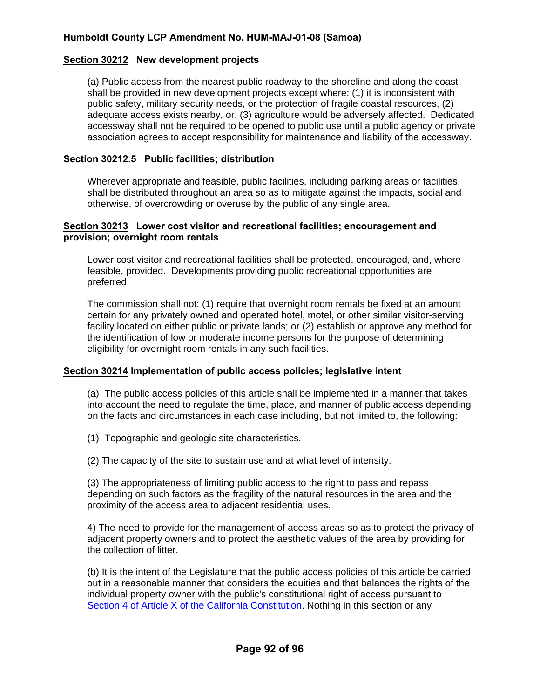#### **Section 30212 New development projects**

(a) Public access from the nearest public roadway to the shoreline and along the coast shall be provided in new development projects except where: (1) it is inconsistent with public safety, military security needs, or the protection of fragile coastal resources, (2) adequate access exists nearby, or, (3) agriculture would be adversely affected. Dedicated accessway shall not be required to be opened to public use until a public agency or private association agrees to accept responsibility for maintenance and liability of the accessway.

#### **Section 30212.5 Public facilities; distribution**

Wherever appropriate and feasible, public facilities, including parking areas or facilities, shall be distributed throughout an area so as to mitigate against the impacts, social and otherwise, of overcrowding or overuse by the public of any single area.

#### **Section 30213 Lower cost visitor and recreational facilities; encouragement and provision; overnight room rentals**

Lower cost visitor and recreational facilities shall be protected, encouraged, and, where feasible, provided. Developments providing public recreational opportunities are preferred.

The commission shall not: (1) require that overnight room rentals be fixed at an amount certain for any privately owned and operated hotel, motel, or other similar visitor-serving facility located on either public or private lands; or (2) establish or approve any method for the identification of low or moderate income persons for the purpose of determining eligibility for overnight room rentals in any such facilities.

#### **Section 30214 Implementation of public access policies; legislative intent**

(a) The public access policies of this article shall be implemented in a manner that takes into account the need to regulate the time, place, and manner of public access depending on the facts and circumstances in each case including, but not limited to, the following:

(1) Topographic and geologic site characteristics.

(2) The capacity of the site to sustain use and at what level of intensity.

(3) The appropriateness of limiting public access to the right to pass and repass depending on such factors as the fragility of the natural resources in the area and the proximity of the access area to adjacent residential uses.

4) The need to provide for the management of access areas so as to protect the privacy of adjacent property owners and to protect the aesthetic values of the area by providing for the collection of litter.

(b) It is the intent of the Legislature that the public access policies of this article be carried out in a reasonable manner that considers the equities and that balances the rights of the individual property owner with the public's constitutional right of access pursuant to [Section 4 of Article X of the California Constitution](http://www.leginfo.ca.gov/calaw.html). Nothing in this section or any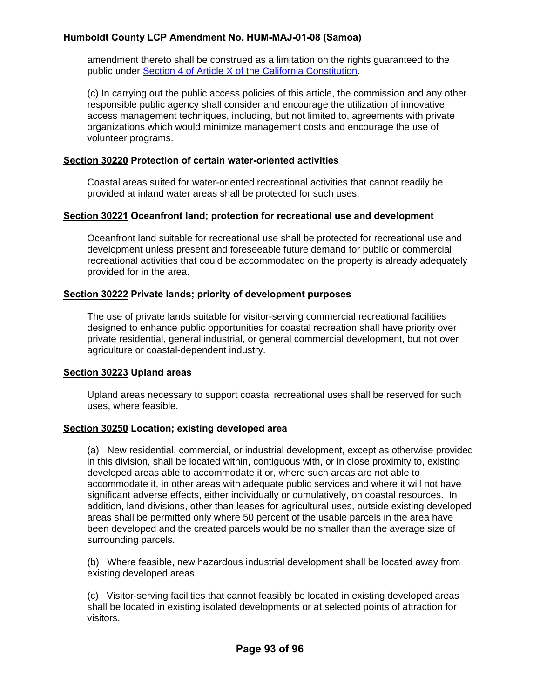amendment thereto shall be construed as a limitation on the rights guaranteed to the public under [Section 4 of Article X of the California Constitution](http://www.leginfo.ca.gov/calaw.html).

(c) In carrying out the public access policies of this article, the commission and any other responsible public agency shall consider and encourage the utilization of innovative access management techniques, including, but not limited to, agreements with private organizations which would minimize management costs and encourage the use of volunteer programs.

#### **Section 30220 Protection of certain water-oriented activities**

Coastal areas suited for water-oriented recreational activities that cannot readily be provided at inland water areas shall be protected for such uses.

#### **Section 30221 Oceanfront land; protection for recreational use and development**

Oceanfront land suitable for recreational use shall be protected for recreational use and development unless present and foreseeable future demand for public or commercial recreational activities that could be accommodated on the property is already adequately provided for in the area.

#### **Section 30222 Private lands; priority of development purposes**

The use of private lands suitable for visitor-serving commercial recreational facilities designed to enhance public opportunities for coastal recreation shall have priority over private residential, general industrial, or general commercial development, but not over agriculture or coastal-dependent industry.

#### **Section 30223 Upland areas**

Upland areas necessary to support coastal recreational uses shall be reserved for such uses, where feasible.

#### **Section 30250 Location; existing developed area**

(a) New residential, commercial, or industrial development, except as otherwise provided in this division, shall be located within, contiguous with, or in close proximity to, existing developed areas able to accommodate it or, where such areas are not able to accommodate it, in other areas with adequate public services and where it will not have significant adverse effects, either individually or cumulatively, on coastal resources. In addition, land divisions, other than leases for agricultural uses, outside existing developed areas shall be permitted only where 50 percent of the usable parcels in the area have been developed and the created parcels would be no smaller than the average size of surrounding parcels.

(b) Where feasible, new hazardous industrial development shall be located away from existing developed areas.

(c) Visitor-serving facilities that cannot feasibly be located in existing developed areas shall be located in existing isolated developments or at selected points of attraction for visitors.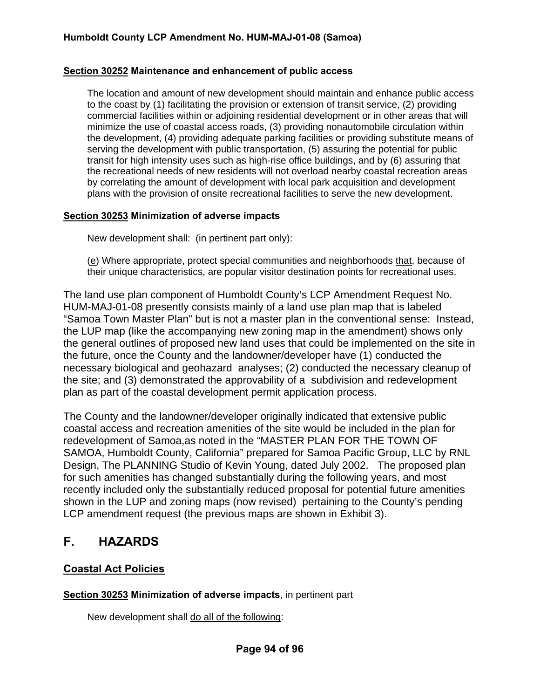#### **Section 30252 Maintenance and enhancement of public access**

The location and amount of new development should maintain and enhance public access to the coast by (1) facilitating the provision or extension of transit service, (2) providing commercial facilities within or adjoining residential development or in other areas that will minimize the use of coastal access roads, (3) providing nonautomobile circulation within the development, (4) providing adequate parking facilities or providing substitute means of serving the development with public transportation, (5) assuring the potential for public transit for high intensity uses such as high-rise office buildings, and by (6) assuring that the recreational needs of new residents will not overload nearby coastal recreation areas by correlating the amount of development with local park acquisition and development plans with the provision of onsite recreational facilities to serve the new development.

#### **Section 30253 Minimization of adverse impacts**

New development shall: (in pertinent part only):

(e) Where appropriate, protect special communities and neighborhoods that, because of their unique characteristics, are popular visitor destination points for recreational uses.

The land use plan component of Humboldt County's LCP Amendment Request No. HUM-MAJ-01-08 presently consists mainly of a land use plan map that is labeled "Samoa Town Master Plan" but is not a master plan in the conventional sense: Instead, the LUP map (like the accompanying new zoning map in the amendment) shows only the general outlines of proposed new land uses that could be implemented on the site in the future, once the County and the landowner/developer have (1) conducted the necessary biological and geohazard analyses; (2) conducted the necessary cleanup of the site; and (3) demonstrated the approvability of a subdivision and redevelopment plan as part of the coastal development permit application process.

The County and the landowner/developer originally indicated that extensive public coastal access and recreation amenities of the site would be included in the plan for redevelopment of Samoa,as noted in the "MASTER PLAN FOR THE TOWN OF SAMOA, Humboldt County, California" prepared for Samoa Pacific Group, LLC by RNL Design, The PLANNING Studio of Kevin Young, dated July 2002. The proposed plan for such amenities has changed substantially during the following years, and most recently included only the substantially reduced proposal for potential future amenities shown in the LUP and zoning maps (now revised) pertaining to the County's pending LCP amendment request (the previous maps are shown in Exhibit 3).

## **F. HAZARDS**

#### **Coastal Act Policies**

**Section 30253 Minimization of adverse impacts**, in pertinent part

New development shall do all of the following: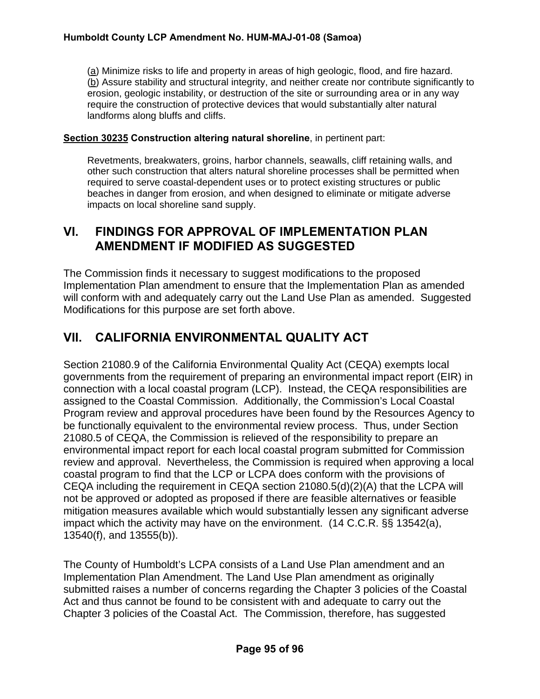(a) Minimize risks to life and property in areas of high geologic, flood, and fire hazard. (b) Assure stability and structural integrity, and neither create nor contribute significantly to erosion, geologic instability, or destruction of the site or surrounding area or in any way require the construction of protective devices that would substantially alter natural landforms along bluffs and cliffs.

#### **Section 30235 Construction altering natural shoreline**, in pertinent part:

Revetments, breakwaters, groins, harbor channels, seawalls, cliff retaining walls, and other such construction that alters natural shoreline processes shall be permitted when required to serve coastal-dependent uses or to protect existing structures or public beaches in danger from erosion, and when designed to eliminate or mitigate adverse impacts on local shoreline sand supply.

## **VI. FINDINGS FOR APPROVAL OF IMPLEMENTATION PLAN AMENDMENT IF MODIFIED AS SUGGESTED**

The Commission finds it necessary to suggest modifications to the proposed Implementation Plan amendment to ensure that the Implementation Plan as amended will conform with and adequately carry out the Land Use Plan as amended. Suggested Modifications for this purpose are set forth above.

# **VII. CALIFORNIA ENVIRONMENTAL QUALITY ACT**

Section 21080.9 of the California Environmental Quality Act (CEQA) exempts local governments from the requirement of preparing an environmental impact report (EIR) in connection with a local coastal program (LCP). Instead, the CEQA responsibilities are assigned to the Coastal Commission. Additionally, the Commission's Local Coastal Program review and approval procedures have been found by the Resources Agency to be functionally equivalent to the environmental review process. Thus, under Section 21080.5 of CEQA, the Commission is relieved of the responsibility to prepare an environmental impact report for each local coastal program submitted for Commission review and approval. Nevertheless, the Commission is required when approving a local coastal program to find that the LCP or LCPA does conform with the provisions of CEQA including the requirement in CEQA section 21080.5(d)(2)(A) that the LCPA will not be approved or adopted as proposed if there are feasible alternatives or feasible mitigation measures available which would substantially lessen any significant adverse impact which the activity may have on the environment. (14 C.C.R. §§ 13542(a), 13540(f), and 13555(b)).

The County of Humboldt's LCPA consists of a Land Use Plan amendment and an Implementation Plan Amendment. The Land Use Plan amendment as originally submitted raises a number of concerns regarding the Chapter 3 policies of the Coastal Act and thus cannot be found to be consistent with and adequate to carry out the Chapter 3 policies of the Coastal Act. The Commission, therefore, has suggested